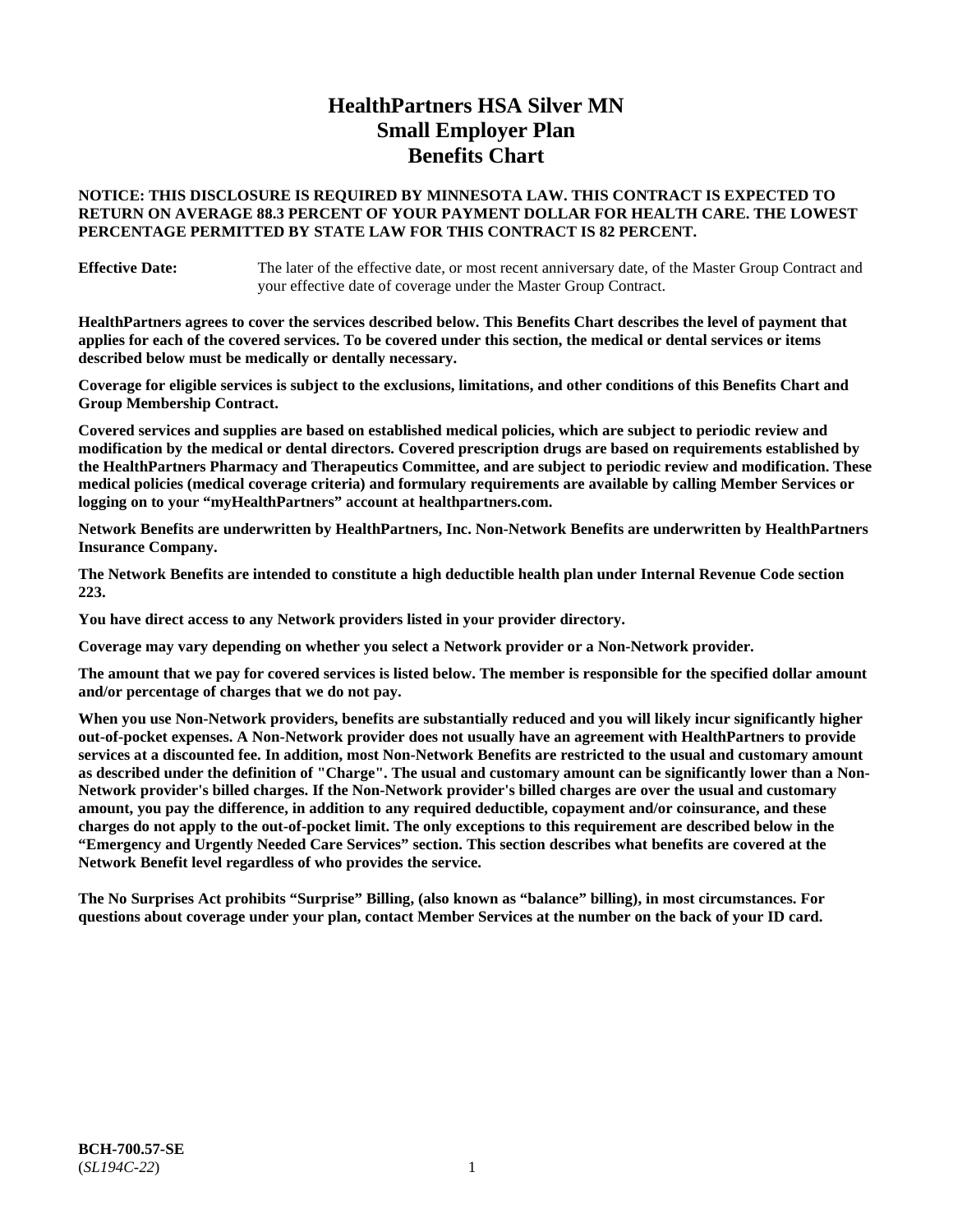# **HealthPartners HSA Silver MN Small Employer Plan Benefits Chart**

# **NOTICE: THIS DISCLOSURE IS REQUIRED BY MINNESOTA LAW. THIS CONTRACT IS EXPECTED TO RETURN ON AVERAGE 88.3 PERCENT OF YOUR PAYMENT DOLLAR FOR HEALTH CARE. THE LOWEST PERCENTAGE PERMITTED BY STATE LAW FOR THIS CONTRACT IS 82 PERCENT.**

**Effective Date:** The later of the effective date, or most recent anniversary date, of the Master Group Contract and your effective date of coverage under the Master Group Contract.

**HealthPartners agrees to cover the services described below. This Benefits Chart describes the level of payment that applies for each of the covered services. To be covered under this section, the medical or dental services or items described below must be medically or dentally necessary.**

**Coverage for eligible services is subject to the exclusions, limitations, and other conditions of this Benefits Chart and Group Membership Contract.**

**Covered services and supplies are based on established medical policies, which are subject to periodic review and modification by the medical or dental directors. Covered prescription drugs are based on requirements established by the HealthPartners Pharmacy and Therapeutics Committee, and are subject to periodic review and modification. These medical policies (medical coverage criteria) and formulary requirements are available by calling Member Services or logging on to your "myHealthPartners" account at [healthpartners.com.](https://www.healthpartners.com/hp/index.html)**

**Network Benefits are underwritten by HealthPartners, Inc. Non-Network Benefits are underwritten by HealthPartners Insurance Company.** 

**The Network Benefits are intended to constitute a high deductible health plan under Internal Revenue Code section 223.** 

**You have direct access to any Network providers listed in your provider directory.**

**Coverage may vary depending on whether you select a Network provider or a Non-Network provider.**

**The amount that we pay for covered services is listed below. The member is responsible for the specified dollar amount and/or percentage of charges that we do not pay.**

**When you use Non-Network providers, benefits are substantially reduced and you will likely incur significantly higher out-of-pocket expenses. A Non-Network provider does not usually have an agreement with HealthPartners to provide services at a discounted fee. In addition, most Non-Network Benefits are restricted to the usual and customary amount as described under the definition of "Charge". The usual and customary amount can be significantly lower than a Non-Network provider's billed charges. If the Non-Network provider's billed charges are over the usual and customary amount, you pay the difference, in addition to any required deductible, copayment and/or coinsurance, and these charges do not apply to the out-of-pocket limit. The only exceptions to this requirement are described below in the "Emergency and Urgently Needed Care Services" section. This section describes what benefits are covered at the Network Benefit level regardless of who provides the service.**

**The No Surprises Act prohibits "Surprise" Billing, (also known as "balance" billing), in most circumstances. For questions about coverage under your plan, contact Member Services at the number on the back of your ID card.**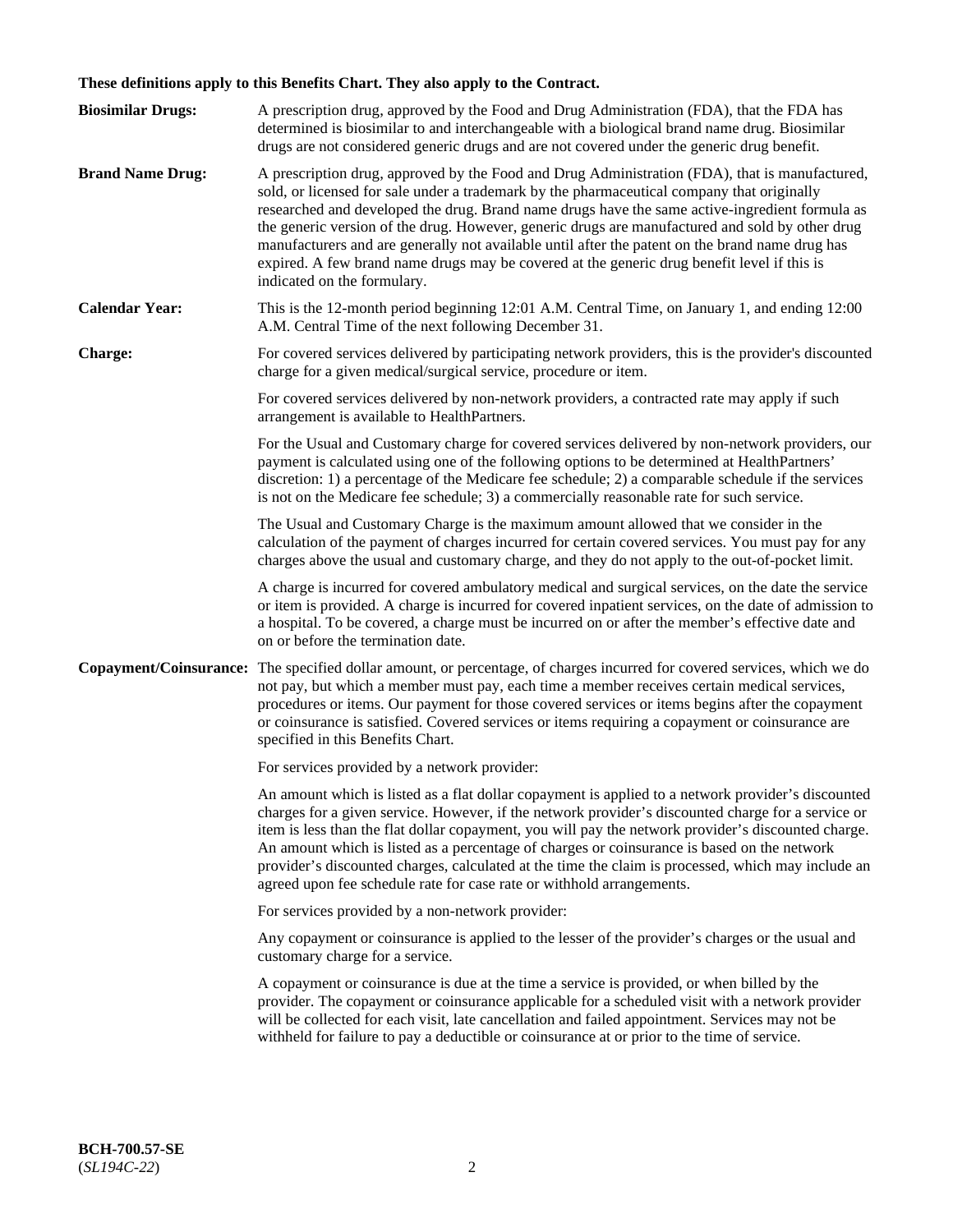# **These definitions apply to this Benefits Chart. They also apply to the Contract.**

| <b>Biosimilar Drugs:</b> | A prescription drug, approved by the Food and Drug Administration (FDA), that the FDA has<br>determined is biosimilar to and interchangeable with a biological brand name drug. Biosimilar<br>drugs are not considered generic drugs and are not covered under the generic drug benefit.                                                                                                                                                                                                                                                                                                                                           |
|--------------------------|------------------------------------------------------------------------------------------------------------------------------------------------------------------------------------------------------------------------------------------------------------------------------------------------------------------------------------------------------------------------------------------------------------------------------------------------------------------------------------------------------------------------------------------------------------------------------------------------------------------------------------|
| <b>Brand Name Drug:</b>  | A prescription drug, approved by the Food and Drug Administration (FDA), that is manufactured,<br>sold, or licensed for sale under a trademark by the pharmaceutical company that originally<br>researched and developed the drug. Brand name drugs have the same active-ingredient formula as<br>the generic version of the drug. However, generic drugs are manufactured and sold by other drug<br>manufacturers and are generally not available until after the patent on the brand name drug has<br>expired. A few brand name drugs may be covered at the generic drug benefit level if this is<br>indicated on the formulary. |
| <b>Calendar Year:</b>    | This is the 12-month period beginning 12:01 A.M. Central Time, on January 1, and ending 12:00<br>A.M. Central Time of the next following December 31.                                                                                                                                                                                                                                                                                                                                                                                                                                                                              |
| <b>Charge:</b>           | For covered services delivered by participating network providers, this is the provider's discounted<br>charge for a given medical/surgical service, procedure or item.                                                                                                                                                                                                                                                                                                                                                                                                                                                            |
|                          | For covered services delivered by non-network providers, a contracted rate may apply if such<br>arrangement is available to HealthPartners.                                                                                                                                                                                                                                                                                                                                                                                                                                                                                        |
|                          | For the Usual and Customary charge for covered services delivered by non-network providers, our<br>payment is calculated using one of the following options to be determined at HealthPartners'<br>discretion: 1) a percentage of the Medicare fee schedule; 2) a comparable schedule if the services<br>is not on the Medicare fee schedule; 3) a commercially reasonable rate for such service.                                                                                                                                                                                                                                  |
|                          | The Usual and Customary Charge is the maximum amount allowed that we consider in the<br>calculation of the payment of charges incurred for certain covered services. You must pay for any<br>charges above the usual and customary charge, and they do not apply to the out-of-pocket limit.                                                                                                                                                                                                                                                                                                                                       |
|                          | A charge is incurred for covered ambulatory medical and surgical services, on the date the service<br>or item is provided. A charge is incurred for covered inpatient services, on the date of admission to<br>a hospital. To be covered, a charge must be incurred on or after the member's effective date and<br>on or before the termination date.                                                                                                                                                                                                                                                                              |
| Copayment/Coinsurance:   | The specified dollar amount, or percentage, of charges incurred for covered services, which we do<br>not pay, but which a member must pay, each time a member receives certain medical services,<br>procedures or items. Our payment for those covered services or items begins after the copayment<br>or coinsurance is satisfied. Covered services or items requiring a copayment or coinsurance are<br>specified in this Benefits Chart.                                                                                                                                                                                        |
|                          | For services provided by a network provider:                                                                                                                                                                                                                                                                                                                                                                                                                                                                                                                                                                                       |
|                          | An amount which is listed as a flat dollar copayment is applied to a network provider's discounted<br>charges for a given service. However, if the network provider's discounted charge for a service or<br>item is less than the flat dollar copayment, you will pay the network provider's discounted charge.<br>An amount which is listed as a percentage of charges or coinsurance is based on the network<br>provider's discounted charges, calculated at the time the claim is processed, which may include an<br>agreed upon fee schedule rate for case rate or withhold arrangements.                                      |
|                          | For services provided by a non-network provider:                                                                                                                                                                                                                                                                                                                                                                                                                                                                                                                                                                                   |
|                          | Any copayment or coinsurance is applied to the lesser of the provider's charges or the usual and<br>customary charge for a service.                                                                                                                                                                                                                                                                                                                                                                                                                                                                                                |
|                          | A copayment or coinsurance is due at the time a service is provided, or when billed by the<br>provider. The copayment or coinsurance applicable for a scheduled visit with a network provider<br>will be collected for each visit, late cancellation and failed appointment. Services may not be<br>withheld for failure to pay a deductible or coinsurance at or prior to the time of service.                                                                                                                                                                                                                                    |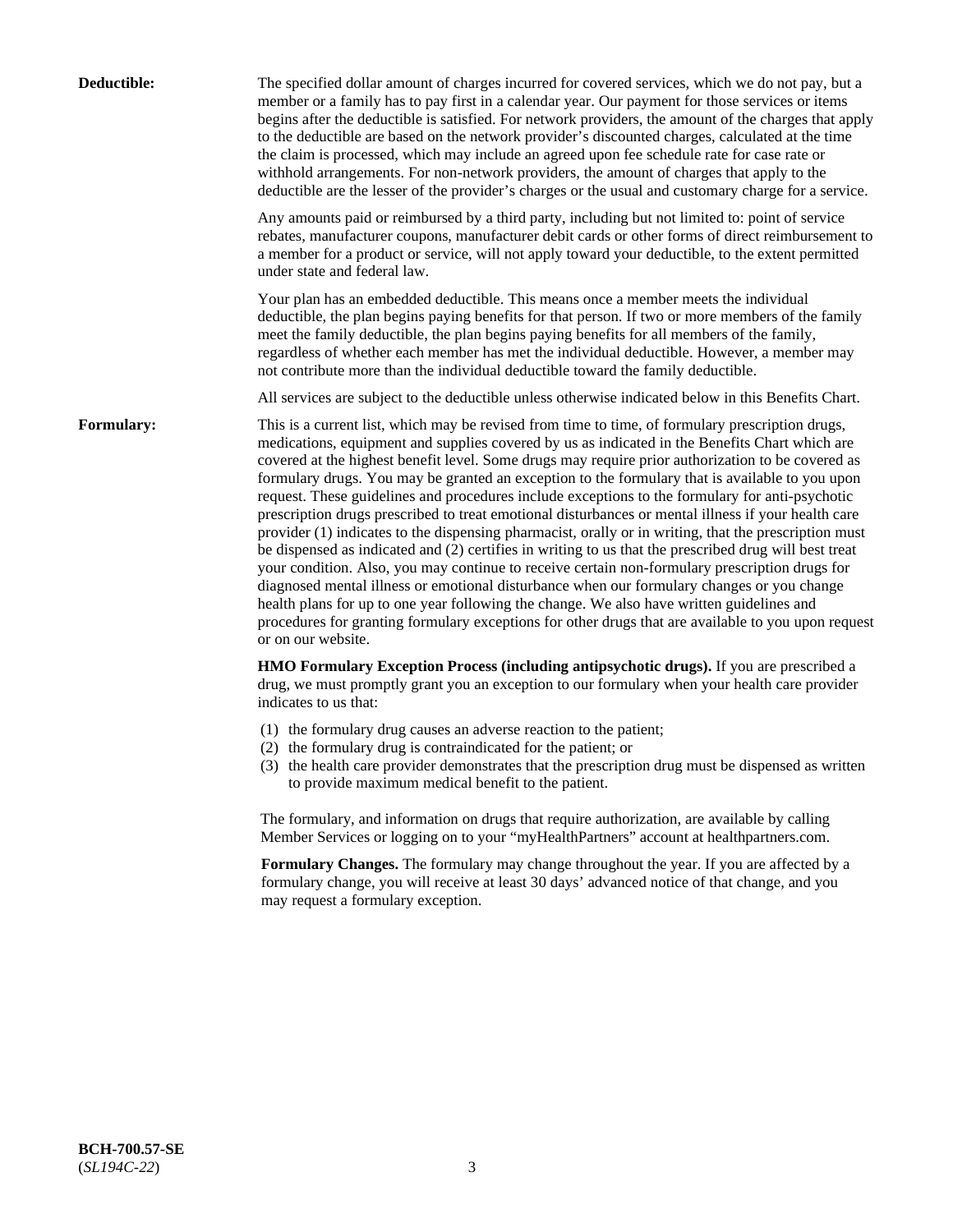| Deductible: | The specified dollar amount of charges incurred for covered services, which we do not pay, but a<br>member or a family has to pay first in a calendar year. Our payment for those services or items<br>begins after the deductible is satisfied. For network providers, the amount of the charges that apply<br>to the deductible are based on the network provider's discounted charges, calculated at the time<br>the claim is processed, which may include an agreed upon fee schedule rate for case rate or<br>withhold arrangements. For non-network providers, the amount of charges that apply to the<br>deductible are the lesser of the provider's charges or the usual and customary charge for a service.                                                                                                                                                                                                                                                                                                                                                                                                                                                                                                                                             |
|-------------|------------------------------------------------------------------------------------------------------------------------------------------------------------------------------------------------------------------------------------------------------------------------------------------------------------------------------------------------------------------------------------------------------------------------------------------------------------------------------------------------------------------------------------------------------------------------------------------------------------------------------------------------------------------------------------------------------------------------------------------------------------------------------------------------------------------------------------------------------------------------------------------------------------------------------------------------------------------------------------------------------------------------------------------------------------------------------------------------------------------------------------------------------------------------------------------------------------------------------------------------------------------|
|             | Any amounts paid or reimbursed by a third party, including but not limited to: point of service<br>rebates, manufacturer coupons, manufacturer debit cards or other forms of direct reimbursement to<br>a member for a product or service, will not apply toward your deductible, to the extent permitted<br>under state and federal law.                                                                                                                                                                                                                                                                                                                                                                                                                                                                                                                                                                                                                                                                                                                                                                                                                                                                                                                        |
|             | Your plan has an embedded deductible. This means once a member meets the individual<br>deductible, the plan begins paying benefits for that person. If two or more members of the family<br>meet the family deductible, the plan begins paying benefits for all members of the family,<br>regardless of whether each member has met the individual deductible. However, a member may<br>not contribute more than the individual deductible toward the family deductible.                                                                                                                                                                                                                                                                                                                                                                                                                                                                                                                                                                                                                                                                                                                                                                                         |
|             | All services are subject to the deductible unless otherwise indicated below in this Benefits Chart.                                                                                                                                                                                                                                                                                                                                                                                                                                                                                                                                                                                                                                                                                                                                                                                                                                                                                                                                                                                                                                                                                                                                                              |
| Formulary:  | This is a current list, which may be revised from time to time, of formulary prescription drugs,<br>medications, equipment and supplies covered by us as indicated in the Benefits Chart which are<br>covered at the highest benefit level. Some drugs may require prior authorization to be covered as<br>formulary drugs. You may be granted an exception to the formulary that is available to you upon<br>request. These guidelines and procedures include exceptions to the formulary for anti-psychotic<br>prescription drugs prescribed to treat emotional disturbances or mental illness if your health care<br>provider (1) indicates to the dispensing pharmacist, orally or in writing, that the prescription must<br>be dispensed as indicated and (2) certifies in writing to us that the prescribed drug will best treat<br>your condition. Also, you may continue to receive certain non-formulary prescription drugs for<br>diagnosed mental illness or emotional disturbance when our formulary changes or you change<br>health plans for up to one year following the change. We also have written guidelines and<br>procedures for granting formulary exceptions for other drugs that are available to you upon request<br>or on our website. |
|             | HMO Formulary Exception Process (including antipsychotic drugs). If you are prescribed a<br>drug, we must promptly grant you an exception to our formulary when your health care provider<br>indicates to us that:                                                                                                                                                                                                                                                                                                                                                                                                                                                                                                                                                                                                                                                                                                                                                                                                                                                                                                                                                                                                                                               |
|             | (1) the formulary drug causes an adverse reaction to the patient;<br>(2) the formulary drug is contraindicated for the patient; or<br>(3) the health care provider demonstrates that the prescription drug must be dispensed as written<br>to provide maximum medical benefit to the patient.                                                                                                                                                                                                                                                                                                                                                                                                                                                                                                                                                                                                                                                                                                                                                                                                                                                                                                                                                                    |
|             | The formulary, and information on drugs that require authorization, are available by calling<br>Member Services or logging on to your "myHealthPartners" account at healthpartners.com.                                                                                                                                                                                                                                                                                                                                                                                                                                                                                                                                                                                                                                                                                                                                                                                                                                                                                                                                                                                                                                                                          |
|             | Formulary Changes. The formulary may change throughout the year. If you are affected by a<br>formulary change, you will receive at least 30 days' advanced notice of that change, and you<br>may request a formulary exception.                                                                                                                                                                                                                                                                                                                                                                                                                                                                                                                                                                                                                                                                                                                                                                                                                                                                                                                                                                                                                                  |
|             |                                                                                                                                                                                                                                                                                                                                                                                                                                                                                                                                                                                                                                                                                                                                                                                                                                                                                                                                                                                                                                                                                                                                                                                                                                                                  |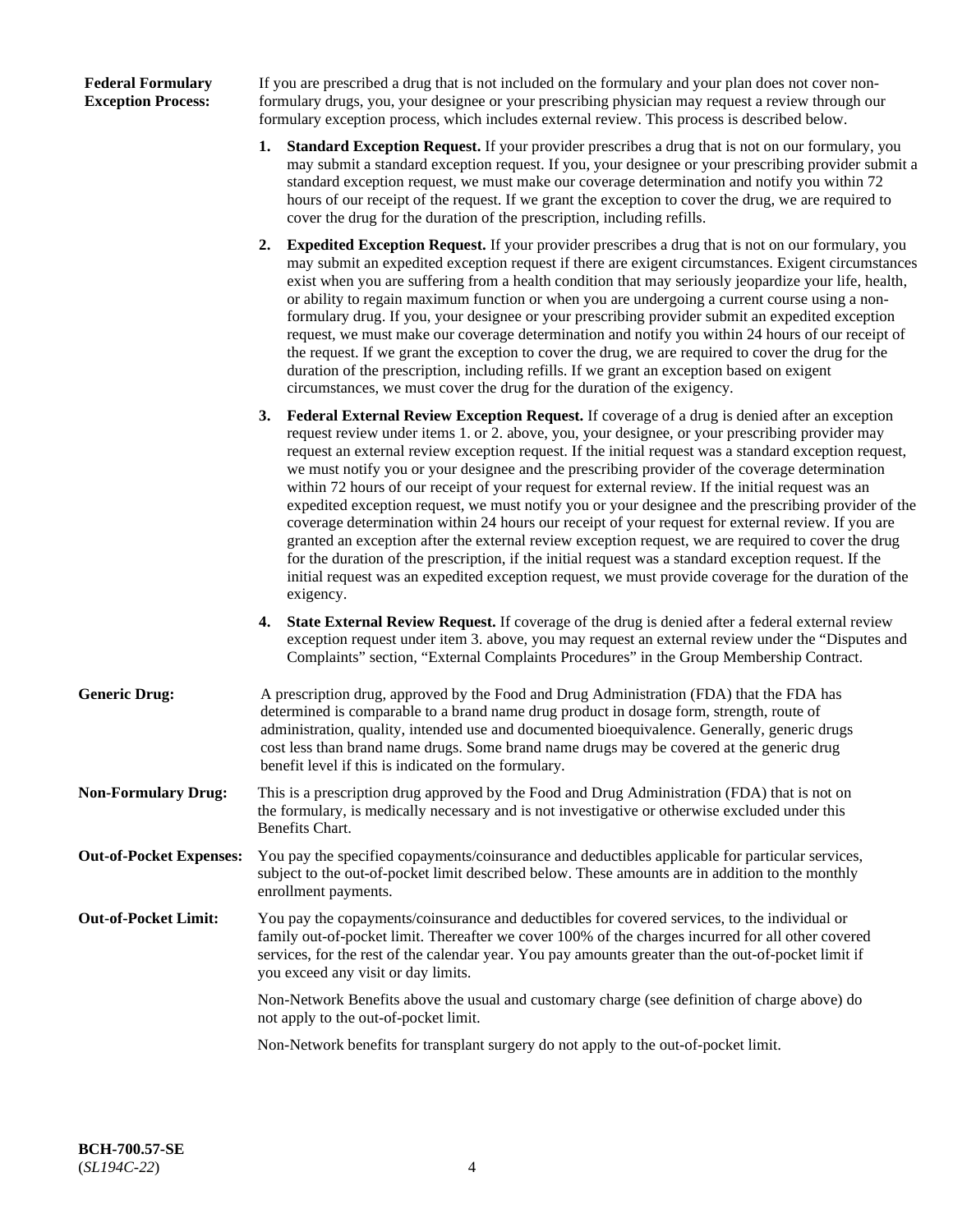# **Federal Formulary Exception Process:**

If you are prescribed a drug that is not included on the formulary and your plan does not cover nonformulary drugs, you, your designee or your prescribing physician may request a review through our formulary exception process, which includes external review. This process is described below.

- **1. Standard Exception Request.** If your provider prescribes a drug that is not on our formulary, you may submit a standard exception request. If you, your designee or your prescribing provider submit a standard exception request, we must make our coverage determination and notify you within 72 hours of our receipt of the request. If we grant the exception to cover the drug, we are required to cover the drug for the duration of the prescription, including refills.
- **2. Expedited Exception Request.** If your provider prescribes a drug that is not on our formulary, you may submit an expedited exception request if there are exigent circumstances. Exigent circumstances exist when you are suffering from a health condition that may seriously jeopardize your life, health, or ability to regain maximum function or when you are undergoing a current course using a nonformulary drug. If you, your designee or your prescribing provider submit an expedited exception request, we must make our coverage determination and notify you within 24 hours of our receipt of the request. If we grant the exception to cover the drug, we are required to cover the drug for the duration of the prescription, including refills. If we grant an exception based on exigent circumstances, we must cover the drug for the duration of the exigency.
- **3. Federal External Review Exception Request.** If coverage of a drug is denied after an exception request review under items 1. or 2. above, you, your designee, or your prescribing provider may request an external review exception request. If the initial request was a standard exception request, we must notify you or your designee and the prescribing provider of the coverage determination within 72 hours of our receipt of your request for external review. If the initial request was an expedited exception request, we must notify you or your designee and the prescribing provider of the coverage determination within 24 hours our receipt of your request for external review. If you are granted an exception after the external review exception request, we are required to cover the drug for the duration of the prescription, if the initial request was a standard exception request. If the initial request was an expedited exception request, we must provide coverage for the duration of the exigency.
- **4. State External Review Request.** If coverage of the drug is denied after a federal external review exception request under item 3. above, you may request an external review under the "Disputes and Complaints" section, "External Complaints Procedures" in the Group Membership Contract.
- **Generic Drug:** A prescription drug, approved by the Food and Drug Administration (FDA) that the FDA has determined is comparable to a brand name drug product in dosage form, strength, route of administration, quality, intended use and documented bioequivalence. Generally, generic drugs cost less than brand name drugs. Some brand name drugs may be covered at the generic drug benefit level if this is indicated on the formulary.
- **Non-Formulary Drug:** This is a prescription drug approved by the Food and Drug Administration (FDA) that is not on the formulary, is medically necessary and is not investigative or otherwise excluded under this Benefits Chart.
- **Out-of-Pocket Expenses:** You pay the specified copayments/coinsurance and deductibles applicable for particular services, subject to the out-of-pocket limit described below. These amounts are in addition to the monthly enrollment payments.
- **Out-of-Pocket Limit:** You pay the copayments/coinsurance and deductibles for covered services, to the individual or family out-of-pocket limit. Thereafter we cover 100% of the charges incurred for all other covered services, for the rest of the calendar year. You pay amounts greater than the out-of-pocket limit if you exceed any visit or day limits.

Non-Network Benefits above the usual and customary charge (see definition of charge above) do not apply to the out-of-pocket limit.

Non-Network benefits for transplant surgery do not apply to the out-of-pocket limit.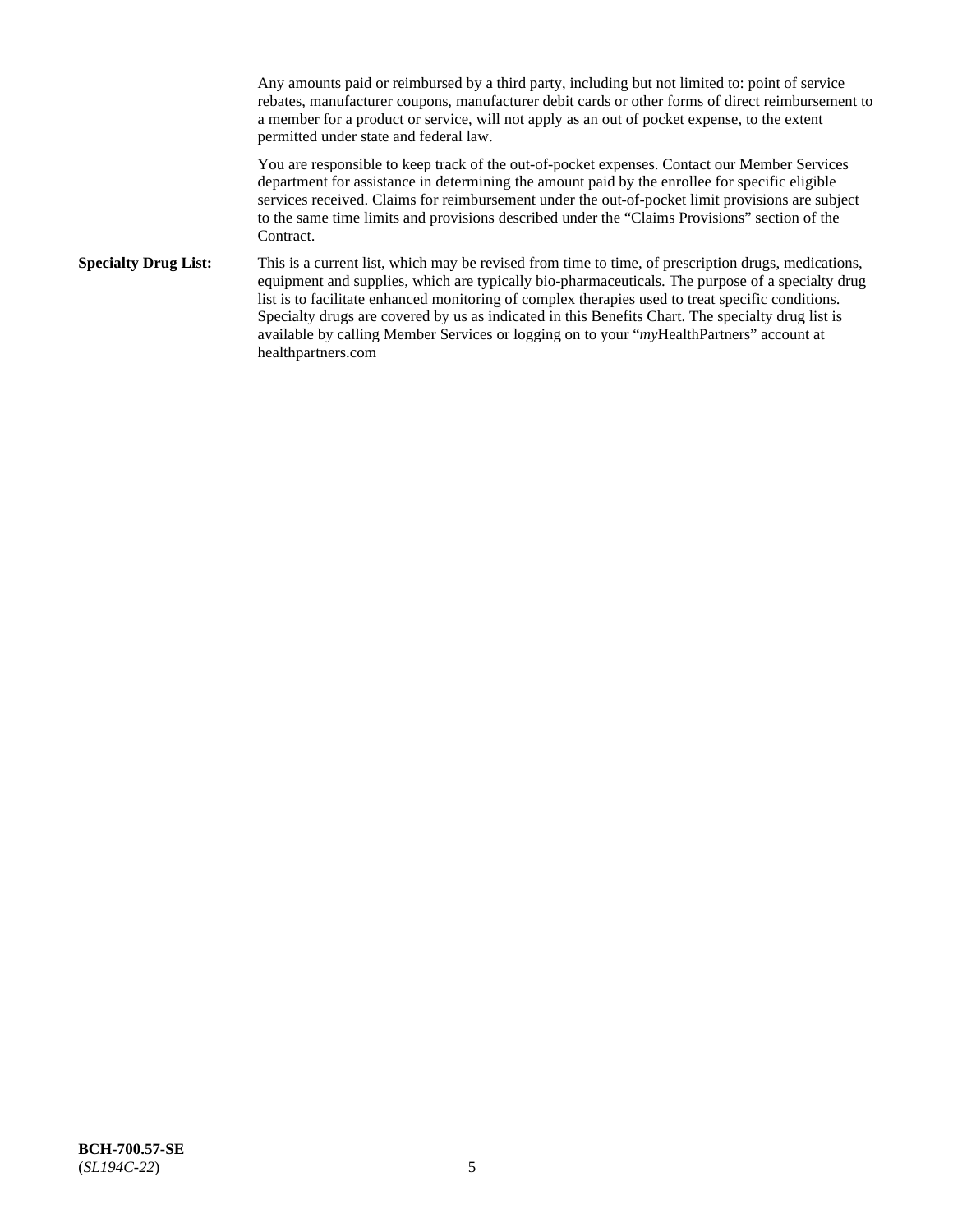Any amounts paid or reimbursed by a third party, including but not limited to: point of service rebates, manufacturer coupons, manufacturer debit cards or other forms of direct reimbursement to a member for a product or service, will not apply as an out of pocket expense, to the extent permitted under state and federal law.

You are responsible to keep track of the out-of-pocket expenses. Contact our Member Services department for assistance in determining the amount paid by the enrollee for specific eligible services received. Claims for reimbursement under the out-of-pocket limit provisions are subject to the same time limits and provisions described under the "Claims Provisions" section of the Contract.

**Specialty Drug List:** This is a current list, which may be revised from time to time, of prescription drugs, medications, equipment and supplies, which are typically bio-pharmaceuticals. The purpose of a specialty drug list is to facilitate enhanced monitoring of complex therapies used to treat specific conditions. Specialty drugs are covered by us as indicated in this Benefits Chart. The specialty drug list is available by calling Member Services or logging on to your "*my*HealthPartners" account at [healthpartners.com](https://www.healthpartners.com/hp/index.html)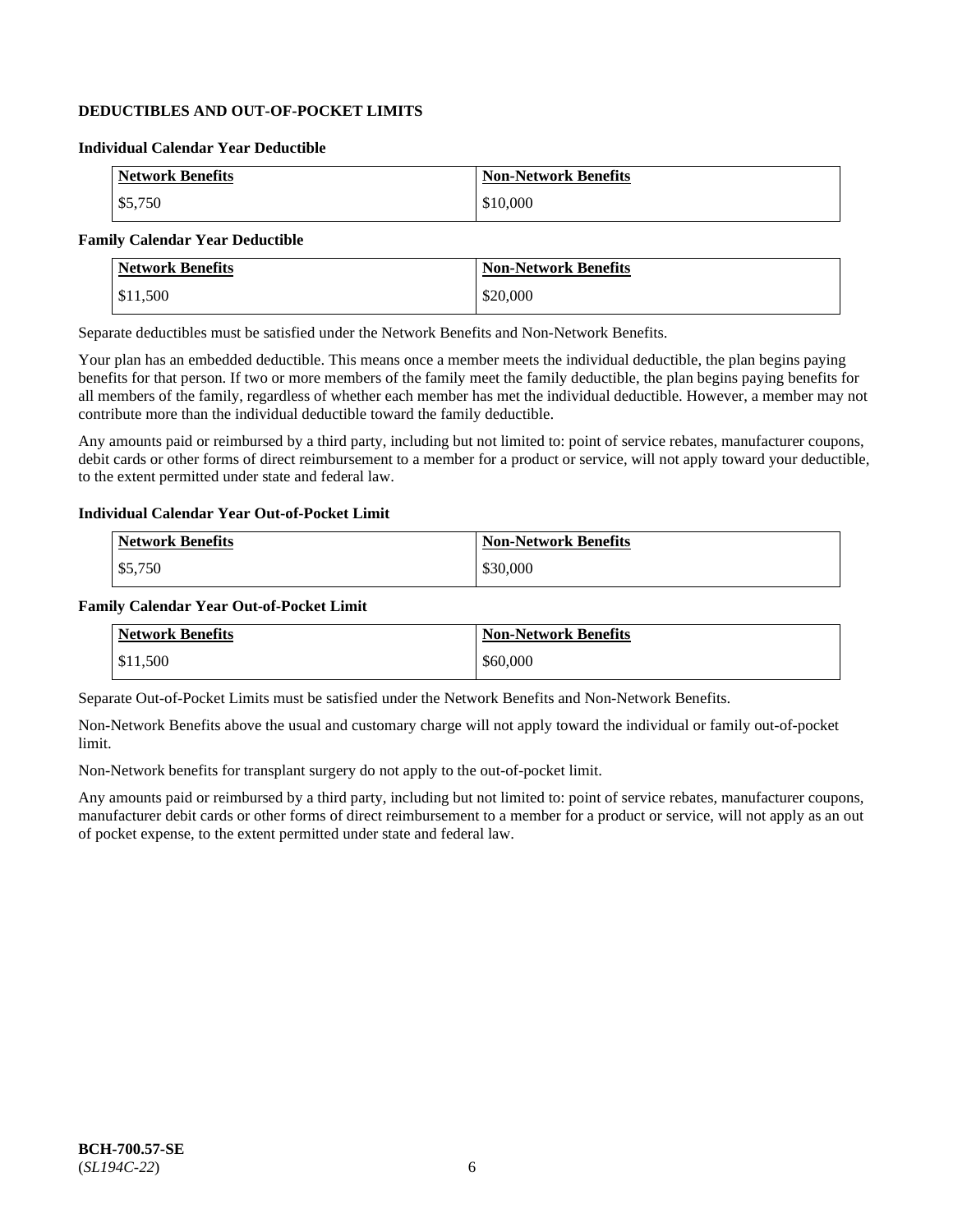# **DEDUCTIBLES AND OUT-OF-POCKET LIMITS**

# **Individual Calendar Year Deductible**

| <b>Network Benefits</b> | <b>Non-Network Benefits</b> |
|-------------------------|-----------------------------|
| \$5,750                 | \$10,000                    |

# **Family Calendar Year Deductible**

| <b>Network Benefits</b> | <b>Non-Network Benefits</b> |
|-------------------------|-----------------------------|
| \$11,500                | \$20,000                    |

Separate deductibles must be satisfied under the Network Benefits and Non-Network Benefits.

Your plan has an embedded deductible. This means once a member meets the individual deductible, the plan begins paying benefits for that person. If two or more members of the family meet the family deductible, the plan begins paying benefits for all members of the family, regardless of whether each member has met the individual deductible. However, a member may not contribute more than the individual deductible toward the family deductible.

Any amounts paid or reimbursed by a third party, including but not limited to: point of service rebates, manufacturer coupons, debit cards or other forms of direct reimbursement to a member for a product or service, will not apply toward your deductible, to the extent permitted under state and federal law.

#### **Individual Calendar Year Out-of-Pocket Limit**

| <b>Network Benefits</b> | <b>Non-Network Benefits</b> |
|-------------------------|-----------------------------|
| \$5,750                 | \$30,000                    |

#### **Family Calendar Year Out-of-Pocket Limit**

| <b>Network Benefits</b> | <b>Non-Network Benefits</b> |
|-------------------------|-----------------------------|
| \$11.500                | \$60,000                    |

Separate Out-of-Pocket Limits must be satisfied under the Network Benefits and Non-Network Benefits.

Non-Network Benefits above the usual and customary charge will not apply toward the individual or family out-of-pocket limit.

Non-Network benefits for transplant surgery do not apply to the out-of-pocket limit.

Any amounts paid or reimbursed by a third party, including but not limited to: point of service rebates, manufacturer coupons, manufacturer debit cards or other forms of direct reimbursement to a member for a product or service, will not apply as an out of pocket expense, to the extent permitted under state and federal law.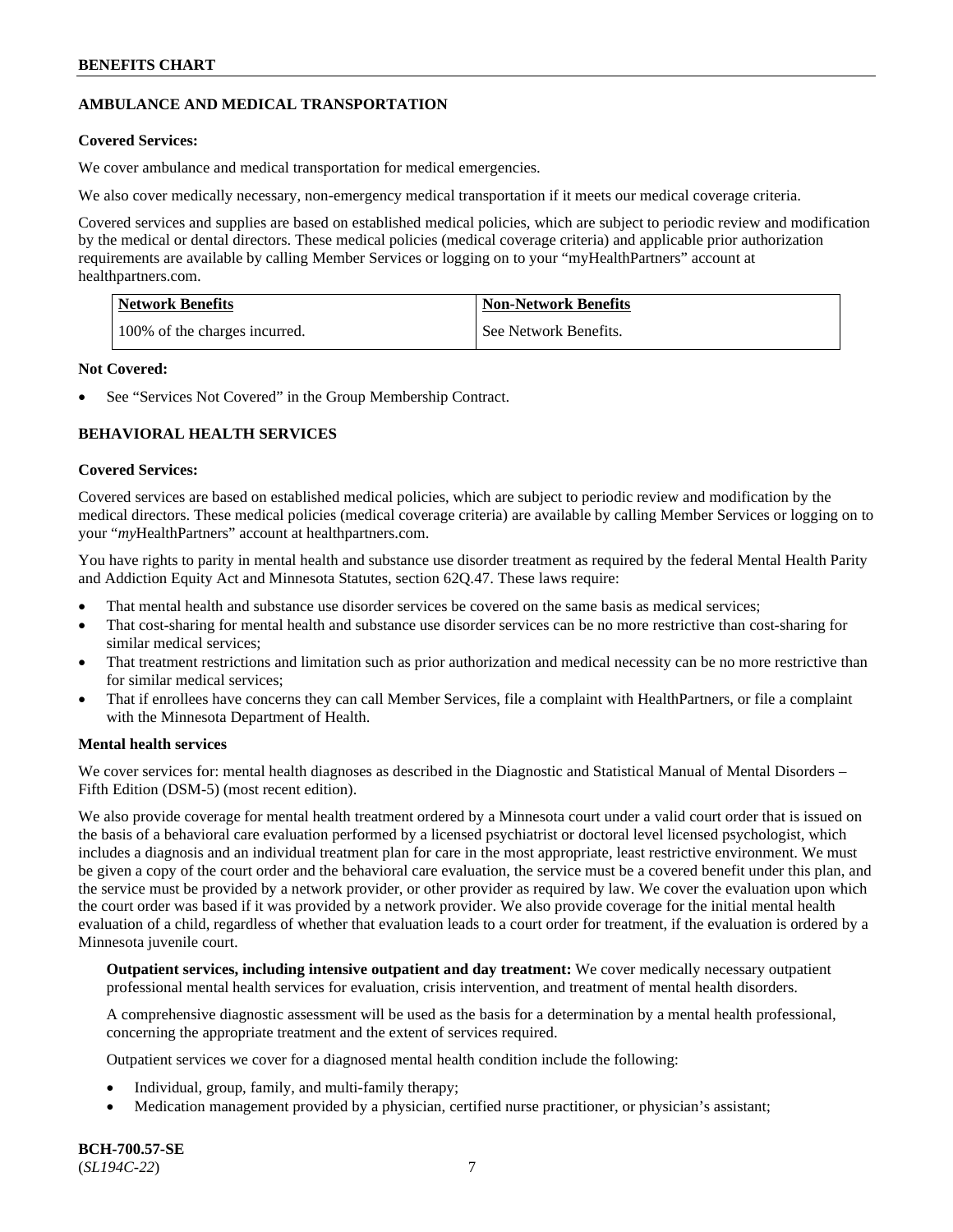# **AMBULANCE AND MEDICAL TRANSPORTATION**

# **Covered Services:**

We cover ambulance and medical transportation for medical emergencies.

We also cover medically necessary, non-emergency medical transportation if it meets our medical coverage criteria.

Covered services and supplies are based on established medical policies, which are subject to periodic review and modification by the medical or dental directors. These medical policies (medical coverage criteria) and applicable prior authorization requirements are available by calling Member Services or logging on to your "myHealthPartners" account at [healthpartners.com.](https://www.healthpartners.com/hp/index.html)

| Network Benefits              | <b>Non-Network Benefits</b> |
|-------------------------------|-----------------------------|
| 100% of the charges incurred. | See Network Benefits.       |

### **Not Covered:**

See "Services Not Covered" in the Group Membership Contract.

# **BEHAVIORAL HEALTH SERVICES**

#### **Covered Services:**

Covered services are based on established medical policies, which are subject to periodic review and modification by the medical directors. These medical policies (medical coverage criteria) are available by calling Member Services or logging on to your "*my*HealthPartners" account at [healthpartners.com.](http://www.healthpartners.com/)

You have rights to parity in mental health and substance use disorder treatment as required by the federal Mental Health Parity and Addiction Equity Act and Minnesota Statutes, section 62Q.47. These laws require:

- That mental health and substance use disorder services be covered on the same basis as medical services;
- That cost-sharing for mental health and substance use disorder services can be no more restrictive than cost-sharing for similar medical services;
- That treatment restrictions and limitation such as prior authorization and medical necessity can be no more restrictive than for similar medical services;
- That if enrollees have concerns they can call Member Services, file a complaint with HealthPartners, or file a complaint with the Minnesota Department of Health.

# **Mental health services**

We cover services for: mental health diagnoses as described in the Diagnostic and Statistical Manual of Mental Disorders – Fifth Edition (DSM-5) (most recent edition).

We also provide coverage for mental health treatment ordered by a Minnesota court under a valid court order that is issued on the basis of a behavioral care evaluation performed by a licensed psychiatrist or doctoral level licensed psychologist, which includes a diagnosis and an individual treatment plan for care in the most appropriate, least restrictive environment. We must be given a copy of the court order and the behavioral care evaluation, the service must be a covered benefit under this plan, and the service must be provided by a network provider, or other provider as required by law. We cover the evaluation upon which the court order was based if it was provided by a network provider. We also provide coverage for the initial mental health evaluation of a child, regardless of whether that evaluation leads to a court order for treatment, if the evaluation is ordered by a Minnesota juvenile court.

**Outpatient services, including intensive outpatient and day treatment:** We cover medically necessary outpatient professional mental health services for evaluation, crisis intervention, and treatment of mental health disorders.

A comprehensive diagnostic assessment will be used as the basis for a determination by a mental health professional, concerning the appropriate treatment and the extent of services required.

Outpatient services we cover for a diagnosed mental health condition include the following:

- Individual, group, family, and multi-family therapy;
- Medication management provided by a physician, certified nurse practitioner, or physician's assistant;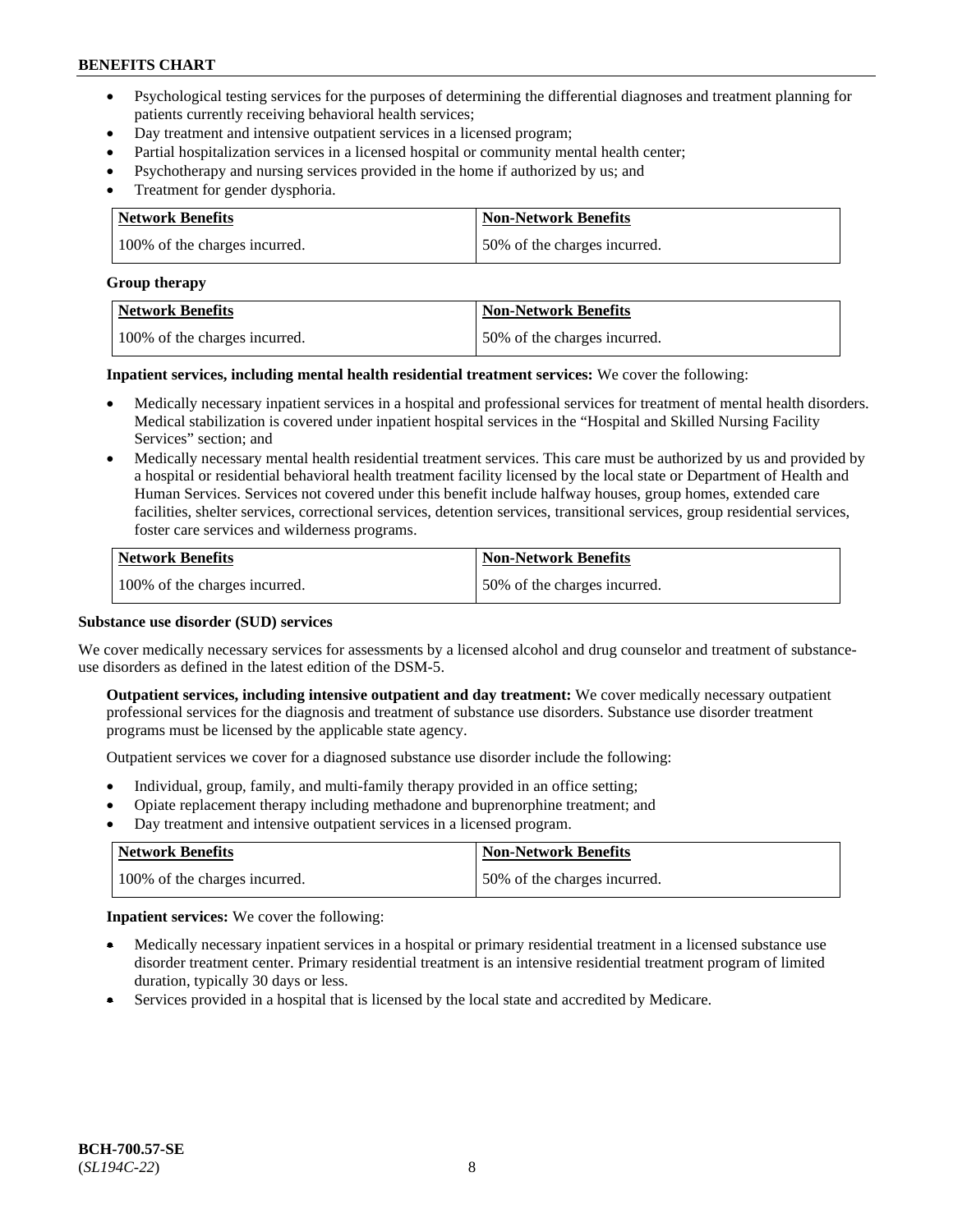- Psychological testing services for the purposes of determining the differential diagnoses and treatment planning for patients currently receiving behavioral health services;
- Day treatment and intensive outpatient services in a licensed program;
- Partial hospitalization services in a licensed hospital or community mental health center;
- Psychotherapy and nursing services provided in the home if authorized by us; and
- Treatment for gender dysphoria.

| Network Benefits              | <b>Non-Network Benefits</b>  |
|-------------------------------|------------------------------|
| 100% of the charges incurred. | 50% of the charges incurred. |

#### **Group therapy**

| Network Benefits              | <b>Non-Network Benefits</b>  |
|-------------------------------|------------------------------|
| 100% of the charges incurred. | 50% of the charges incurred. |

**Inpatient services, including mental health residential treatment services:** We cover the following:

- Medically necessary inpatient services in a hospital and professional services for treatment of mental health disorders. Medical stabilization is covered under inpatient hospital services in the "Hospital and Skilled Nursing Facility Services" section; and
- Medically necessary mental health residential treatment services. This care must be authorized by us and provided by a hospital or residential behavioral health treatment facility licensed by the local state or Department of Health and Human Services. Services not covered under this benefit include halfway houses, group homes, extended care facilities, shelter services, correctional services, detention services, transitional services, group residential services, foster care services and wilderness programs.

| Network Benefits              | <b>Non-Network Benefits</b>  |
|-------------------------------|------------------------------|
| 100% of the charges incurred. | 50% of the charges incurred. |

### **Substance use disorder (SUD) services**

We cover medically necessary services for assessments by a licensed alcohol and drug counselor and treatment of substanceuse disorders as defined in the latest edition of the DSM-5.

**Outpatient services, including intensive outpatient and day treatment:** We cover medically necessary outpatient professional services for the diagnosis and treatment of substance use disorders. Substance use disorder treatment programs must be licensed by the applicable state agency.

Outpatient services we cover for a diagnosed substance use disorder include the following:

- Individual, group, family, and multi-family therapy provided in an office setting;
- Opiate replacement therapy including methadone and buprenorphine treatment; and
- Day treatment and intensive outpatient services in a licensed program.

| Network Benefits              | <b>Non-Network Benefits</b>  |
|-------------------------------|------------------------------|
| 100% of the charges incurred. | 50% of the charges incurred. |

**Inpatient services:** We cover the following:

- Medically necessary inpatient services in a hospital or primary residential treatment in a licensed substance use disorder treatment center. Primary residential treatment is an intensive residential treatment program of limited duration, typically 30 days or less.
- Services provided in a hospital that is licensed by the local state and accredited by Medicare.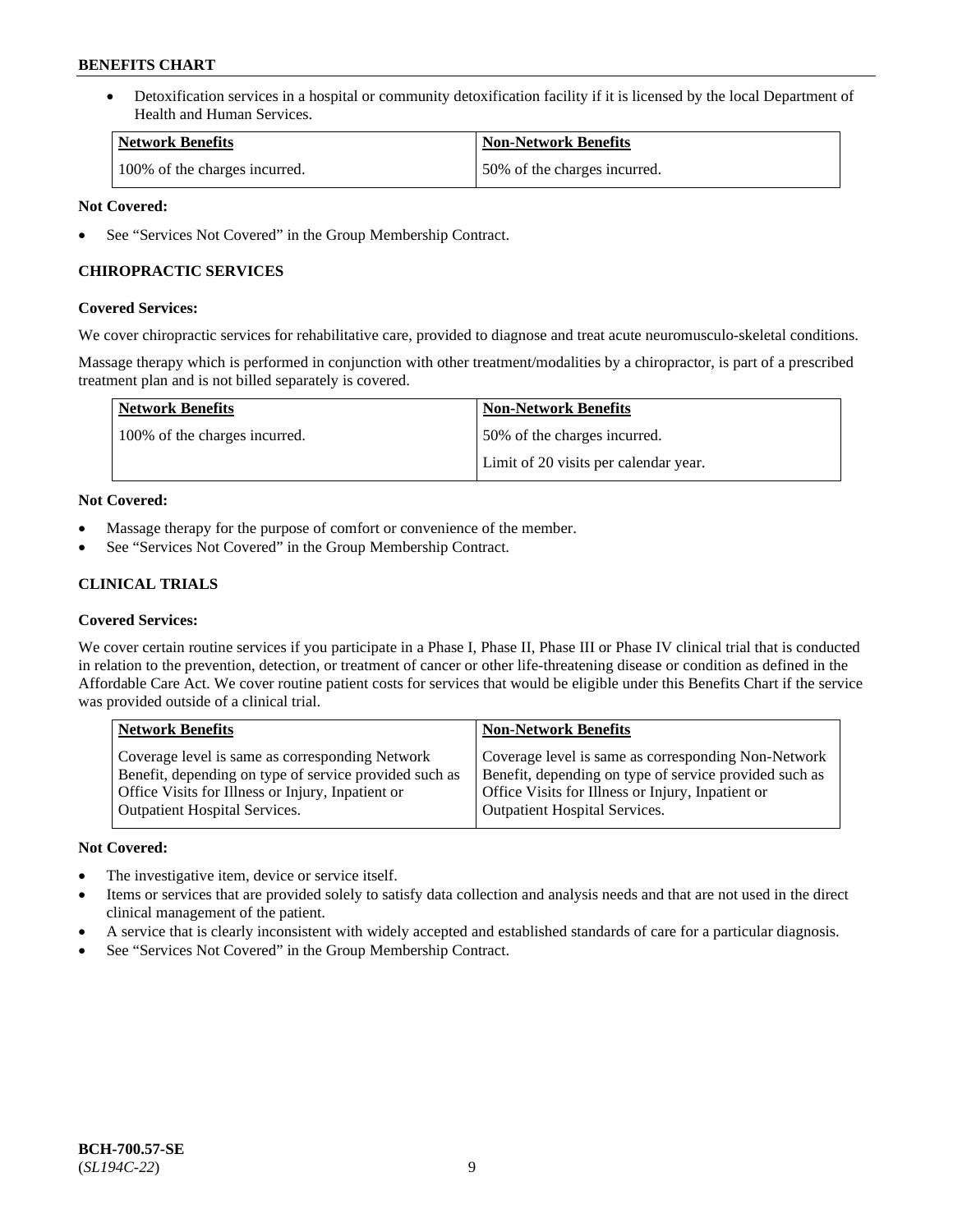• Detoxification services in a hospital or community detoxification facility if it is licensed by the local Department of Health and Human Services.

| <b>Network Benefits</b>       | <b>Non-Network Benefits</b>  |
|-------------------------------|------------------------------|
| 100% of the charges incurred. | 50% of the charges incurred. |

# **Not Covered:**

See "Services Not Covered" in the Group Membership Contract.

# **CHIROPRACTIC SERVICES**

# **Covered Services:**

We cover chiropractic services for rehabilitative care, provided to diagnose and treat acute neuromusculo-skeletal conditions.

Massage therapy which is performed in conjunction with other treatment/modalities by a chiropractor, is part of a prescribed treatment plan and is not billed separately is covered.

| <b>Network Benefits</b>       | <b>Non-Network Benefits</b>           |
|-------------------------------|---------------------------------------|
| 100% of the charges incurred. | 50% of the charges incurred.          |
|                               | Limit of 20 visits per calendar year. |

# **Not Covered:**

- Massage therapy for the purpose of comfort or convenience of the member.
- See "Services Not Covered" in the Group Membership Contract.

# **CLINICAL TRIALS**

# **Covered Services:**

We cover certain routine services if you participate in a Phase I, Phase II, Phase III or Phase IV clinical trial that is conducted in relation to the prevention, detection, or treatment of cancer or other life-threatening disease or condition as defined in the Affordable Care Act. We cover routine patient costs for services that would be eligible under this Benefits Chart if the service was provided outside of a clinical trial.

| <b>Network Benefits</b>                                                                                                                                                                                | <b>Non-Network Benefits</b>                                                                                                                                                                         |
|--------------------------------------------------------------------------------------------------------------------------------------------------------------------------------------------------------|-----------------------------------------------------------------------------------------------------------------------------------------------------------------------------------------------------|
| Coverage level is same as corresponding Network<br>Benefit, depending on type of service provided such as<br>Office Visits for Illness or Injury, Inpatient or<br><b>Outpatient Hospital Services.</b> | Coverage level is same as corresponding Non-Network<br>Benefit, depending on type of service provided such as<br>Office Visits for Illness or Injury, Inpatient or<br>Outpatient Hospital Services. |
|                                                                                                                                                                                                        |                                                                                                                                                                                                     |

# **Not Covered:**

- The investigative item, device or service itself.
- Items or services that are provided solely to satisfy data collection and analysis needs and that are not used in the direct clinical management of the patient.
- A service that is clearly inconsistent with widely accepted and established standards of care for a particular diagnosis.
- See "Services Not Covered" in the Group Membership Contract.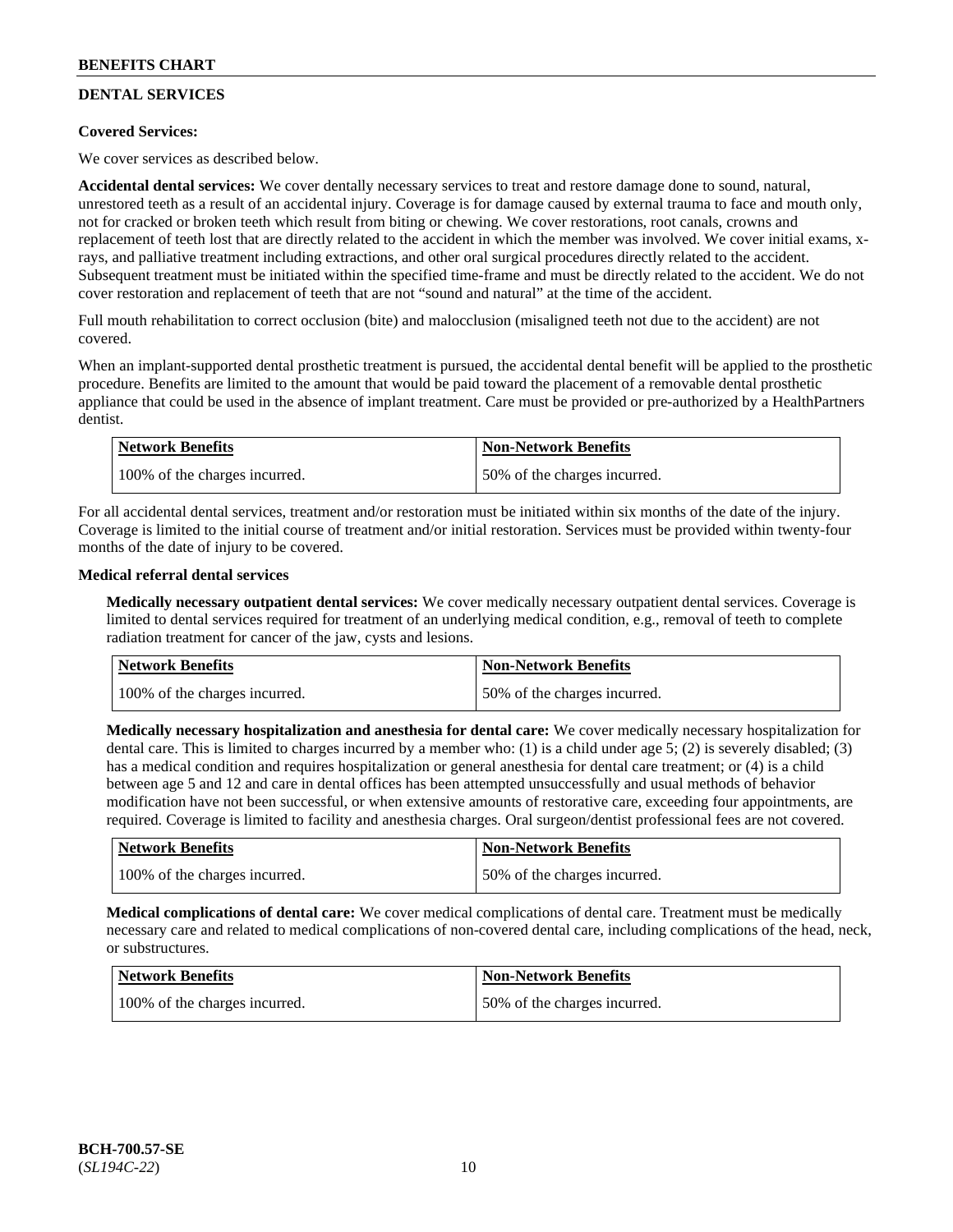# **DENTAL SERVICES**

# **Covered Services:**

We cover services as described below.

**Accidental dental services:** We cover dentally necessary services to treat and restore damage done to sound, natural, unrestored teeth as a result of an accidental injury. Coverage is for damage caused by external trauma to face and mouth only, not for cracked or broken teeth which result from biting or chewing. We cover restorations, root canals, crowns and replacement of teeth lost that are directly related to the accident in which the member was involved. We cover initial exams, xrays, and palliative treatment including extractions, and other oral surgical procedures directly related to the accident. Subsequent treatment must be initiated within the specified time-frame and must be directly related to the accident. We do not cover restoration and replacement of teeth that are not "sound and natural" at the time of the accident.

Full mouth rehabilitation to correct occlusion (bite) and malocclusion (misaligned teeth not due to the accident) are not covered.

When an implant-supported dental prosthetic treatment is pursued, the accidental dental benefit will be applied to the prosthetic procedure. Benefits are limited to the amount that would be paid toward the placement of a removable dental prosthetic appliance that could be used in the absence of implant treatment. Care must be provided or pre-authorized by a HealthPartners dentist.

| Network Benefits              | <b>Non-Network Benefits</b>  |
|-------------------------------|------------------------------|
| 100% of the charges incurred. | 50% of the charges incurred. |

For all accidental dental services, treatment and/or restoration must be initiated within six months of the date of the injury. Coverage is limited to the initial course of treatment and/or initial restoration. Services must be provided within twenty-four months of the date of injury to be covered.

# **Medical referral dental services**

**Medically necessary outpatient dental services:** We cover medically necessary outpatient dental services. Coverage is limited to dental services required for treatment of an underlying medical condition, e.g., removal of teeth to complete radiation treatment for cancer of the jaw, cysts and lesions.

| Network Benefits              | <b>Non-Network Benefits</b>  |
|-------------------------------|------------------------------|
| 100% of the charges incurred. | 50% of the charges incurred. |

**Medically necessary hospitalization and anesthesia for dental care:** We cover medically necessary hospitalization for dental care. This is limited to charges incurred by a member who: (1) is a child under age 5; (2) is severely disabled; (3) has a medical condition and requires hospitalization or general anesthesia for dental care treatment; or (4) is a child between age 5 and 12 and care in dental offices has been attempted unsuccessfully and usual methods of behavior modification have not been successful, or when extensive amounts of restorative care, exceeding four appointments, are required. Coverage is limited to facility and anesthesia charges. Oral surgeon/dentist professional fees are not covered.

| <b>Network Benefits</b>       | <b>Non-Network Benefits</b>  |
|-------------------------------|------------------------------|
| 100% of the charges incurred. | 50% of the charges incurred. |

**Medical complications of dental care:** We cover medical complications of dental care. Treatment must be medically necessary care and related to medical complications of non-covered dental care, including complications of the head, neck, or substructures.

| Network Benefits              | <b>Non-Network Benefits</b>  |
|-------------------------------|------------------------------|
| 100% of the charges incurred. | 50% of the charges incurred. |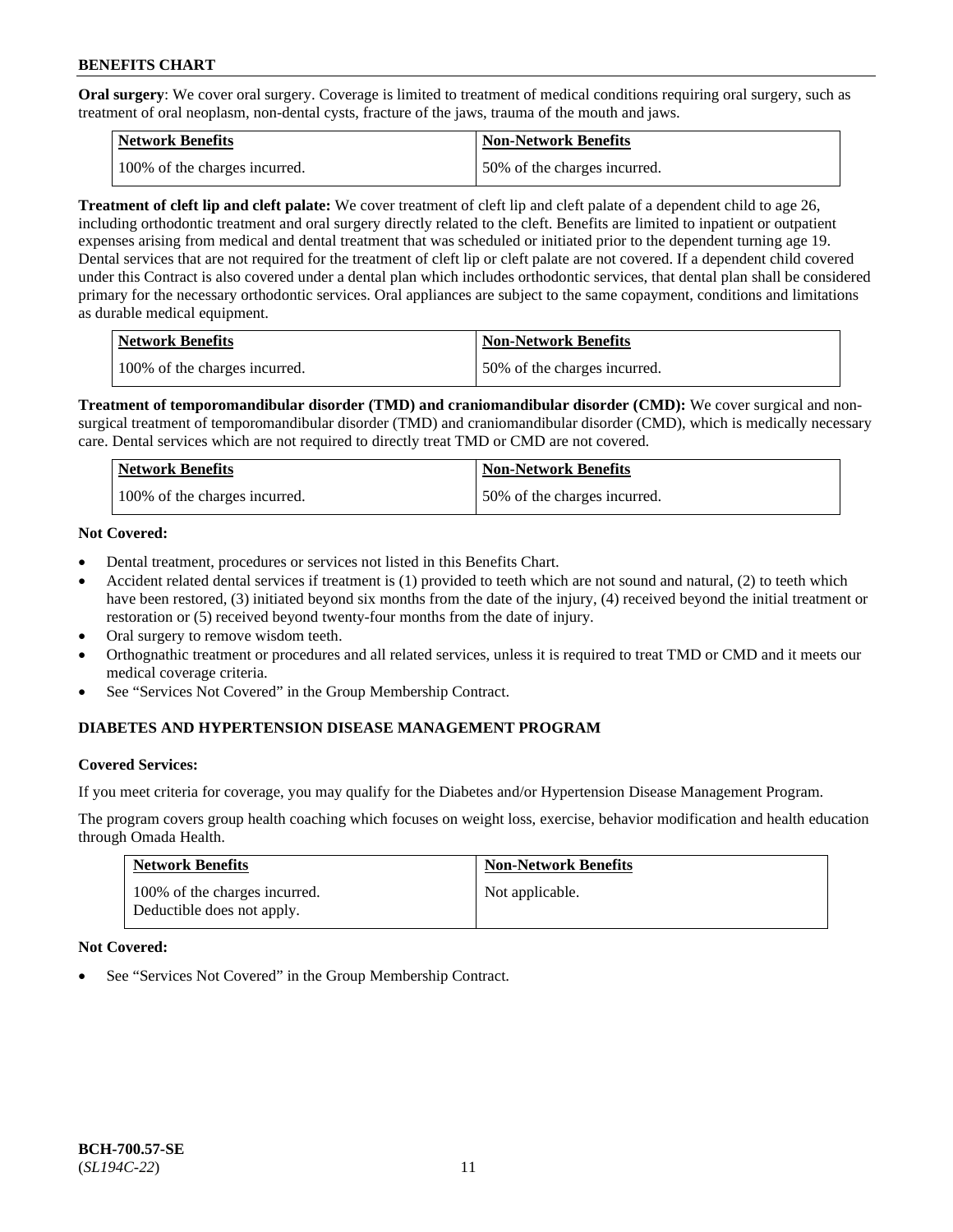**Oral surgery**: We cover oral surgery. Coverage is limited to treatment of medical conditions requiring oral surgery, such as treatment of oral neoplasm, non-dental cysts, fracture of the jaws, trauma of the mouth and jaws.

| Network Benefits              | <b>Non-Network Benefits</b>  |
|-------------------------------|------------------------------|
| 100% of the charges incurred. | 50% of the charges incurred. |

**Treatment of cleft lip and cleft palate:** We cover treatment of cleft lip and cleft palate of a dependent child to age 26, including orthodontic treatment and oral surgery directly related to the cleft. Benefits are limited to inpatient or outpatient expenses arising from medical and dental treatment that was scheduled or initiated prior to the dependent turning age 19. Dental services that are not required for the treatment of cleft lip or cleft palate are not covered. If a dependent child covered under this Contract is also covered under a dental plan which includes orthodontic services, that dental plan shall be considered primary for the necessary orthodontic services. Oral appliances are subject to the same copayment, conditions and limitations as durable medical equipment.

| <b>Network Benefits</b>       | <b>Non-Network Benefits</b>  |
|-------------------------------|------------------------------|
| 100% of the charges incurred. | 50% of the charges incurred. |

**Treatment of temporomandibular disorder (TMD) and craniomandibular disorder (CMD):** We cover surgical and nonsurgical treatment of temporomandibular disorder (TMD) and craniomandibular disorder (CMD), which is medically necessary care. Dental services which are not required to directly treat TMD or CMD are not covered.

| Network Benefits              | <b>Non-Network Benefits</b>  |
|-------------------------------|------------------------------|
| 100% of the charges incurred. | 50% of the charges incurred. |

# **Not Covered:**

- Dental treatment, procedures or services not listed in this Benefits Chart.
- Accident related dental services if treatment is (1) provided to teeth which are not sound and natural, (2) to teeth which have been restored, (3) initiated beyond six months from the date of the injury, (4) received beyond the initial treatment or restoration or (5) received beyond twenty-four months from the date of injury.
- Oral surgery to remove wisdom teeth.
- Orthognathic treatment or procedures and all related services, unless it is required to treat TMD or CMD and it meets our medical coverage criteria.
- See "Services Not Covered" in the Group Membership Contract.

# **DIABETES AND HYPERTENSION DISEASE MANAGEMENT PROGRAM**

#### **Covered Services:**

If you meet criteria for coverage, you may qualify for the Diabetes and/or Hypertension Disease Management Program.

The program covers group health coaching which focuses on weight loss, exercise, behavior modification and health education through Omada Health.

| <b>Network Benefits</b>                                     | <b>Non-Network Benefits</b> |
|-------------------------------------------------------------|-----------------------------|
| 100% of the charges incurred.<br>Deductible does not apply. | Not applicable.             |

#### **Not Covered:**

See "Services Not Covered" in the Group Membership Contract.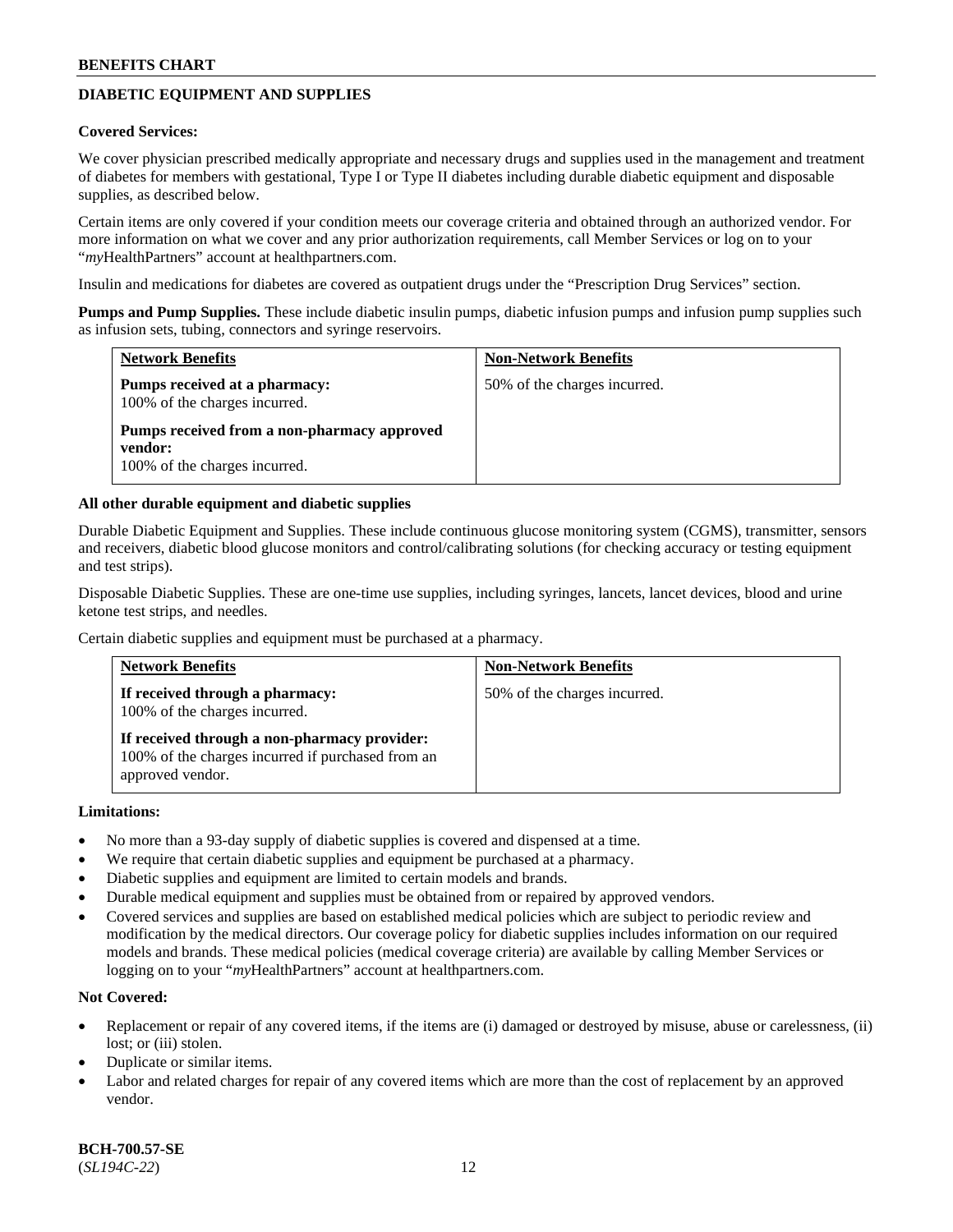# **DIABETIC EQUIPMENT AND SUPPLIES**

#### **Covered Services:**

We cover physician prescribed medically appropriate and necessary drugs and supplies used in the management and treatment of diabetes for members with gestational, Type I or Type II diabetes including durable diabetic equipment and disposable supplies, as described below.

Certain items are only covered if your condition meets our coverage criteria and obtained through an authorized vendor. For more information on what we cover and any prior authorization requirements, call Member Services or log on to your "*my*HealthPartners" account at [healthpartners.com.](http://www.healthpartners.com/)

Insulin and medications for diabetes are covered as outpatient drugs under the "Prescription Drug Services" section.

**Pumps and Pump Supplies.** These include diabetic insulin pumps, diabetic infusion pumps and infusion pump supplies such as infusion sets, tubing, connectors and syringe reservoirs.

| <b>Network Benefits</b>                                                                 | <b>Non-Network Benefits</b>  |
|-----------------------------------------------------------------------------------------|------------------------------|
| Pumps received at a pharmacy:<br>100% of the charges incurred.                          | 50% of the charges incurred. |
| Pumps received from a non-pharmacy approved<br>vendor:<br>100% of the charges incurred. |                              |

#### **All other durable equipment and diabetic supplies**

Durable Diabetic Equipment and Supplies. These include continuous glucose monitoring system (CGMS), transmitter, sensors and receivers, diabetic blood glucose monitors and control/calibrating solutions (for checking accuracy or testing equipment and test strips).

Disposable Diabetic Supplies. These are one-time use supplies, including syringes, lancets, lancet devices, blood and urine ketone test strips, and needles.

Certain diabetic supplies and equipment must be purchased at a pharmacy.

| <b>Network Benefits</b>                                                                                               | <b>Non-Network Benefits</b>  |
|-----------------------------------------------------------------------------------------------------------------------|------------------------------|
| If received through a pharmacy:<br>100% of the charges incurred.                                                      | 50% of the charges incurred. |
| If received through a non-pharmacy provider:<br>100% of the charges incurred if purchased from an<br>approved vendor. |                              |

#### **Limitations:**

- No more than a 93-day supply of diabetic supplies is covered and dispensed at a time.
- We require that certain diabetic supplies and equipment be purchased at a pharmacy.
- Diabetic supplies and equipment are limited to certain models and brands.
- Durable medical equipment and supplies must be obtained from or repaired by approved vendors.
- Covered services and supplies are based on established medical policies which are subject to periodic review and modification by the medical directors. Our coverage policy for diabetic supplies includes information on our required models and brands. These medical policies (medical coverage criteria) are available by calling Member Services or logging on to your "*my*HealthPartners" account at [healthpartners.com.](http://www.healthpartners.com/)

# **Not Covered:**

- Replacement or repair of any covered items, if the items are (i) damaged or destroyed by misuse, abuse or carelessness, (ii) lost; or (iii) stolen.
- Duplicate or similar items.
- Labor and related charges for repair of any covered items which are more than the cost of replacement by an approved vendor.

**BCH-700.57-SE** (*SL194C-22*) 12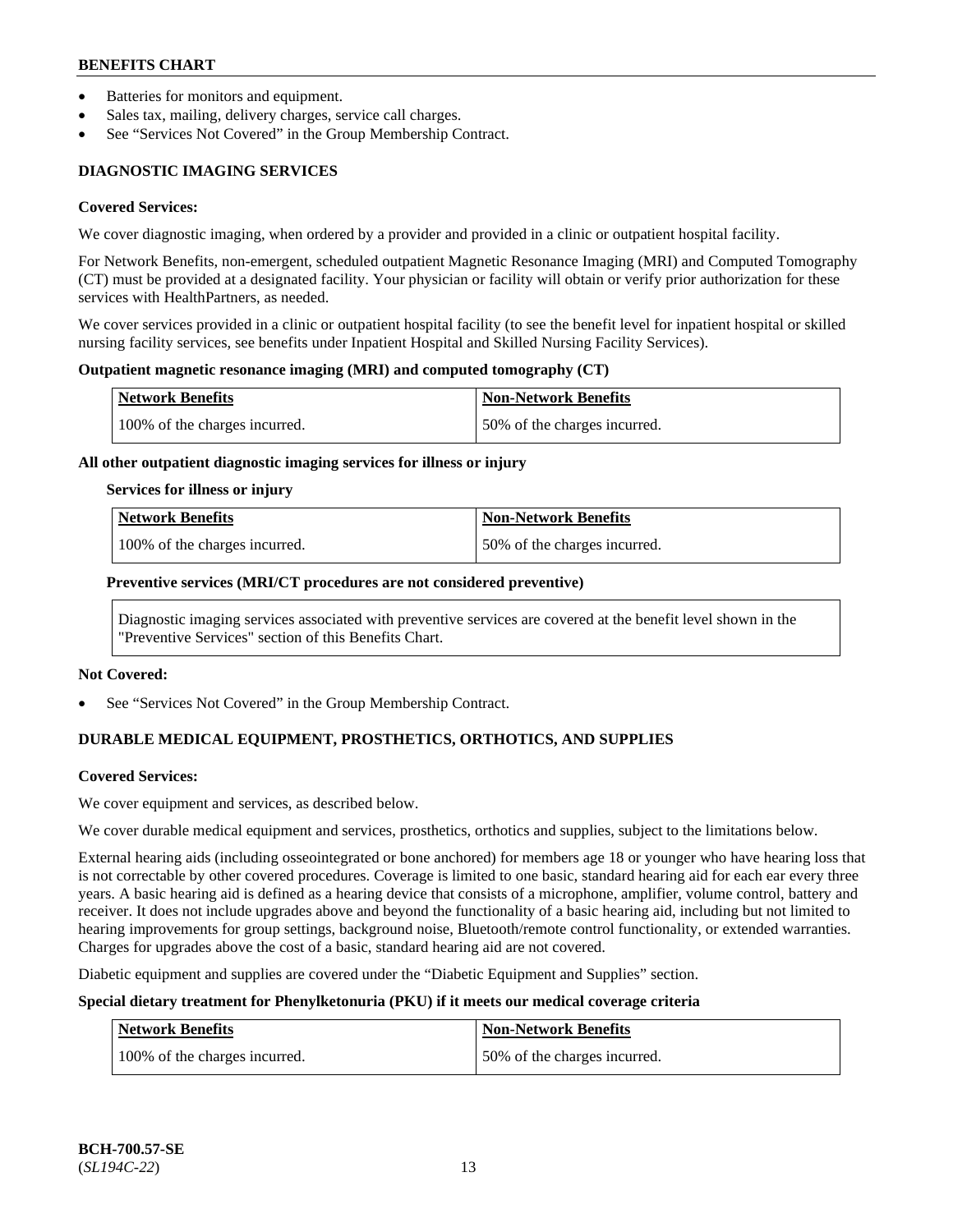- Batteries for monitors and equipment.
- Sales tax, mailing, delivery charges, service call charges.
- See "Services Not Covered" in the Group Membership Contract.

# **DIAGNOSTIC IMAGING SERVICES**

#### **Covered Services:**

We cover diagnostic imaging, when ordered by a provider and provided in a clinic or outpatient hospital facility.

For Network Benefits, non-emergent, scheduled outpatient Magnetic Resonance Imaging (MRI) and Computed Tomography (CT) must be provided at a designated facility. Your physician or facility will obtain or verify prior authorization for these services with HealthPartners, as needed.

We cover services provided in a clinic or outpatient hospital facility (to see the benefit level for inpatient hospital or skilled nursing facility services, see benefits under Inpatient Hospital and Skilled Nursing Facility Services).

#### **Outpatient magnetic resonance imaging (MRI) and computed tomography (CT)**

| Network Benefits              | <b>Non-Network Benefits</b>  |
|-------------------------------|------------------------------|
| 100% of the charges incurred. | 50% of the charges incurred. |

#### **All other outpatient diagnostic imaging services for illness or injury**

#### **Services for illness or injury**

| Network Benefits              | <b>Non-Network Benefits</b>  |
|-------------------------------|------------------------------|
| 100% of the charges incurred. | 50% of the charges incurred. |

#### **Preventive services (MRI/CT procedures are not considered preventive)**

Diagnostic imaging services associated with preventive services are covered at the benefit level shown in the "Preventive Services" section of this Benefits Chart.

#### **Not Covered:**

See "Services Not Covered" in the Group Membership Contract.

# **DURABLE MEDICAL EQUIPMENT, PROSTHETICS, ORTHOTICS, AND SUPPLIES**

#### **Covered Services:**

We cover equipment and services, as described below.

We cover durable medical equipment and services, prosthetics, orthotics and supplies, subject to the limitations below.

External hearing aids (including osseointegrated or bone anchored) for members age 18 or younger who have hearing loss that is not correctable by other covered procedures. Coverage is limited to one basic, standard hearing aid for each ear every three years. A basic hearing aid is defined as a hearing device that consists of a microphone, amplifier, volume control, battery and receiver. It does not include upgrades above and beyond the functionality of a basic hearing aid, including but not limited to hearing improvements for group settings, background noise, Bluetooth/remote control functionality, or extended warranties. Charges for upgrades above the cost of a basic, standard hearing aid are not covered.

Diabetic equipment and supplies are covered under the "Diabetic Equipment and Supplies" section.

# **Special dietary treatment for Phenylketonuria (PKU) if it meets our medical coverage criteria**

| <b>Network Benefits</b>       | Non-Network Benefits         |
|-------------------------------|------------------------------|
| 100% of the charges incurred. | 50% of the charges incurred. |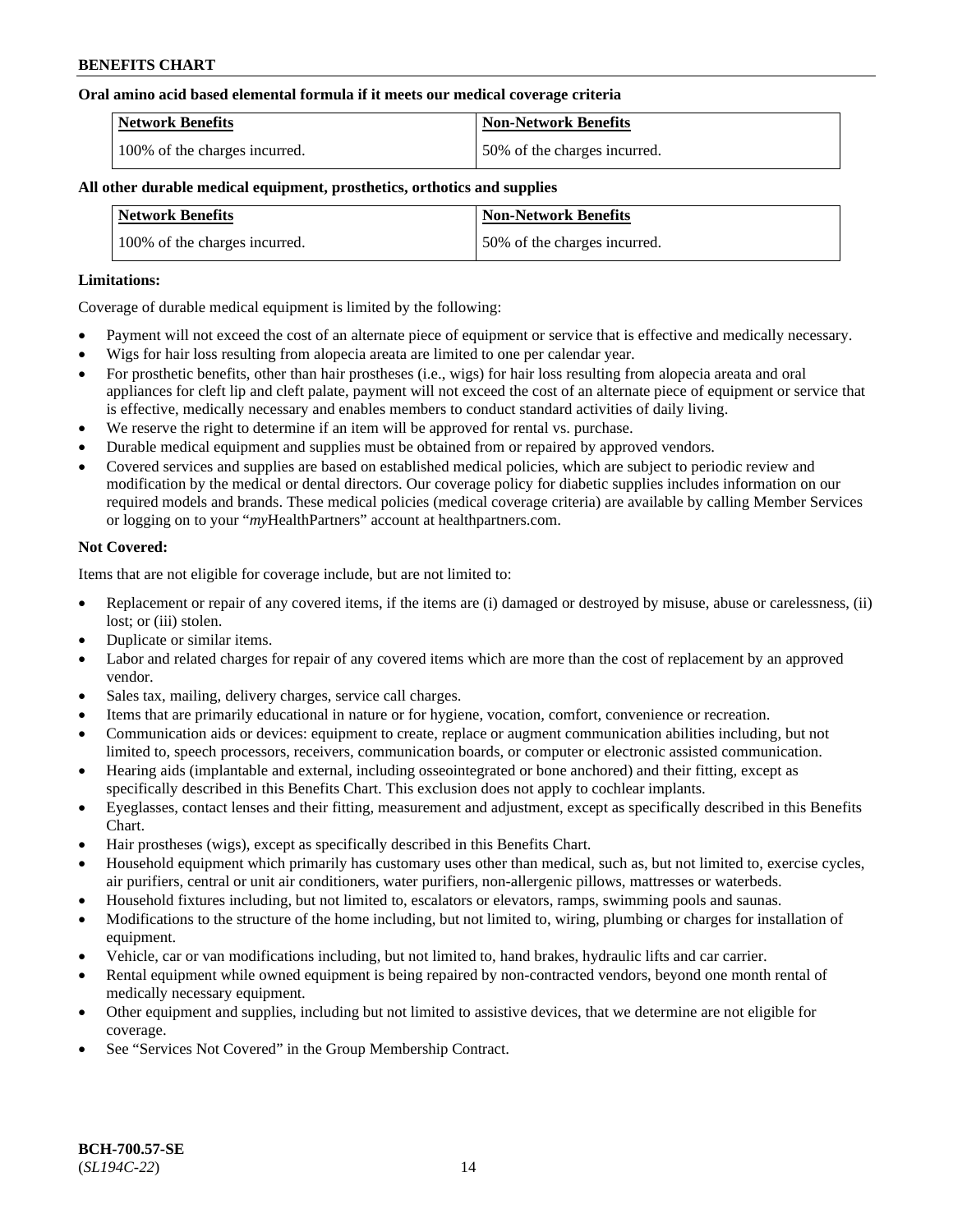#### **Oral amino acid based elemental formula if it meets our medical coverage criteria**

| Network Benefits              | <b>Non-Network Benefits</b>  |
|-------------------------------|------------------------------|
| 100% of the charges incurred. | 50% of the charges incurred. |

### **All other durable medical equipment, prosthetics, orthotics and supplies**

| <b>Network Benefits</b>       | <b>Non-Network Benefits</b>  |
|-------------------------------|------------------------------|
| 100% of the charges incurred. | 50% of the charges incurred. |

#### **Limitations:**

Coverage of durable medical equipment is limited by the following:

- Payment will not exceed the cost of an alternate piece of equipment or service that is effective and medically necessary.
- Wigs for hair loss resulting from alopecia areata are limited to one per calendar year.
- For prosthetic benefits, other than hair prostheses (i.e., wigs) for hair loss resulting from alopecia areata and oral appliances for cleft lip and cleft palate, payment will not exceed the cost of an alternate piece of equipment or service that is effective, medically necessary and enables members to conduct standard activities of daily living.
- We reserve the right to determine if an item will be approved for rental vs. purchase.
- Durable medical equipment and supplies must be obtained from or repaired by approved vendors.
- Covered services and supplies are based on established medical policies, which are subject to periodic review and modification by the medical or dental directors. Our coverage policy for diabetic supplies includes information on our required models and brands. These medical policies (medical coverage criteria) are available by calling Member Services or logging on to your "*my*HealthPartners" account a[t healthpartners.com.](https://www.healthpartners.com/hp/index.html)

#### **Not Covered:**

Items that are not eligible for coverage include, but are not limited to:

- Replacement or repair of any covered items, if the items are (i) damaged or destroyed by misuse, abuse or carelessness, (ii) lost; or (iii) stolen.
- Duplicate or similar items.
- Labor and related charges for repair of any covered items which are more than the cost of replacement by an approved vendor.
- Sales tax, mailing, delivery charges, service call charges.
- Items that are primarily educational in nature or for hygiene, vocation, comfort, convenience or recreation.
- Communication aids or devices: equipment to create, replace or augment communication abilities including, but not limited to, speech processors, receivers, communication boards, or computer or electronic assisted communication.
- Hearing aids (implantable and external, including osseointegrated or bone anchored) and their fitting, except as specifically described in this Benefits Chart. This exclusion does not apply to cochlear implants.
- Eyeglasses, contact lenses and their fitting, measurement and adjustment, except as specifically described in this Benefits Chart.
- Hair prostheses (wigs), except as specifically described in this Benefits Chart.
- Household equipment which primarily has customary uses other than medical, such as, but not limited to, exercise cycles, air purifiers, central or unit air conditioners, water purifiers, non-allergenic pillows, mattresses or waterbeds.
- Household fixtures including, but not limited to, escalators or elevators, ramps, swimming pools and saunas.
- Modifications to the structure of the home including, but not limited to, wiring, plumbing or charges for installation of equipment.
- Vehicle, car or van modifications including, but not limited to, hand brakes, hydraulic lifts and car carrier.
- Rental equipment while owned equipment is being repaired by non-contracted vendors, beyond one month rental of medically necessary equipment.
- Other equipment and supplies, including but not limited to assistive devices, that we determine are not eligible for coverage.
- See "Services Not Covered" in the Group Membership Contract.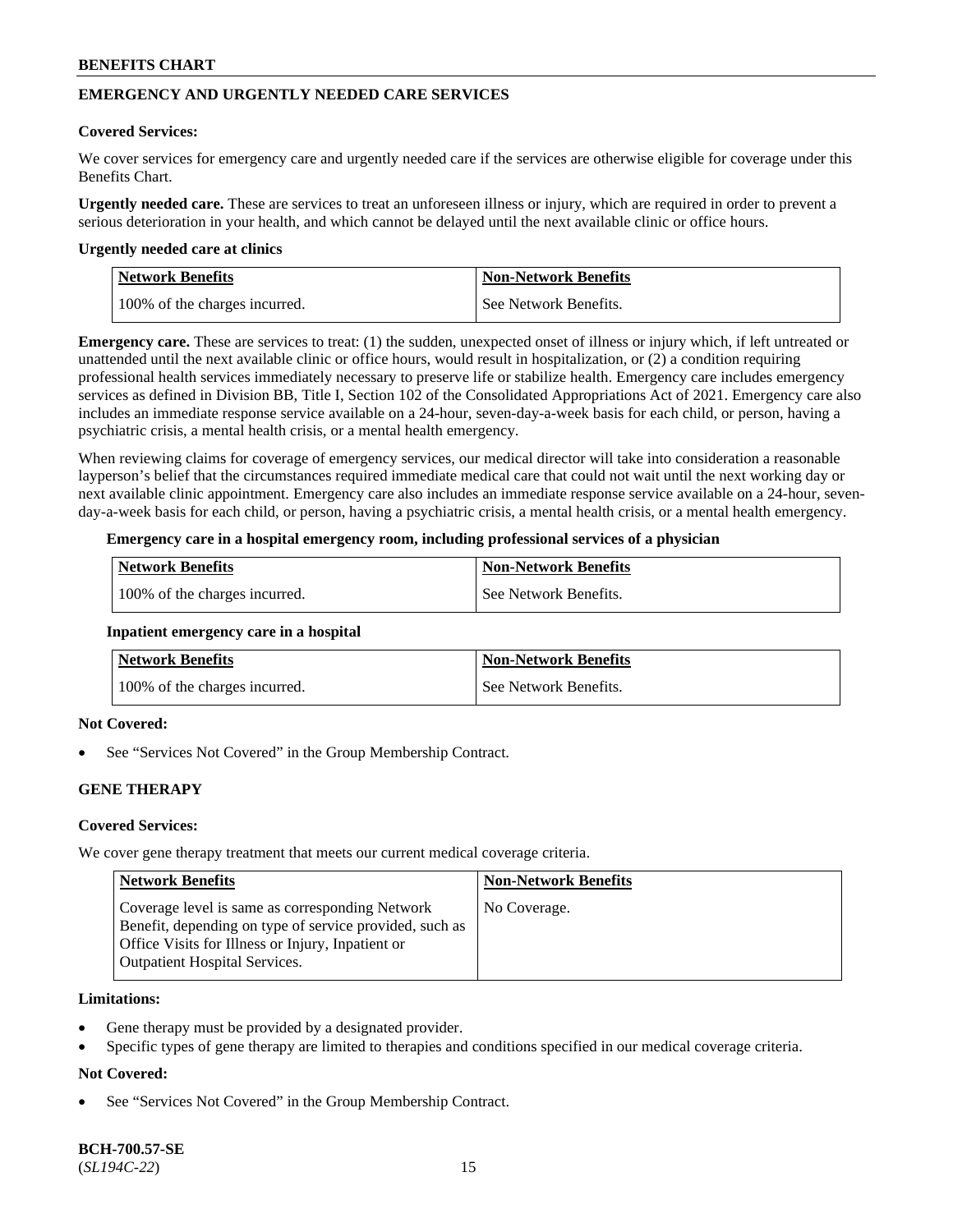# **EMERGENCY AND URGENTLY NEEDED CARE SERVICES**

#### **Covered Services:**

We cover services for emergency care and urgently needed care if the services are otherwise eligible for coverage under this Benefits Chart.

**Urgently needed care.** These are services to treat an unforeseen illness or injury, which are required in order to prevent a serious deterioration in your health, and which cannot be delayed until the next available clinic or office hours.

#### **Urgently needed care at clinics**

| <b>Network Benefits</b>       | <b>Non-Network Benefits</b> |
|-------------------------------|-----------------------------|
| 100% of the charges incurred. | See Network Benefits.       |

**Emergency care.** These are services to treat: (1) the sudden, unexpected onset of illness or injury which, if left untreated or unattended until the next available clinic or office hours, would result in hospitalization, or (2) a condition requiring professional health services immediately necessary to preserve life or stabilize health. Emergency care includes emergency services as defined in Division BB, Title I, Section 102 of the Consolidated Appropriations Act of 2021. Emergency care also includes an immediate response service available on a 24-hour, seven-day-a-week basis for each child, or person, having a psychiatric crisis, a mental health crisis, or a mental health emergency.

When reviewing claims for coverage of emergency services, our medical director will take into consideration a reasonable layperson's belief that the circumstances required immediate medical care that could not wait until the next working day or next available clinic appointment. Emergency care also includes an immediate response service available on a 24-hour, sevenday-a-week basis for each child, or person, having a psychiatric crisis, a mental health crisis, or a mental health emergency.

### **Emergency care in a hospital emergency room, including professional services of a physician**

| <b>Network Benefits</b>       | <b>Non-Network Benefits</b> |
|-------------------------------|-----------------------------|
| 100% of the charges incurred. | See Network Benefits.       |

#### **Inpatient emergency care in a hospital**

| <b>Network Benefits</b>       | <b>Non-Network Benefits</b> |
|-------------------------------|-----------------------------|
| 100% of the charges incurred. | See Network Benefits.       |

# **Not Covered:**

See "Services Not Covered" in the Group Membership Contract.

# **GENE THERAPY**

# **Covered Services:**

We cover gene therapy treatment that meets our current medical coverage criteria.

| Network Benefits                                                                                                                                                                                        | <b>Non-Network Benefits</b> |
|---------------------------------------------------------------------------------------------------------------------------------------------------------------------------------------------------------|-----------------------------|
| Coverage level is same as corresponding Network<br>Benefit, depending on type of service provided, such as<br>Office Visits for Illness or Injury, Inpatient or<br><b>Outpatient Hospital Services.</b> | No Coverage.                |

#### **Limitations:**

- Gene therapy must be provided by a designated provider.
- Specific types of gene therapy are limited to therapies and conditions specified in our medical coverage criteria.

# **Not Covered:**

See "Services Not Covered" in the Group Membership Contract.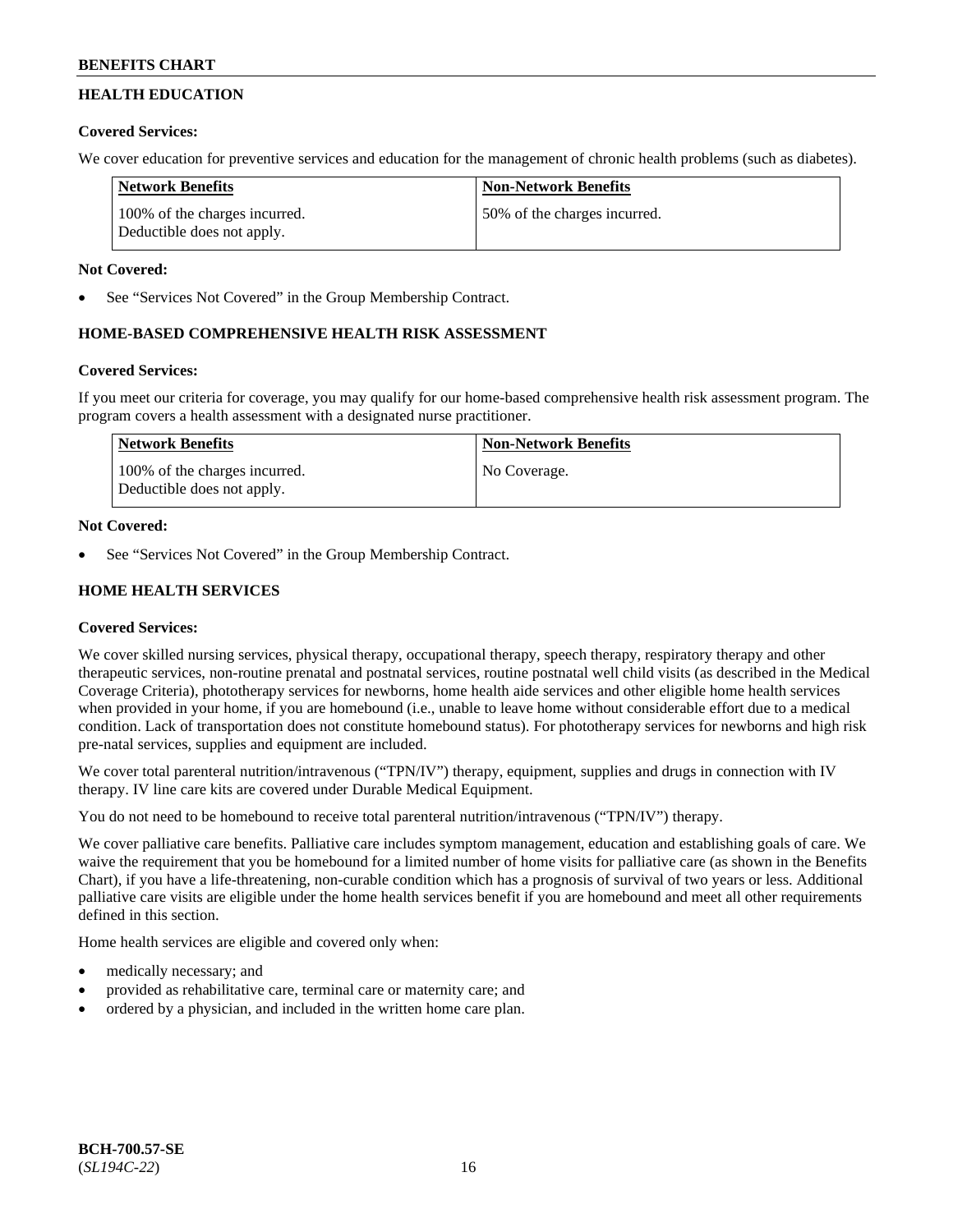# **HEALTH EDUCATION**

# **Covered Services:**

We cover education for preventive services and education for the management of chronic health problems (such as diabetes).

| <b>Network Benefits</b>                                     | <b>Non-Network Benefits</b>  |
|-------------------------------------------------------------|------------------------------|
| 100% of the charges incurred.<br>Deductible does not apply. | 50% of the charges incurred. |

# **Not Covered:**

See "Services Not Covered" in the Group Membership Contract.

# **HOME-BASED COMPREHENSIVE HEALTH RISK ASSESSMENT**

# **Covered Services:**

If you meet our criteria for coverage, you may qualify for our home-based comprehensive health risk assessment program. The program covers a health assessment with a designated nurse practitioner.

| Network Benefits                                            | <b>Non-Network Benefits</b> |
|-------------------------------------------------------------|-----------------------------|
| 100% of the charges incurred.<br>Deductible does not apply. | No Coverage.                |

# **Not Covered:**

See "Services Not Covered" in the Group Membership Contract.

# **HOME HEALTH SERVICES**

# **Covered Services:**

We cover skilled nursing services, physical therapy, occupational therapy, speech therapy, respiratory therapy and other therapeutic services, non-routine prenatal and postnatal services, routine postnatal well child visits (as described in the Medical Coverage Criteria), phototherapy services for newborns, home health aide services and other eligible home health services when provided in your home, if you are homebound (i.e., unable to leave home without considerable effort due to a medical condition. Lack of transportation does not constitute homebound status). For phototherapy services for newborns and high risk pre-natal services, supplies and equipment are included.

We cover total parenteral nutrition/intravenous ("TPN/IV") therapy, equipment, supplies and drugs in connection with IV therapy. IV line care kits are covered under Durable Medical Equipment.

You do not need to be homebound to receive total parenteral nutrition/intravenous ("TPN/IV") therapy.

We cover palliative care benefits. Palliative care includes symptom management, education and establishing goals of care. We waive the requirement that you be homebound for a limited number of home visits for palliative care (as shown in the Benefits Chart), if you have a life-threatening, non-curable condition which has a prognosis of survival of two years or less. Additional palliative care visits are eligible under the home health services benefit if you are homebound and meet all other requirements defined in this section.

Home health services are eligible and covered only when:

- medically necessary; and
- provided as rehabilitative care, terminal care or maternity care; and
- ordered by a physician, and included in the written home care plan.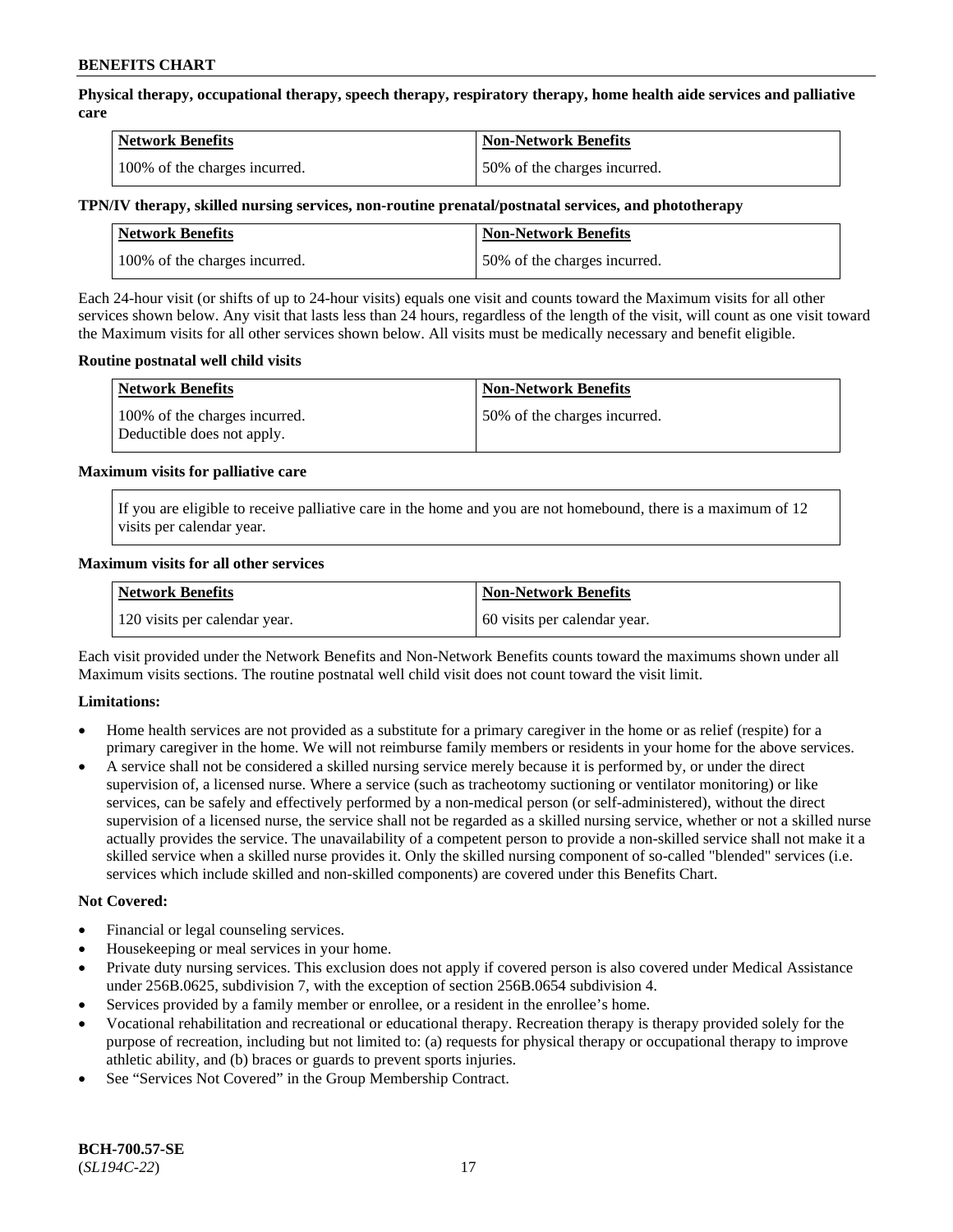**Physical therapy, occupational therapy, speech therapy, respiratory therapy, home health aide services and palliative care**

| <b>Network Benefits</b>       | <b>Non-Network Benefits</b>  |
|-------------------------------|------------------------------|
| 100% of the charges incurred. | 50% of the charges incurred. |

#### **TPN/IV therapy, skilled nursing services, non-routine prenatal/postnatal services, and phototherapy**

| Network Benefits              | <b>Non-Network Benefits</b>  |
|-------------------------------|------------------------------|
| 100% of the charges incurred. | 50% of the charges incurred. |

Each 24-hour visit (or shifts of up to 24-hour visits) equals one visit and counts toward the Maximum visits for all other services shown below. Any visit that lasts less than 24 hours, regardless of the length of the visit, will count as one visit toward the Maximum visits for all other services shown below. All visits must be medically necessary and benefit eligible.

#### **Routine postnatal well child visits**

| <b>Network Benefits</b>                                     | <b>Non-Network Benefits</b>  |
|-------------------------------------------------------------|------------------------------|
| 100% of the charges incurred.<br>Deductible does not apply. | 50% of the charges incurred. |

#### **Maximum visits for palliative care**

If you are eligible to receive palliative care in the home and you are not homebound, there is a maximum of 12 visits per calendar year.

#### **Maximum visits for all other services**

| <b>Network Benefits</b>       | <b>Non-Network Benefits</b>  |
|-------------------------------|------------------------------|
| 120 visits per calendar year. | 60 visits per calendar year. |

Each visit provided under the Network Benefits and Non-Network Benefits counts toward the maximums shown under all Maximum visits sections. The routine postnatal well child visit does not count toward the visit limit.

# **Limitations:**

- Home health services are not provided as a substitute for a primary caregiver in the home or as relief (respite) for a primary caregiver in the home. We will not reimburse family members or residents in your home for the above services.
- A service shall not be considered a skilled nursing service merely because it is performed by, or under the direct supervision of, a licensed nurse. Where a service (such as tracheotomy suctioning or ventilator monitoring) or like services, can be safely and effectively performed by a non-medical person (or self-administered), without the direct supervision of a licensed nurse, the service shall not be regarded as a skilled nursing service, whether or not a skilled nurse actually provides the service. The unavailability of a competent person to provide a non-skilled service shall not make it a skilled service when a skilled nurse provides it. Only the skilled nursing component of so-called "blended" services (i.e. services which include skilled and non-skilled components) are covered under this Benefits Chart.

#### **Not Covered:**

- Financial or legal counseling services.
- Housekeeping or meal services in your home.
- Private duty nursing services. This exclusion does not apply if covered person is also covered under Medical Assistance under 256B.0625, subdivision 7, with the exception of section 256B.0654 subdivision 4.
- Services provided by a family member or enrollee, or a resident in the enrollee's home.
- Vocational rehabilitation and recreational or educational therapy. Recreation therapy is therapy provided solely for the purpose of recreation, including but not limited to: (a) requests for physical therapy or occupational therapy to improve athletic ability, and (b) braces or guards to prevent sports injuries.
- See "Services Not Covered" in the Group Membership Contract.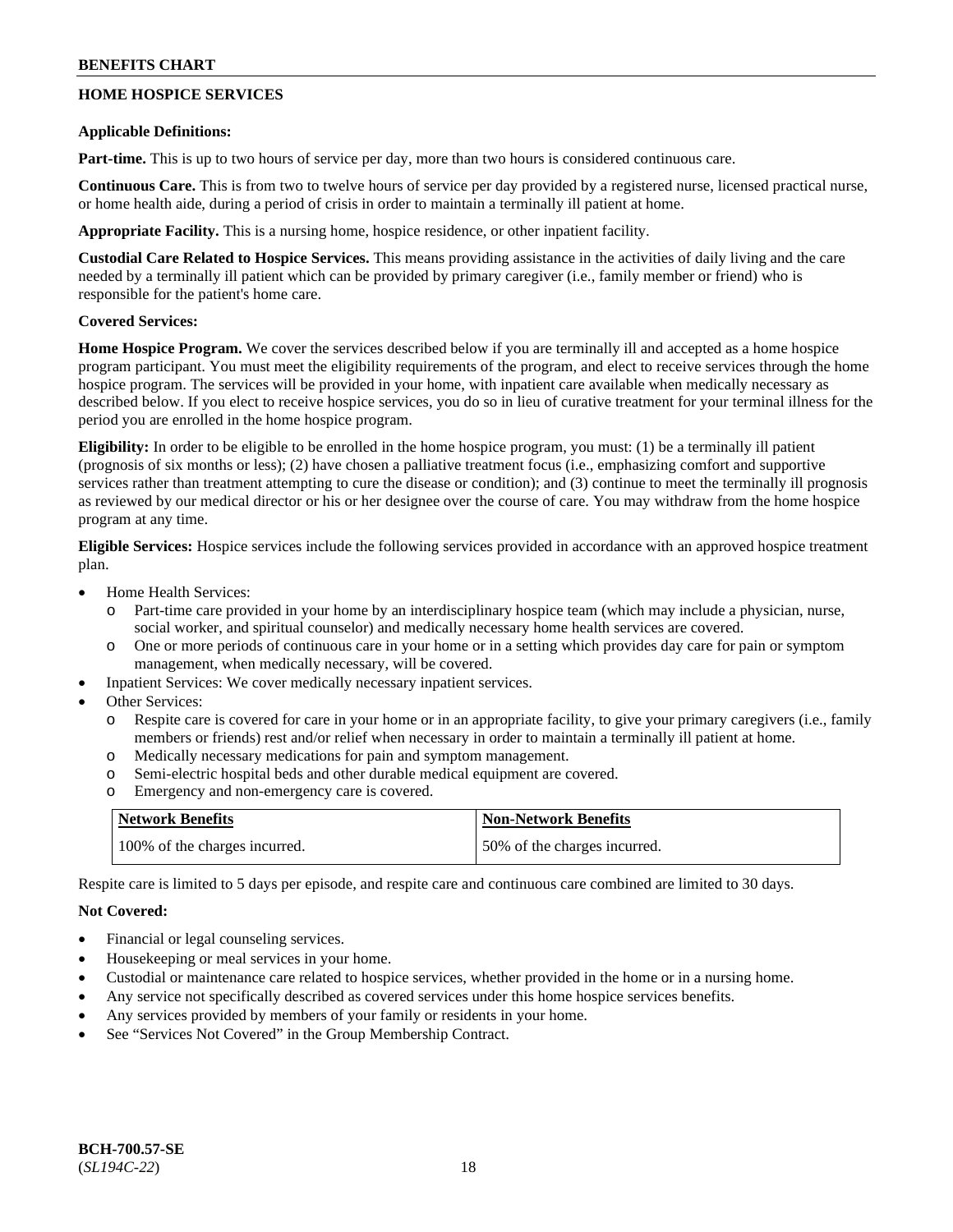# **HOME HOSPICE SERVICES**

#### **Applicable Definitions:**

**Part-time.** This is up to two hours of service per day, more than two hours is considered continuous care.

**Continuous Care.** This is from two to twelve hours of service per day provided by a registered nurse, licensed practical nurse, or home health aide, during a period of crisis in order to maintain a terminally ill patient at home.

**Appropriate Facility.** This is a nursing home, hospice residence, or other inpatient facility.

**Custodial Care Related to Hospice Services.** This means providing assistance in the activities of daily living and the care needed by a terminally ill patient which can be provided by primary caregiver (i.e., family member or friend) who is responsible for the patient's home care.

# **Covered Services:**

**Home Hospice Program.** We cover the services described below if you are terminally ill and accepted as a home hospice program participant. You must meet the eligibility requirements of the program, and elect to receive services through the home hospice program. The services will be provided in your home, with inpatient care available when medically necessary as described below. If you elect to receive hospice services, you do so in lieu of curative treatment for your terminal illness for the period you are enrolled in the home hospice program.

**Eligibility:** In order to be eligible to be enrolled in the home hospice program, you must: (1) be a terminally ill patient (prognosis of six months or less); (2) have chosen a palliative treatment focus (i.e., emphasizing comfort and supportive services rather than treatment attempting to cure the disease or condition); and (3) continue to meet the terminally ill prognosis as reviewed by our medical director or his or her designee over the course of care. You may withdraw from the home hospice program at any time.

**Eligible Services:** Hospice services include the following services provided in accordance with an approved hospice treatment plan.

- Home Health Services:
	- o Part-time care provided in your home by an interdisciplinary hospice team (which may include a physician, nurse, social worker, and spiritual counselor) and medically necessary home health services are covered.
	- o One or more periods of continuous care in your home or in a setting which provides day care for pain or symptom management, when medically necessary, will be covered.
- Inpatient Services: We cover medically necessary inpatient services.
- Other Services:
	- o Respite care is covered for care in your home or in an appropriate facility, to give your primary caregivers (i.e., family members or friends) rest and/or relief when necessary in order to maintain a terminally ill patient at home.
	- o Medically necessary medications for pain and symptom management.
	- o Semi-electric hospital beds and other durable medical equipment are covered.
	- o Emergency and non-emergency care is covered.

| <b>Network Benefits</b>       | <b>Non-Network Benefits</b>  |
|-------------------------------|------------------------------|
| 100% of the charges incurred. | 50% of the charges incurred. |

Respite care is limited to 5 days per episode, and respite care and continuous care combined are limited to 30 days.

# **Not Covered:**

- Financial or legal counseling services.
- Housekeeping or meal services in your home.
- Custodial or maintenance care related to hospice services, whether provided in the home or in a nursing home.
- Any service not specifically described as covered services under this home hospice services benefits.
- Any services provided by members of your family or residents in your home.
- See "Services Not Covered" in the Group Membership Contract.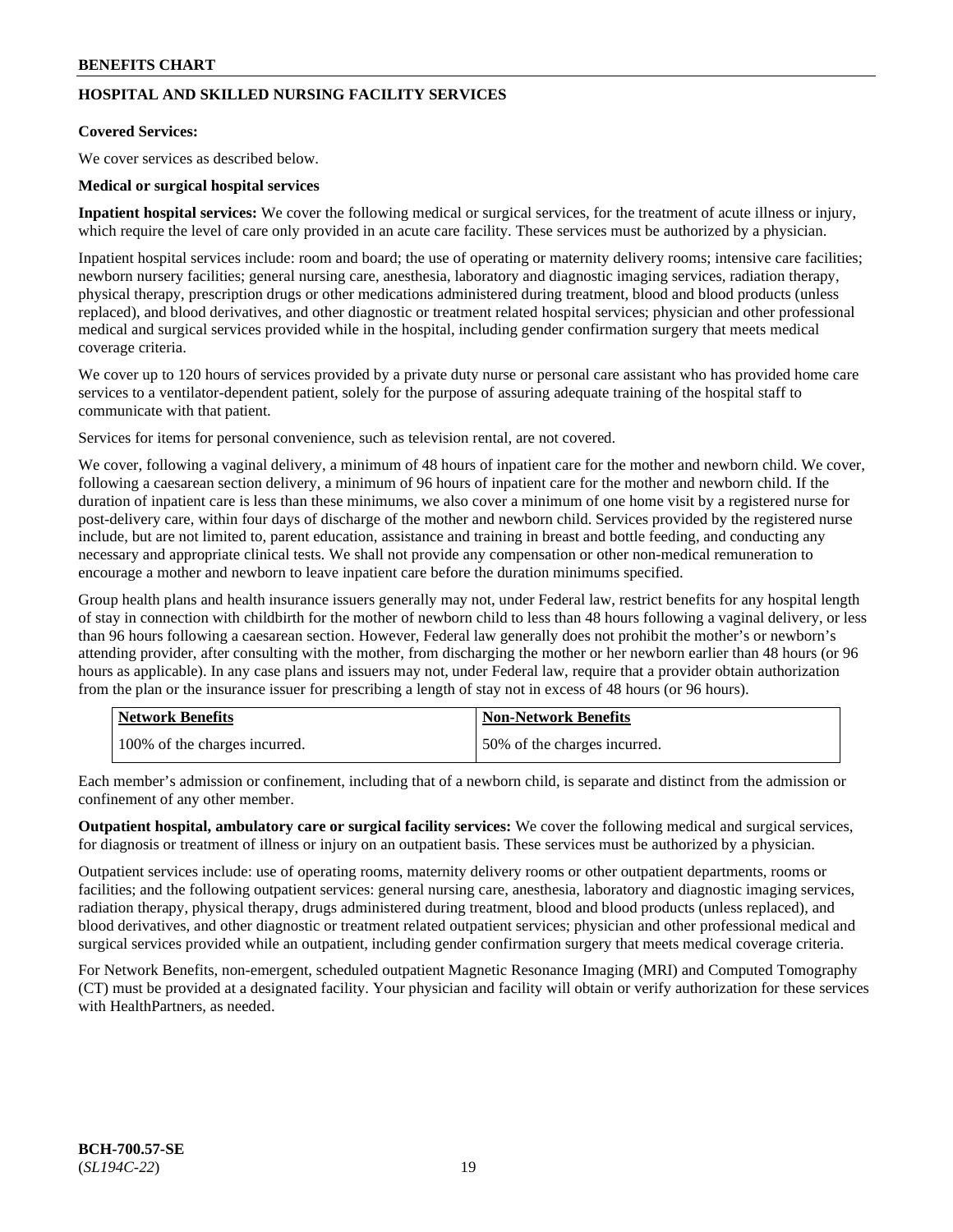# **HOSPITAL AND SKILLED NURSING FACILITY SERVICES**

#### **Covered Services:**

We cover services as described below.

### **Medical or surgical hospital services**

**Inpatient hospital services:** We cover the following medical or surgical services, for the treatment of acute illness or injury, which require the level of care only provided in an acute care facility. These services must be authorized by a physician.

Inpatient hospital services include: room and board; the use of operating or maternity delivery rooms; intensive care facilities; newborn nursery facilities; general nursing care, anesthesia, laboratory and diagnostic imaging services, radiation therapy, physical therapy, prescription drugs or other medications administered during treatment, blood and blood products (unless replaced), and blood derivatives, and other diagnostic or treatment related hospital services; physician and other professional medical and surgical services provided while in the hospital, including gender confirmation surgery that meets medical coverage criteria.

We cover up to 120 hours of services provided by a private duty nurse or personal care assistant who has provided home care services to a ventilator-dependent patient, solely for the purpose of assuring adequate training of the hospital staff to communicate with that patient.

Services for items for personal convenience, such as television rental, are not covered.

We cover, following a vaginal delivery, a minimum of 48 hours of inpatient care for the mother and newborn child. We cover, following a caesarean section delivery, a minimum of 96 hours of inpatient care for the mother and newborn child. If the duration of inpatient care is less than these minimums, we also cover a minimum of one home visit by a registered nurse for post-delivery care, within four days of discharge of the mother and newborn child. Services provided by the registered nurse include, but are not limited to, parent education, assistance and training in breast and bottle feeding, and conducting any necessary and appropriate clinical tests. We shall not provide any compensation or other non-medical remuneration to encourage a mother and newborn to leave inpatient care before the duration minimums specified.

Group health plans and health insurance issuers generally may not, under Federal law, restrict benefits for any hospital length of stay in connection with childbirth for the mother of newborn child to less than 48 hours following a vaginal delivery, or less than 96 hours following a caesarean section. However, Federal law generally does not prohibit the mother's or newborn's attending provider, after consulting with the mother, from discharging the mother or her newborn earlier than 48 hours (or 96 hours as applicable). In any case plans and issuers may not, under Federal law, require that a provider obtain authorization from the plan or the insurance issuer for prescribing a length of stay not in excess of 48 hours (or 96 hours).

| <b>Network Benefits</b>       | Non-Network Benefits         |
|-------------------------------|------------------------------|
| 100% of the charges incurred. | 50% of the charges incurred. |

Each member's admission or confinement, including that of a newborn child, is separate and distinct from the admission or confinement of any other member.

**Outpatient hospital, ambulatory care or surgical facility services:** We cover the following medical and surgical services, for diagnosis or treatment of illness or injury on an outpatient basis. These services must be authorized by a physician.

Outpatient services include: use of operating rooms, maternity delivery rooms or other outpatient departments, rooms or facilities; and the following outpatient services: general nursing care, anesthesia, laboratory and diagnostic imaging services, radiation therapy, physical therapy, drugs administered during treatment, blood and blood products (unless replaced), and blood derivatives, and other diagnostic or treatment related outpatient services; physician and other professional medical and surgical services provided while an outpatient, including gender confirmation surgery that meets medical coverage criteria.

For Network Benefits, non-emergent, scheduled outpatient Magnetic Resonance Imaging (MRI) and Computed Tomography (CT) must be provided at a designated facility. Your physician and facility will obtain or verify authorization for these services with HealthPartners, as needed.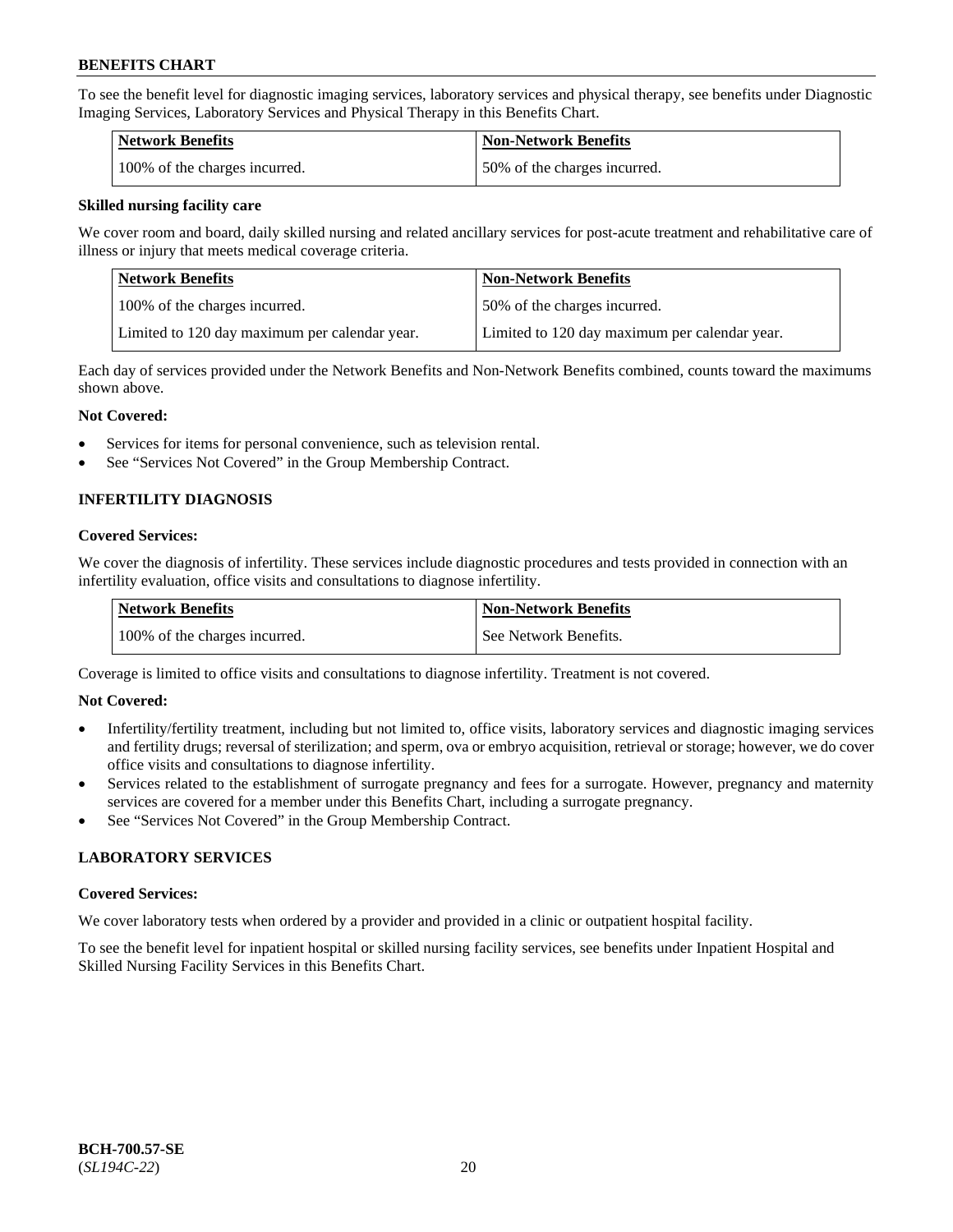To see the benefit level for diagnostic imaging services, laboratory services and physical therapy, see benefits under Diagnostic Imaging Services, Laboratory Services and Physical Therapy in this Benefits Chart.

| <b>Network Benefits</b>       | Non-Network Benefits         |
|-------------------------------|------------------------------|
| 100% of the charges incurred. | 50% of the charges incurred. |

#### **Skilled nursing facility care**

We cover room and board, daily skilled nursing and related ancillary services for post-acute treatment and rehabilitative care of illness or injury that meets medical coverage criteria.

| Network Benefits                              | <b>Non-Network Benefits</b>                   |
|-----------------------------------------------|-----------------------------------------------|
| 100% of the charges incurred.                 | 150% of the charges incurred.                 |
| Limited to 120 day maximum per calendar year. | Limited to 120 day maximum per calendar year. |

Each day of services provided under the Network Benefits and Non-Network Benefits combined, counts toward the maximums shown above.

#### **Not Covered:**

- Services for items for personal convenience, such as television rental.
- See "Services Not Covered" in the Group Membership Contract.

# **INFERTILITY DIAGNOSIS**

#### **Covered Services:**

We cover the diagnosis of infertility. These services include diagnostic procedures and tests provided in connection with an infertility evaluation, office visits and consultations to diagnose infertility.

| <b>Network Benefits</b>       | <b>Non-Network Benefits</b> |
|-------------------------------|-----------------------------|
| 100% of the charges incurred. | See Network Benefits.       |

Coverage is limited to office visits and consultations to diagnose infertility. Treatment is not covered.

# **Not Covered:**

- Infertility/fertility treatment, including but not limited to, office visits, laboratory services and diagnostic imaging services and fertility drugs; reversal of sterilization; and sperm, ova or embryo acquisition, retrieval or storage; however, we do cover office visits and consultations to diagnose infertility.
- Services related to the establishment of surrogate pregnancy and fees for a surrogate. However, pregnancy and maternity services are covered for a member under this Benefits Chart, including a surrogate pregnancy.
- See "Services Not Covered" in the Group Membership Contract.

# **LABORATORY SERVICES**

#### **Covered Services:**

We cover laboratory tests when ordered by a provider and provided in a clinic or outpatient hospital facility.

To see the benefit level for inpatient hospital or skilled nursing facility services, see benefits under Inpatient Hospital and Skilled Nursing Facility Services in this Benefits Chart.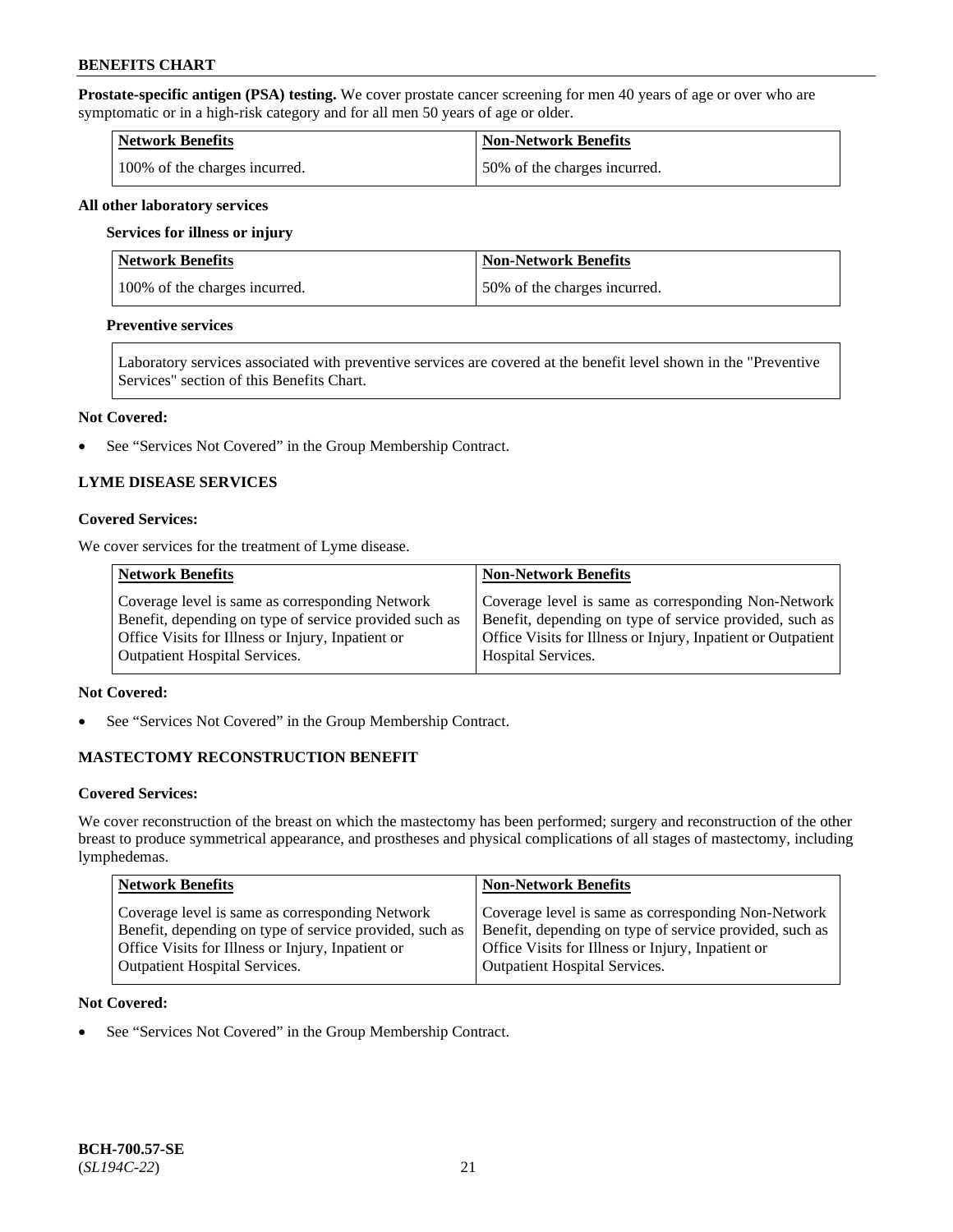**Prostate-specific antigen (PSA) testing.** We cover prostate cancer screening for men 40 years of age or over who are symptomatic or in a high-risk category and for all men 50 years of age or older.

| <b>Network Benefits</b>       | <b>Non-Network Benefits</b>  |
|-------------------------------|------------------------------|
| 100% of the charges incurred. | 50% of the charges incurred. |

#### **All other laboratory services**

#### **Services for illness or injury**

| Network Benefits              | <b>Non-Network Benefits</b>  |
|-------------------------------|------------------------------|
| 100% of the charges incurred. | 50% of the charges incurred. |

#### **Preventive services**

Laboratory services associated with preventive services are covered at the benefit level shown in the "Preventive Services" section of this Benefits Chart.

#### **Not Covered:**

• See "Services Not Covered" in the Group Membership Contract.

# **LYME DISEASE SERVICES**

#### **Covered Services:**

We cover services for the treatment of Lyme disease.

| <b>Network Benefits</b>                                | <b>Non-Network Benefits</b>                                  |
|--------------------------------------------------------|--------------------------------------------------------------|
| Coverage level is same as corresponding Network        | Coverage level is same as corresponding Non-Network          |
| Benefit, depending on type of service provided such as | Benefit, depending on type of service provided, such as      |
| Office Visits for Illness or Injury, Inpatient or      | Office Visits for Illness or Injury, Inpatient or Outpatient |
| <b>Outpatient Hospital Services.</b>                   | <b>Hospital Services.</b>                                    |

# **Not Covered:**

• See "Services Not Covered" in the Group Membership Contract.

# **MASTECTOMY RECONSTRUCTION BENEFIT**

#### **Covered Services:**

We cover reconstruction of the breast on which the mastectomy has been performed; surgery and reconstruction of the other breast to produce symmetrical appearance, and prostheses and physical complications of all stages of mastectomy, including lymphedemas.

| <b>Network Benefits</b>                                 | <b>Non-Network Benefits</b>                             |
|---------------------------------------------------------|---------------------------------------------------------|
| Coverage level is same as corresponding Network         | Coverage level is same as corresponding Non-Network     |
| Benefit, depending on type of service provided, such as | Benefit, depending on type of service provided, such as |
| Office Visits for Illness or Injury, Inpatient or       | Office Visits for Illness or Injury, Inpatient or       |
| <b>Outpatient Hospital Services.</b>                    | Outpatient Hospital Services.                           |

### **Not Covered:**

• See "Services Not Covered" in the Group Membership Contract.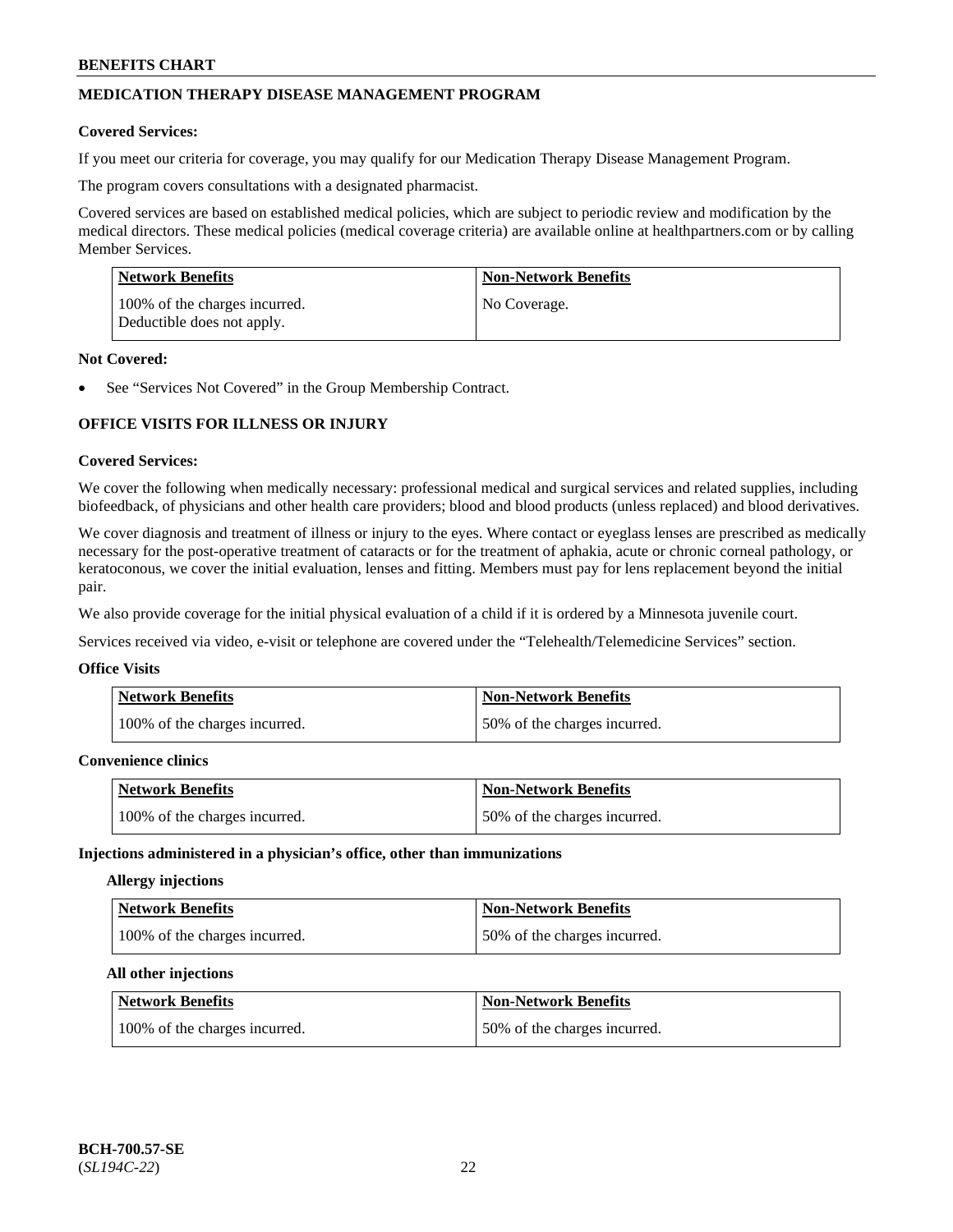# **MEDICATION THERAPY DISEASE MANAGEMENT PROGRAM**

#### **Covered Services:**

If you meet our criteria for coverage, you may qualify for our Medication Therapy Disease Management Program.

The program covers consultations with a designated pharmacist.

Covered services are based on established medical policies, which are subject to periodic review and modification by the medical directors. These medical policies (medical coverage criteria) are available online at [healthpartners.com](https://www.healthpartners.com/hp/index.html) or by calling Member Services.

| Network Benefits                                            | <b>Non-Network Benefits</b> |
|-------------------------------------------------------------|-----------------------------|
| 100% of the charges incurred.<br>Deductible does not apply. | No Coverage.                |

#### **Not Covered:**

See "Services Not Covered" in the Group Membership Contract.

# **OFFICE VISITS FOR ILLNESS OR INJURY**

#### **Covered Services:**

We cover the following when medically necessary: professional medical and surgical services and related supplies, including biofeedback, of physicians and other health care providers; blood and blood products (unless replaced) and blood derivatives.

We cover diagnosis and treatment of illness or injury to the eyes. Where contact or eyeglass lenses are prescribed as medically necessary for the post-operative treatment of cataracts or for the treatment of aphakia, acute or chronic corneal pathology, or keratoconous, we cover the initial evaluation, lenses and fitting. Members must pay for lens replacement beyond the initial pair.

We also provide coverage for the initial physical evaluation of a child if it is ordered by a Minnesota juvenile court.

Services received via video, e-visit or telephone are covered under the "Telehealth/Telemedicine Services" section.

#### **Office Visits**

| Network Benefits              | <b>Non-Network Benefits</b>  |
|-------------------------------|------------------------------|
| 100% of the charges incurred. | 50% of the charges incurred. |

# **Convenience clinics**

| <b>Network Benefits</b>       | <b>Non-Network Benefits</b>  |
|-------------------------------|------------------------------|
| 100% of the charges incurred. | 50% of the charges incurred. |

#### **Injections administered in a physician's office, other than immunizations**

# **Allergy injections**

| Network Benefits              | <b>Non-Network Benefits</b>  |
|-------------------------------|------------------------------|
| 100% of the charges incurred. | 50% of the charges incurred. |

#### **All other injections**

| Network Benefits              | <b>Non-Network Benefits</b>  |
|-------------------------------|------------------------------|
| 100% of the charges incurred. | 50% of the charges incurred. |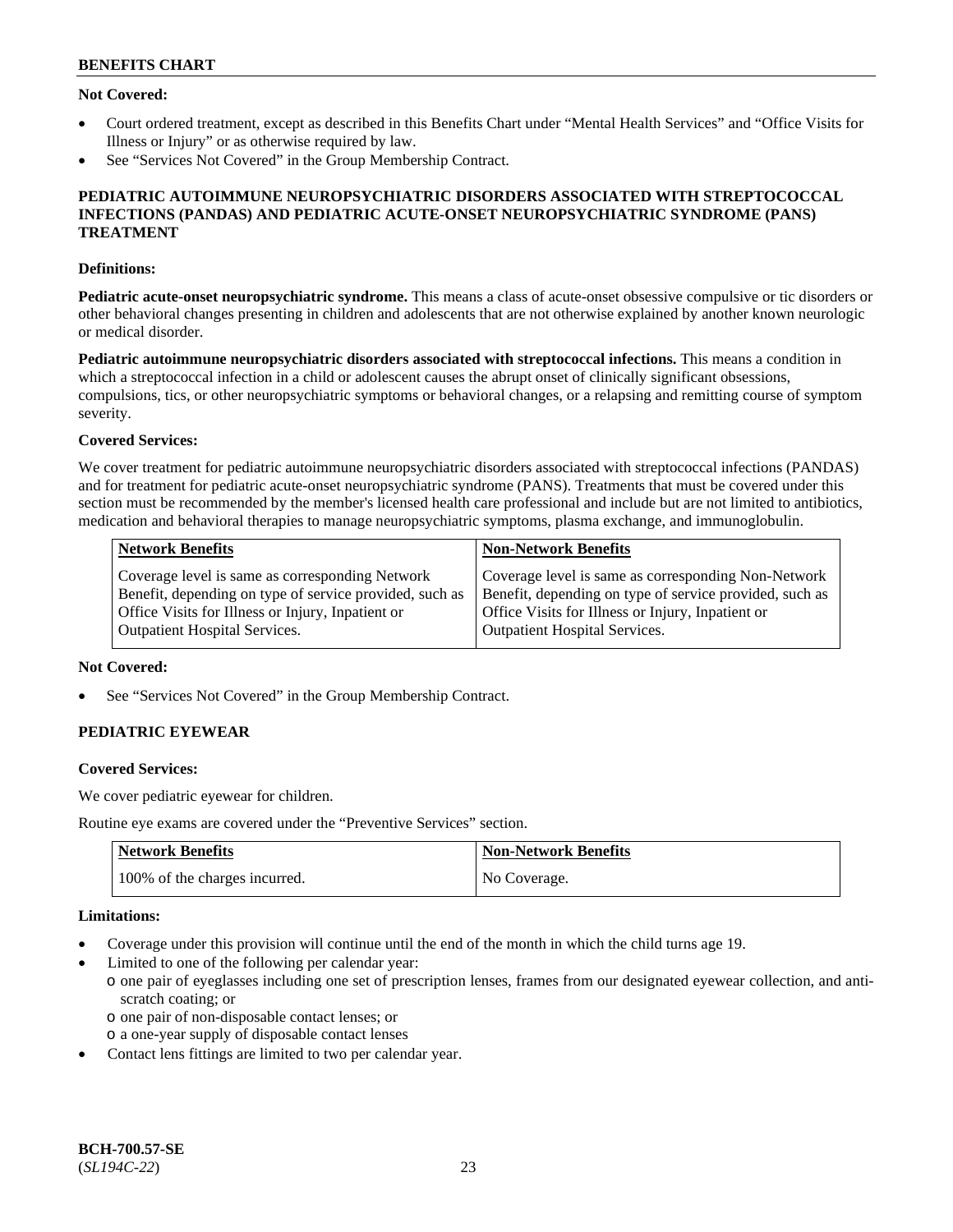# **Not Covered:**

- Court ordered treatment, except as described in this Benefits Chart under "Mental Health Services" and "Office Visits for Illness or Injury" or as otherwise required by law.
- See "Services Not Covered" in the Group Membership Contract.

### **PEDIATRIC AUTOIMMUNE NEUROPSYCHIATRIC DISORDERS ASSOCIATED WITH STREPTOCOCCAL INFECTIONS (PANDAS) AND PEDIATRIC ACUTE-ONSET NEUROPSYCHIATRIC SYNDROME (PANS) TREATMENT**

#### **Definitions:**

**Pediatric acute-onset neuropsychiatric syndrome.** This means a class of acute-onset obsessive compulsive or tic disorders or other behavioral changes presenting in children and adolescents that are not otherwise explained by another known neurologic or medical disorder.

**Pediatric autoimmune neuropsychiatric disorders associated with streptococcal infections.** This means a condition in which a streptococcal infection in a child or adolescent causes the abrupt onset of clinically significant obsessions, compulsions, tics, or other neuropsychiatric symptoms or behavioral changes, or a relapsing and remitting course of symptom severity.

### **Covered Services:**

We cover treatment for pediatric autoimmune neuropsychiatric disorders associated with streptococcal infections (PANDAS) and for treatment for pediatric acute-onset neuropsychiatric syndrome (PANS). Treatments that must be covered under this section must be recommended by the member's licensed health care professional and include but are not limited to antibiotics, medication and behavioral therapies to manage neuropsychiatric symptoms, plasma exchange, and immunoglobulin.

| <b>Network Benefits</b>                                 | <b>Non-Network Benefits</b>                             |
|---------------------------------------------------------|---------------------------------------------------------|
| Coverage level is same as corresponding Network         | Coverage level is same as corresponding Non-Network     |
| Benefit, depending on type of service provided, such as | Benefit, depending on type of service provided, such as |
| Office Visits for Illness or Injury, Inpatient or       | Office Visits for Illness or Injury, Inpatient or       |
| <b>Outpatient Hospital Services.</b>                    | <b>Outpatient Hospital Services.</b>                    |

### **Not Covered:**

See "Services Not Covered" in the Group Membership Contract.

# **PEDIATRIC EYEWEAR**

#### **Covered Services:**

We cover pediatric eyewear for children.

Routine eye exams are covered under the "Preventive Services" section.

| <b>Network Benefits</b>       | Non-Network Benefits |
|-------------------------------|----------------------|
| 100% of the charges incurred. | No Coverage.         |

#### **Limitations:**

- Coverage under this provision will continue until the end of the month in which the child turns age 19.
- Limited to one of the following per calendar year:
	- o one pair of eyeglasses including one set of prescription lenses, frames from our designated eyewear collection, and antiscratch coating; or
		- o one pair of non-disposable contact lenses; or
	- o a one-year supply of disposable contact lenses
- Contact lens fittings are limited to two per calendar year.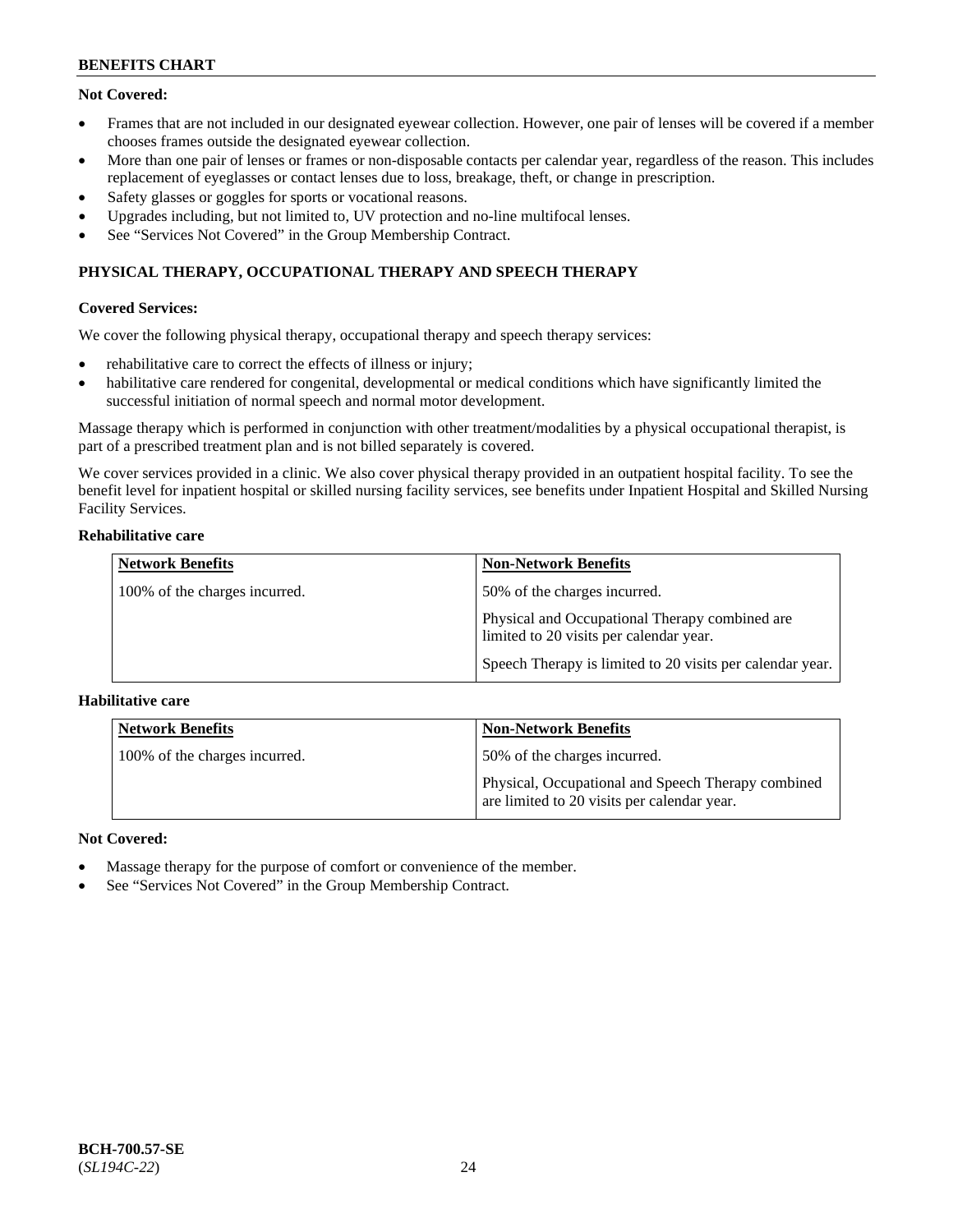# **Not Covered:**

- Frames that are not included in our designated eyewear collection. However, one pair of lenses will be covered if a member chooses frames outside the designated eyewear collection.
- More than one pair of lenses or frames or non-disposable contacts per calendar year, regardless of the reason. This includes replacement of eyeglasses or contact lenses due to loss, breakage, theft, or change in prescription.
- Safety glasses or goggles for sports or vocational reasons.
- Upgrades including, but not limited to, UV protection and no-line multifocal lenses.
- See "Services Not Covered" in the Group Membership Contract.

# **PHYSICAL THERAPY, OCCUPATIONAL THERAPY AND SPEECH THERAPY**

# **Covered Services:**

We cover the following physical therapy, occupational therapy and speech therapy services:

- rehabilitative care to correct the effects of illness or injury;
- habilitative care rendered for congenital, developmental or medical conditions which have significantly limited the successful initiation of normal speech and normal motor development.

Massage therapy which is performed in conjunction with other treatment/modalities by a physical occupational therapist, is part of a prescribed treatment plan and is not billed separately is covered.

We cover services provided in a clinic. We also cover physical therapy provided in an outpatient hospital facility. To see the benefit level for inpatient hospital or skilled nursing facility services, see benefits under Inpatient Hospital and Skilled Nursing Facility Services.

### **Rehabilitative care**

| <b>Network Benefits</b>       | <b>Non-Network Benefits</b>                                                               |
|-------------------------------|-------------------------------------------------------------------------------------------|
| 100% of the charges incurred. | 50% of the charges incurred.                                                              |
|                               | Physical and Occupational Therapy combined are<br>limited to 20 visits per calendar year. |
|                               | Speech Therapy is limited to 20 visits per calendar year.                                 |

# **Habilitative care**

| <b>Network Benefits</b>       | <b>Non-Network Benefits</b>                                                                       |
|-------------------------------|---------------------------------------------------------------------------------------------------|
| 100% of the charges incurred. | 50% of the charges incurred.                                                                      |
|                               | Physical, Occupational and Speech Therapy combined<br>are limited to 20 visits per calendar year. |

# **Not Covered:**

- Massage therapy for the purpose of comfort or convenience of the member.
- See "Services Not Covered" in the Group Membership Contract.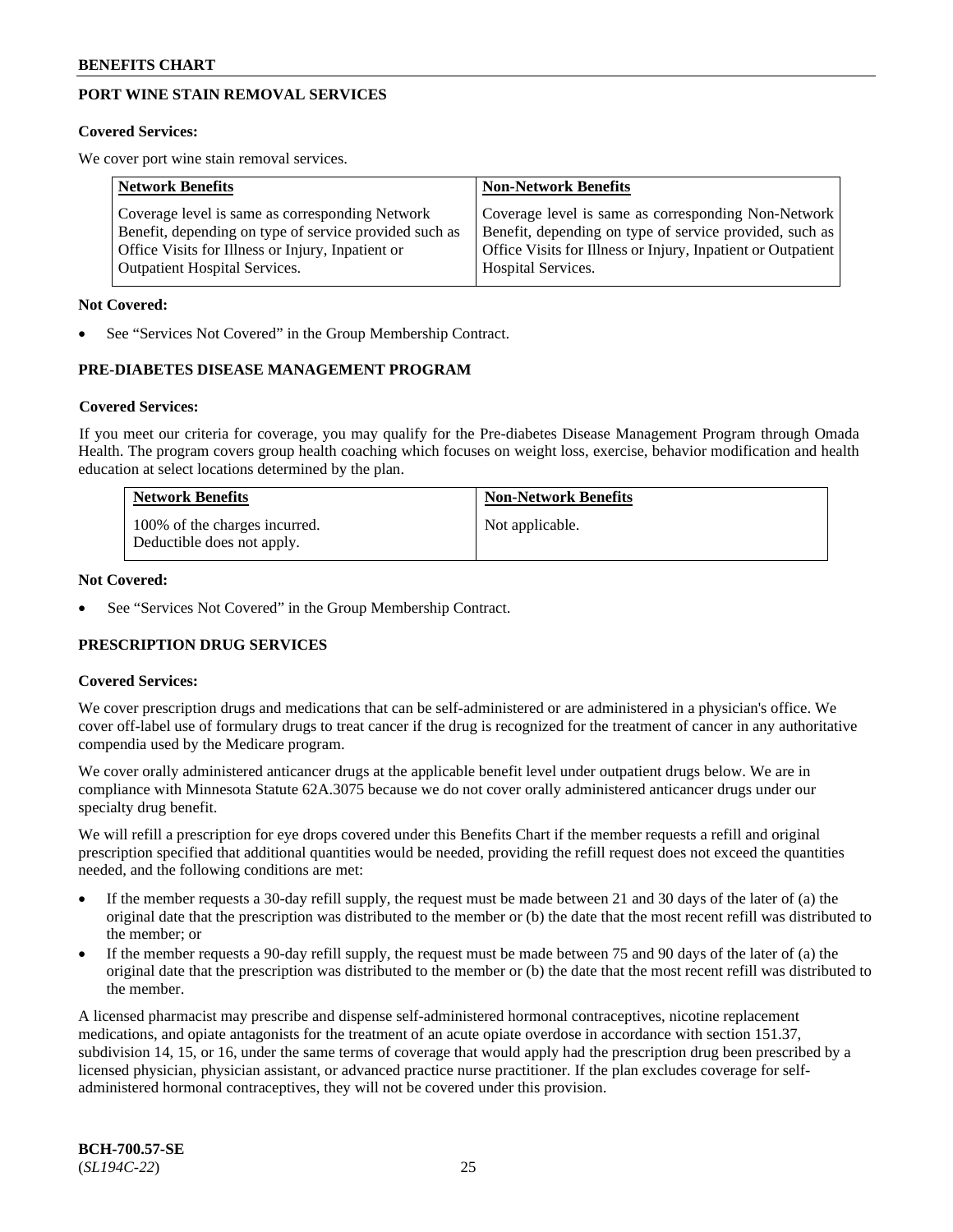# **PORT WINE STAIN REMOVAL SERVICES**

#### **Covered Services:**

We cover port wine stain removal services.

| <b>Network Benefits</b>                                | <b>Non-Network Benefits</b>                                  |
|--------------------------------------------------------|--------------------------------------------------------------|
| Coverage level is same as corresponding Network        | Coverage level is same as corresponding Non-Network          |
| Benefit, depending on type of service provided such as | Benefit, depending on type of service provided, such as      |
| Office Visits for Illness or Injury, Inpatient or      | Office Visits for Illness or Injury, Inpatient or Outpatient |
| <b>Outpatient Hospital Services.</b>                   | Hospital Services.                                           |

#### **Not Covered:**

See "Services Not Covered" in the Group Membership Contract.

# **PRE-DIABETES DISEASE MANAGEMENT PROGRAM**

#### **Covered Services:**

If you meet our criteria for coverage, you may qualify for the Pre-diabetes Disease Management Program through Omada Health. The program covers group health coaching which focuses on weight loss, exercise, behavior modification and health education at select locations determined by the plan.

| <b>Network Benefits</b>                                     | <b>Non-Network Benefits</b> |
|-------------------------------------------------------------|-----------------------------|
| 100% of the charges incurred.<br>Deductible does not apply. | Not applicable.             |

#### **Not Covered:**

See "Services Not Covered" in the Group Membership Contract.

# **PRESCRIPTION DRUG SERVICES**

# **Covered Services:**

We cover prescription drugs and medications that can be self-administered or are administered in a physician's office. We cover off-label use of formulary drugs to treat cancer if the drug is recognized for the treatment of cancer in any authoritative compendia used by the Medicare program.

We cover orally administered anticancer drugs at the applicable benefit level under outpatient drugs below. We are in compliance with Minnesota Statute 62A.3075 because we do not cover orally administered anticancer drugs under our specialty drug benefit.

We will refill a prescription for eye drops covered under this Benefits Chart if the member requests a refill and original prescription specified that additional quantities would be needed, providing the refill request does not exceed the quantities needed, and the following conditions are met:

- If the member requests a 30-day refill supply, the request must be made between 21 and 30 days of the later of (a) the original date that the prescription was distributed to the member or (b) the date that the most recent refill was distributed to the member; or
- If the member requests a 90-day refill supply, the request must be made between 75 and 90 days of the later of (a) the original date that the prescription was distributed to the member or (b) the date that the most recent refill was distributed to the member.

A licensed pharmacist may prescribe and dispense self-administered hormonal contraceptives, nicotine replacement medications, and opiate antagonists for the treatment of an acute opiate overdose in accordance with section 151.37, subdivision 14, 15, or 16, under the same terms of coverage that would apply had the prescription drug been prescribed by a licensed physician, physician assistant, or advanced practice nurse practitioner. If the plan excludes coverage for selfadministered hormonal contraceptives, they will not be covered under this provision.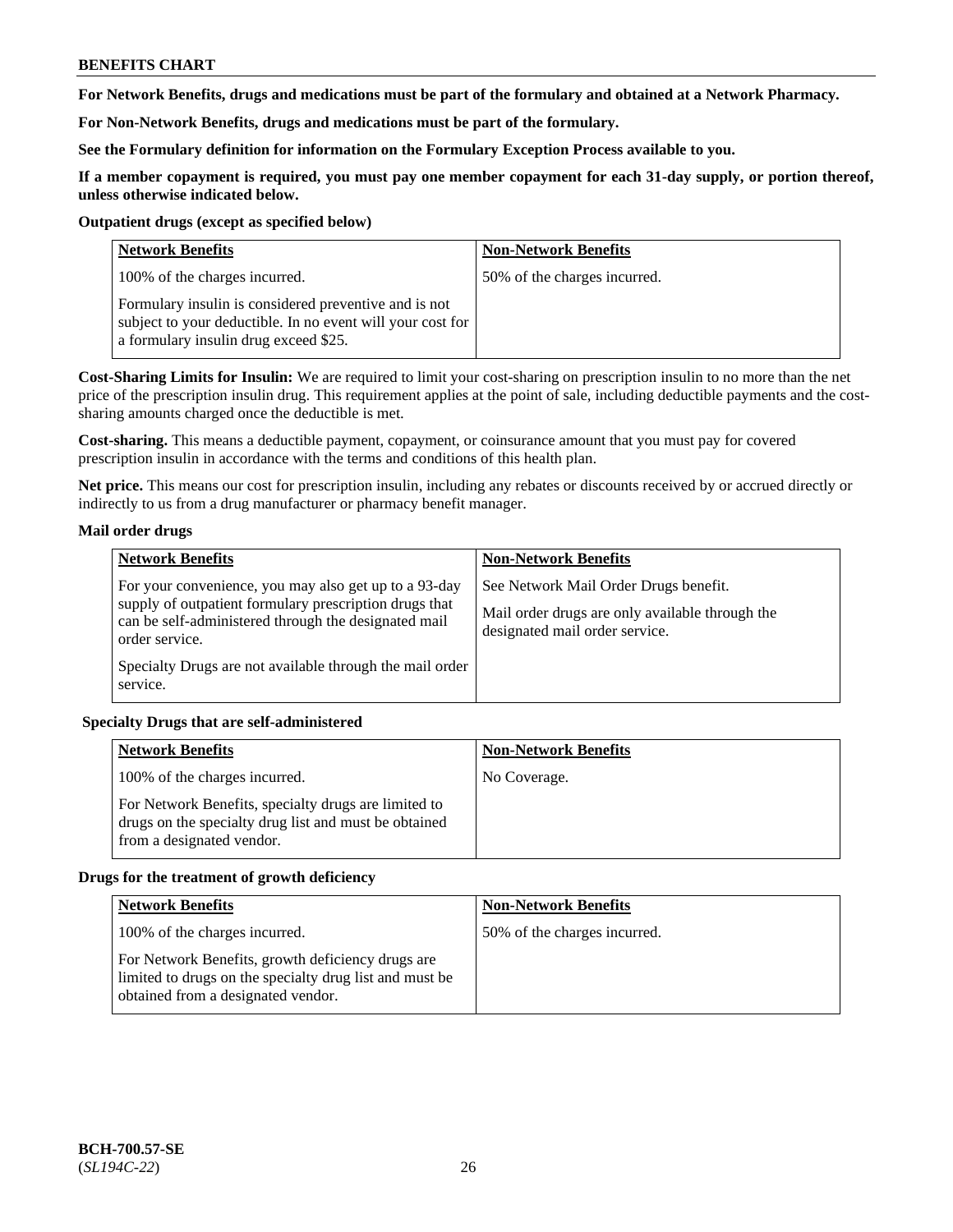**For Network Benefits, drugs and medications must be part of the formulary and obtained at a Network Pharmacy.**

**For Non-Network Benefits, drugs and medications must be part of the formulary.** 

**See the Formulary definition for information on the Formulary Exception Process available to you.**

**If a member copayment is required, you must pay one member copayment for each 31-day supply, or portion thereof, unless otherwise indicated below.**

#### **Outpatient drugs (except as specified below)**

| <b>Network Benefits</b>                                                                                                                                      | <b>Non-Network Benefits</b>  |
|--------------------------------------------------------------------------------------------------------------------------------------------------------------|------------------------------|
| 100% of the charges incurred.                                                                                                                                | 50% of the charges incurred. |
| Formulary insulin is considered preventive and is not<br>subject to your deductible. In no event will your cost for<br>a formulary insulin drug exceed \$25. |                              |

**Cost-Sharing Limits for Insulin:** We are required to limit your cost-sharing on prescription insulin to no more than the net price of the prescription insulin drug. This requirement applies at the point of sale, including deductible payments and the costsharing amounts charged once the deductible is met.

**Cost-sharing.** This means a deductible payment, copayment, or coinsurance amount that you must pay for covered prescription insulin in accordance with the terms and conditions of this health plan.

**Net price.** This means our cost for prescription insulin, including any rebates or discounts received by or accrued directly or indirectly to us from a drug manufacturer or pharmacy benefit manager.

# **Mail order drugs**

| <b>Network Benefits</b>                                                                                                                                                                   | <b>Non-Network Benefits</b>                                                                                                |
|-------------------------------------------------------------------------------------------------------------------------------------------------------------------------------------------|----------------------------------------------------------------------------------------------------------------------------|
| For your convenience, you may also get up to a 93-day<br>supply of outpatient formulary prescription drugs that<br>can be self-administered through the designated mail<br>order service. | See Network Mail Order Drugs benefit.<br>Mail order drugs are only available through the<br>designated mail order service. |
| Specialty Drugs are not available through the mail order<br>service.                                                                                                                      |                                                                                                                            |

# **Specialty Drugs that are self-administered**

| <b>Network Benefits</b>                                                                                                                    | <b>Non-Network Benefits</b> |
|--------------------------------------------------------------------------------------------------------------------------------------------|-----------------------------|
| 100% of the charges incurred.                                                                                                              | No Coverage.                |
| For Network Benefits, specialty drugs are limited to<br>drugs on the specialty drug list and must be obtained<br>from a designated vendor. |                             |

# **Drugs for the treatment of growth deficiency**

| <b>Network Benefits</b>                                                                                                                            | <b>Non-Network Benefits</b>  |
|----------------------------------------------------------------------------------------------------------------------------------------------------|------------------------------|
| 100% of the charges incurred.                                                                                                                      | 50% of the charges incurred. |
| For Network Benefits, growth deficiency drugs are<br>limited to drugs on the specialty drug list and must be<br>obtained from a designated vendor. |                              |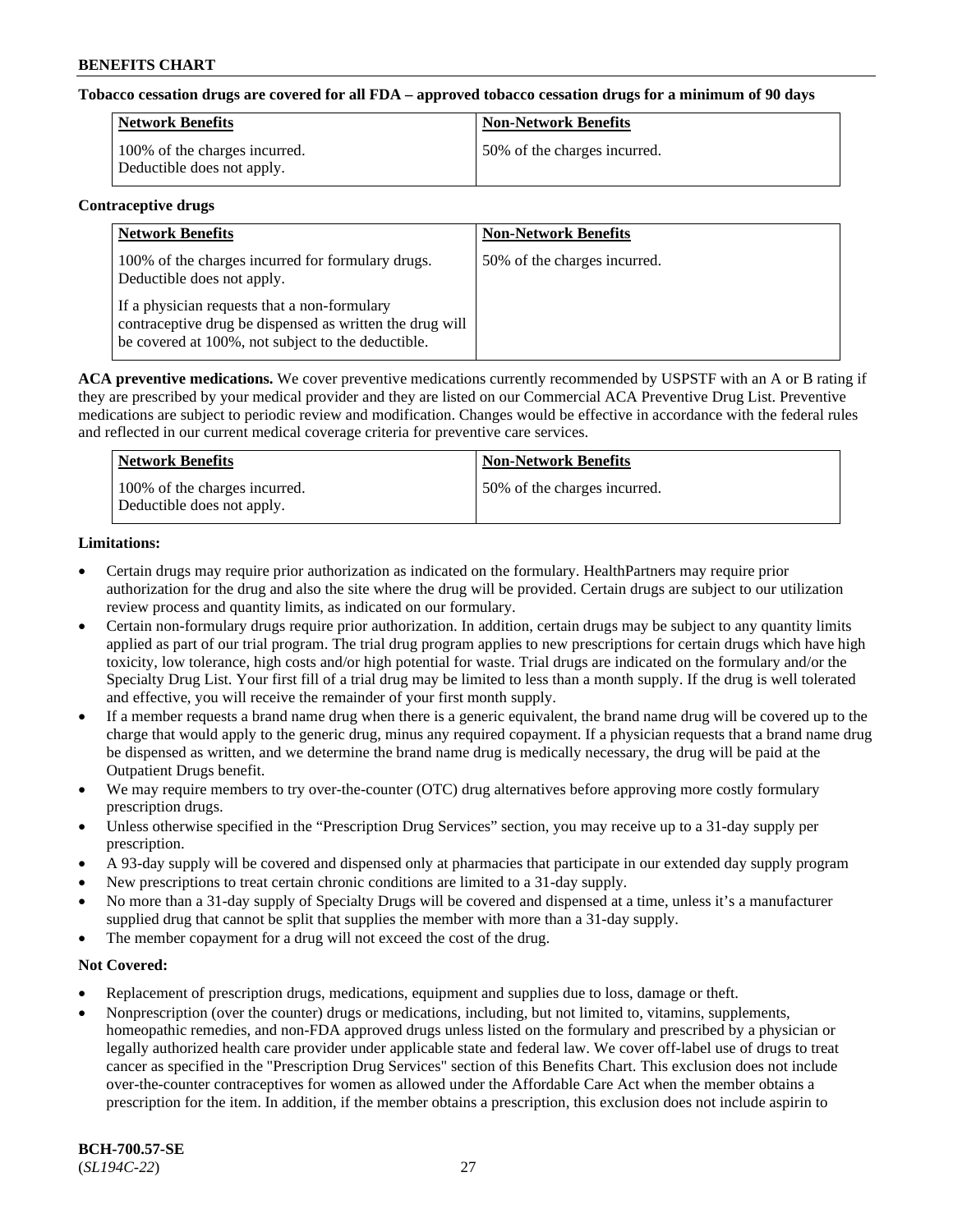# **Tobacco cessation drugs are covered for all FDA – approved tobacco cessation drugs for a minimum of 90 days**

| Network Benefits                                            | <b>Non-Network Benefits</b>  |
|-------------------------------------------------------------|------------------------------|
| 100% of the charges incurred.<br>Deductible does not apply. | 50% of the charges incurred. |

#### **Contraceptive drugs**

| <b>Network Benefits</b>                                                                                                                                        | <b>Non-Network Benefits</b>  |
|----------------------------------------------------------------------------------------------------------------------------------------------------------------|------------------------------|
| 100% of the charges incurred for formulary drugs.<br>Deductible does not apply.                                                                                | 50% of the charges incurred. |
| If a physician requests that a non-formulary<br>contraceptive drug be dispensed as written the drug will<br>be covered at 100%, not subject to the deductible. |                              |

**ACA preventive medications.** We cover preventive medications currently recommended by USPSTF with an A or B rating if they are prescribed by your medical provider and they are listed on our Commercial ACA Preventive Drug List. Preventive medications are subject to periodic review and modification. Changes would be effective in accordance with the federal rules and reflected in our current medical coverage criteria for preventive care services.

| Network Benefits                                            | <b>Non-Network Benefits</b>  |
|-------------------------------------------------------------|------------------------------|
| 100% of the charges incurred.<br>Deductible does not apply. | 50% of the charges incurred. |

# **Limitations:**

- Certain drugs may require prior authorization as indicated on the formulary. HealthPartners may require prior authorization for the drug and also the site where the drug will be provided. Certain drugs are subject to our utilization review process and quantity limits, as indicated on our formulary.
- Certain non-formulary drugs require prior authorization. In addition, certain drugs may be subject to any quantity limits applied as part of our trial program. The trial drug program applies to new prescriptions for certain drugs which have high toxicity, low tolerance, high costs and/or high potential for waste. Trial drugs are indicated on the formulary and/or the Specialty Drug List. Your first fill of a trial drug may be limited to less than a month supply. If the drug is well tolerated and effective, you will receive the remainder of your first month supply.
- If a member requests a brand name drug when there is a generic equivalent, the brand name drug will be covered up to the charge that would apply to the generic drug, minus any required copayment. If a physician requests that a brand name drug be dispensed as written, and we determine the brand name drug is medically necessary, the drug will be paid at the Outpatient Drugs benefit.
- We may require members to try over-the-counter (OTC) drug alternatives before approving more costly formulary prescription drugs.
- Unless otherwise specified in the "Prescription Drug Services" section, you may receive up to a 31-day supply per prescription.
- A 93-day supply will be covered and dispensed only at pharmacies that participate in our extended day supply program
- New prescriptions to treat certain chronic conditions are limited to a 31-day supply.
- No more than a 31-day supply of Specialty Drugs will be covered and dispensed at a time, unless it's a manufacturer supplied drug that cannot be split that supplies the member with more than a 31-day supply.
- The member copayment for a drug will not exceed the cost of the drug.

# **Not Covered:**

- Replacement of prescription drugs, medications, equipment and supplies due to loss, damage or theft.
- Nonprescription (over the counter) drugs or medications, including, but not limited to, vitamins, supplements, homeopathic remedies, and non-FDA approved drugs unless listed on the formulary and prescribed by a physician or legally authorized health care provider under applicable state and federal law. We cover off-label use of drugs to treat cancer as specified in the "Prescription Drug Services" section of this Benefits Chart. This exclusion does not include over-the-counter contraceptives for women as allowed under the Affordable Care Act when the member obtains a prescription for the item. In addition, if the member obtains a prescription, this exclusion does not include aspirin to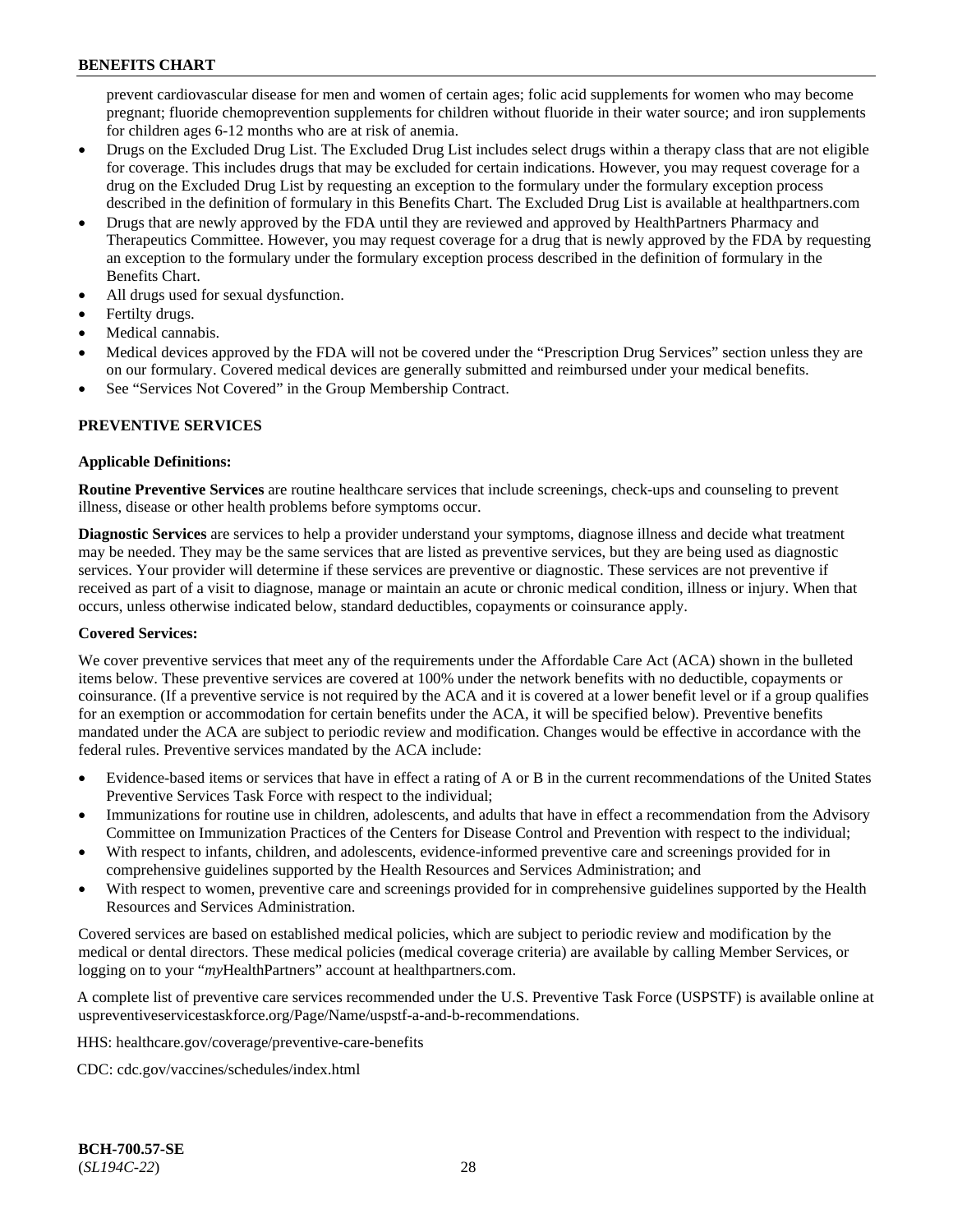prevent cardiovascular disease for men and women of certain ages; folic acid supplements for women who may become pregnant; fluoride chemoprevention supplements for children without fluoride in their water source; and iron supplements for children ages 6-12 months who are at risk of anemia.

- Drugs on the Excluded Drug List. The Excluded Drug List includes select drugs within a therapy class that are not eligible for coverage. This includes drugs that may be excluded for certain indications. However, you may request coverage for a drug on the Excluded Drug List by requesting an exception to the formulary under the formulary exception process described in the definition of formulary in this Benefits Chart. The Excluded Drug List is available at [healthpartners.com](http://www.healthpartners.com/)
- Drugs that are newly approved by the FDA until they are reviewed and approved by HealthPartners Pharmacy and Therapeutics Committee. However, you may request coverage for a drug that is newly approved by the FDA by requesting an exception to the formulary under the formulary exception process described in the definition of formulary in the Benefits Chart.
- All drugs used for sexual dysfunction.
- Fertilty drugs.
- Medical cannabis.
- Medical devices approved by the FDA will not be covered under the "Prescription Drug Services" section unless they are on our formulary. Covered medical devices are generally submitted and reimbursed under your medical benefits.
- See "Services Not Covered" in the Group Membership Contract.

# **PREVENTIVE SERVICES**

# **Applicable Definitions:**

**Routine Preventive Services** are routine healthcare services that include screenings, check-ups and counseling to prevent illness, disease or other health problems before symptoms occur.

**Diagnostic Services** are services to help a provider understand your symptoms, diagnose illness and decide what treatment may be needed. They may be the same services that are listed as preventive services, but they are being used as diagnostic services. Your provider will determine if these services are preventive or diagnostic. These services are not preventive if received as part of a visit to diagnose, manage or maintain an acute or chronic medical condition, illness or injury. When that occurs, unless otherwise indicated below, standard deductibles, copayments or coinsurance apply.

# **Covered Services:**

We cover preventive services that meet any of the requirements under the Affordable Care Act (ACA) shown in the bulleted items below. These preventive services are covered at 100% under the network benefits with no deductible, copayments or coinsurance. (If a preventive service is not required by the ACA and it is covered at a lower benefit level or if a group qualifies for an exemption or accommodation for certain benefits under the ACA, it will be specified below). Preventive benefits mandated under the ACA are subject to periodic review and modification. Changes would be effective in accordance with the federal rules. Preventive services mandated by the ACA include:

- Evidence-based items or services that have in effect a rating of A or B in the current recommendations of the United States Preventive Services Task Force with respect to the individual;
- Immunizations for routine use in children, adolescents, and adults that have in effect a recommendation from the Advisory Committee on Immunization Practices of the Centers for Disease Control and Prevention with respect to the individual;
- With respect to infants, children, and adolescents, evidence-informed preventive care and screenings provided for in comprehensive guidelines supported by the Health Resources and Services Administration; and
- With respect to women, preventive care and screenings provided for in comprehensive guidelines supported by the Health Resources and Services Administration.

Covered services are based on established medical policies, which are subject to periodic review and modification by the medical or dental directors. These medical policies (medical coverage criteria) are available by calling Member Services, or logging on to your "*my*HealthPartners" account at [healthpartners.com.](http://www.healthpartners.com/)

A complete list of preventive care services recommended under the U.S. Preventive Task Force (USPSTF) is available online at [uspreventiveservicestaskforce.org/Page/Name/uspstf-a-and-b-recommendations.](https://www.uspreventiveservicestaskforce.org/Page/Name/uspstf-a-and-b-recommendations-by-date/)

HHS: [healthcare.gov/coverage/preventive-care-benefits](https://www.healthcare.gov/coverage/preventive-care-benefits/)

CDC: [cdc.gov/vaccines/schedules/index.html](https://www.cdc.gov/vaccines/schedules/index.html)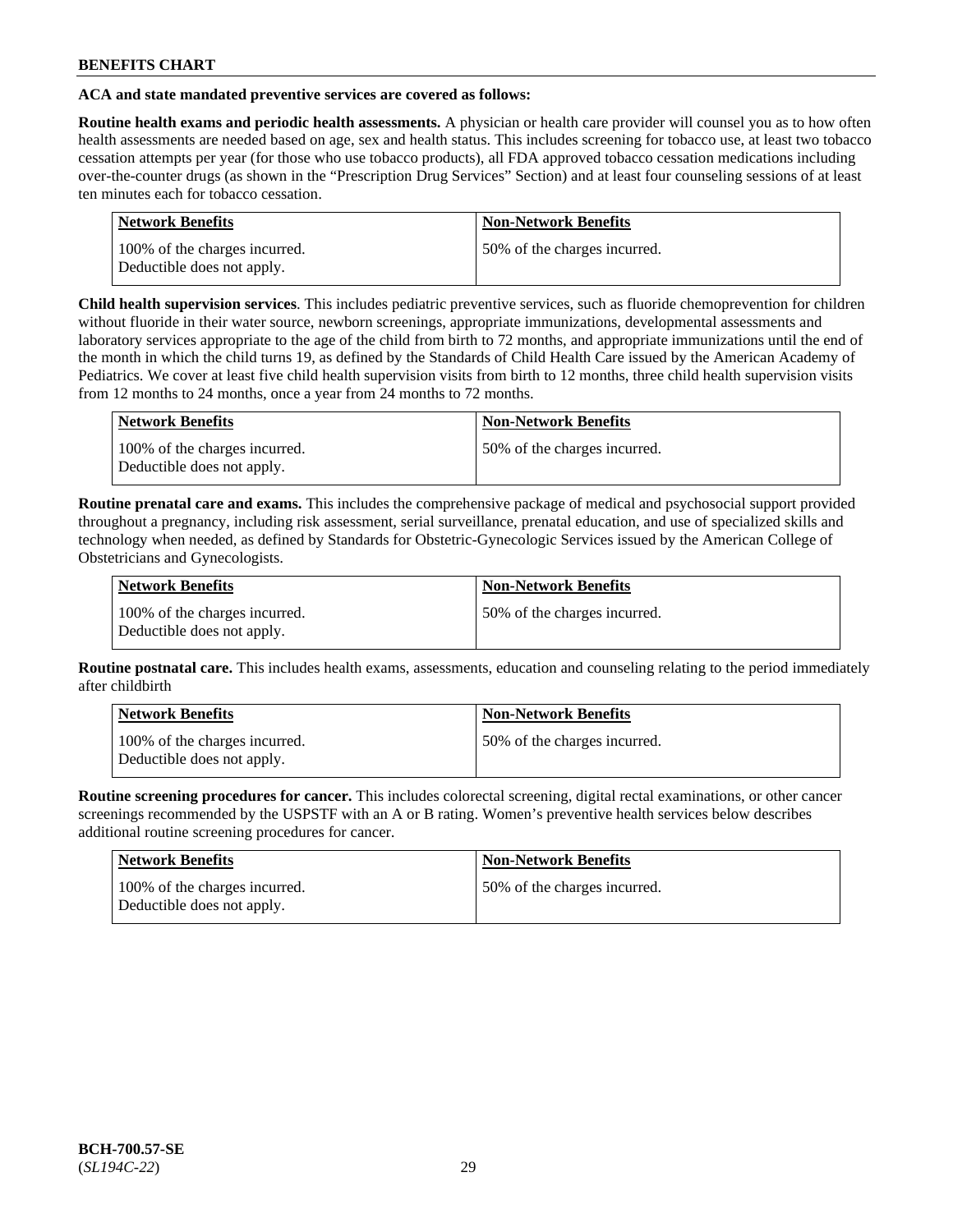# **ACA and state mandated preventive services are covered as follows:**

**Routine health exams and periodic health assessments.** A physician or health care provider will counsel you as to how often health assessments are needed based on age, sex and health status. This includes screening for tobacco use, at least two tobacco cessation attempts per year (for those who use tobacco products), all FDA approved tobacco cessation medications including over-the-counter drugs (as shown in the "Prescription Drug Services" Section) and at least four counseling sessions of at least ten minutes each for tobacco cessation.

| <b>Network Benefits</b>                                     | <b>Non-Network Benefits</b>  |
|-------------------------------------------------------------|------------------------------|
| 100% of the charges incurred.<br>Deductible does not apply. | 50% of the charges incurred. |

**Child health supervision services**. This includes pediatric preventive services, such as fluoride chemoprevention for children without fluoride in their water source, newborn screenings, appropriate immunizations, developmental assessments and laboratory services appropriate to the age of the child from birth to 72 months, and appropriate immunizations until the end of the month in which the child turns 19, as defined by the Standards of Child Health Care issued by the American Academy of Pediatrics. We cover at least five child health supervision visits from birth to 12 months, three child health supervision visits from 12 months to 24 months, once a year from 24 months to 72 months.

| Network Benefits                                            | <b>Non-Network Benefits</b>  |
|-------------------------------------------------------------|------------------------------|
| 100% of the charges incurred.<br>Deductible does not apply. | 50% of the charges incurred. |

**Routine prenatal care and exams.** This includes the comprehensive package of medical and psychosocial support provided throughout a pregnancy, including risk assessment, serial surveillance, prenatal education, and use of specialized skills and technology when needed, as defined by Standards for Obstetric-Gynecologic Services issued by the American College of Obstetricians and Gynecologists.

| Network Benefits                                            | <b>Non-Network Benefits</b>   |
|-------------------------------------------------------------|-------------------------------|
| 100% of the charges incurred.<br>Deductible does not apply. | 150% of the charges incurred. |

**Routine postnatal care.** This includes health exams, assessments, education and counseling relating to the period immediately after childbirth

| Network Benefits                                            | <b>Non-Network Benefits</b>  |
|-------------------------------------------------------------|------------------------------|
| 100% of the charges incurred.<br>Deductible does not apply. | 50% of the charges incurred. |

**Routine screening procedures for cancer.** This includes colorectal screening, digital rectal examinations, or other cancer screenings recommended by the USPSTF with an A or B rating. Women's preventive health services below describes additional routine screening procedures for cancer.

| Network Benefits                                            | <b>Non-Network Benefits</b>  |
|-------------------------------------------------------------|------------------------------|
| 100% of the charges incurred.<br>Deductible does not apply. | 50% of the charges incurred. |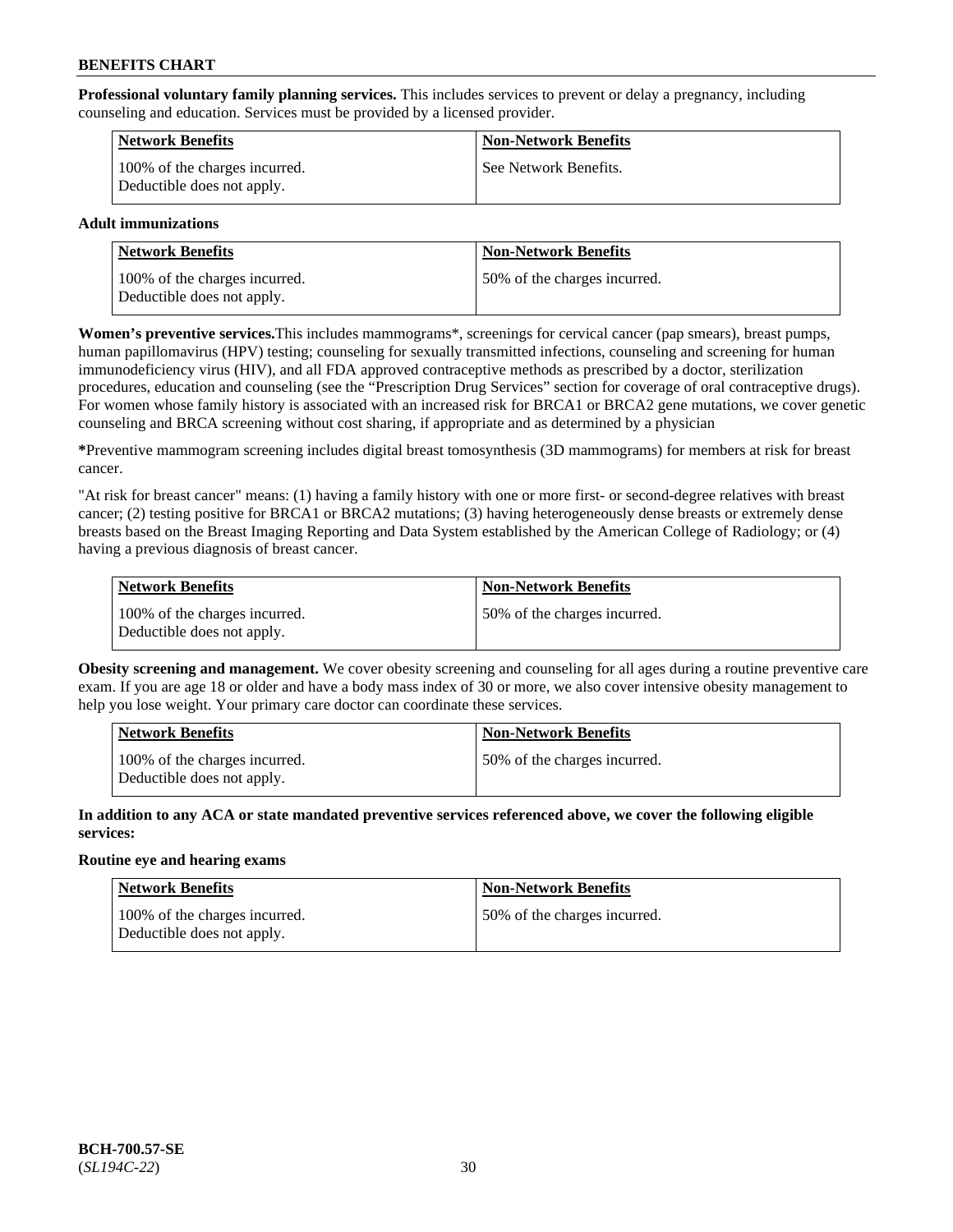**Professional voluntary family planning services.** This includes services to prevent or delay a pregnancy, including counseling and education. Services must be provided by a licensed provider.

| Network Benefits                                            | <b>Non-Network Benefits</b> |
|-------------------------------------------------------------|-----------------------------|
| 100% of the charges incurred.<br>Deductible does not apply. | See Network Benefits.       |

# **Adult immunizations**

| <b>Network Benefits</b>                                     | <b>Non-Network Benefits</b>  |
|-------------------------------------------------------------|------------------------------|
| 100% of the charges incurred.<br>Deductible does not apply. | 50% of the charges incurred. |

**Women's preventive services.**This includes mammograms\*, screenings for cervical cancer (pap smears), breast pumps, human papillomavirus (HPV) testing; counseling for sexually transmitted infections, counseling and screening for human immunodeficiency virus (HIV), and all FDA approved contraceptive methods as prescribed by a doctor, sterilization procedures, education and counseling (see the "Prescription Drug Services" section for coverage of oral contraceptive drugs). For women whose family history is associated with an increased risk for BRCA1 or BRCA2 gene mutations, we cover genetic counseling and BRCA screening without cost sharing, if appropriate and as determined by a physician

**\***Preventive mammogram screening includes digital breast tomosynthesis (3D mammograms) for members at risk for breast cancer.

"At risk for breast cancer" means: (1) having a family history with one or more first- or second-degree relatives with breast cancer; (2) testing positive for BRCA1 or BRCA2 mutations; (3) having heterogeneously dense breasts or extremely dense breasts based on the Breast Imaging Reporting and Data System established by the American College of Radiology; or (4) having a previous diagnosis of breast cancer.

| Network Benefits                                            | <b>Non-Network Benefits</b>  |
|-------------------------------------------------------------|------------------------------|
| 100% of the charges incurred.<br>Deductible does not apply. | 50% of the charges incurred. |

**Obesity screening and management.** We cover obesity screening and counseling for all ages during a routine preventive care exam. If you are age 18 or older and have a body mass index of 30 or more, we also cover intensive obesity management to help you lose weight. Your primary care doctor can coordinate these services.

| <b>Network Benefits</b>                                     | <b>Non-Network Benefits</b>   |
|-------------------------------------------------------------|-------------------------------|
| 100% of the charges incurred.<br>Deductible does not apply. | 150% of the charges incurred. |

**In addition to any ACA or state mandated preventive services referenced above, we cover the following eligible services:**

# **Routine eye and hearing exams**

| Network Benefits                                            | <b>Non-Network Benefits</b>  |
|-------------------------------------------------------------|------------------------------|
| 100% of the charges incurred.<br>Deductible does not apply. | 50% of the charges incurred. |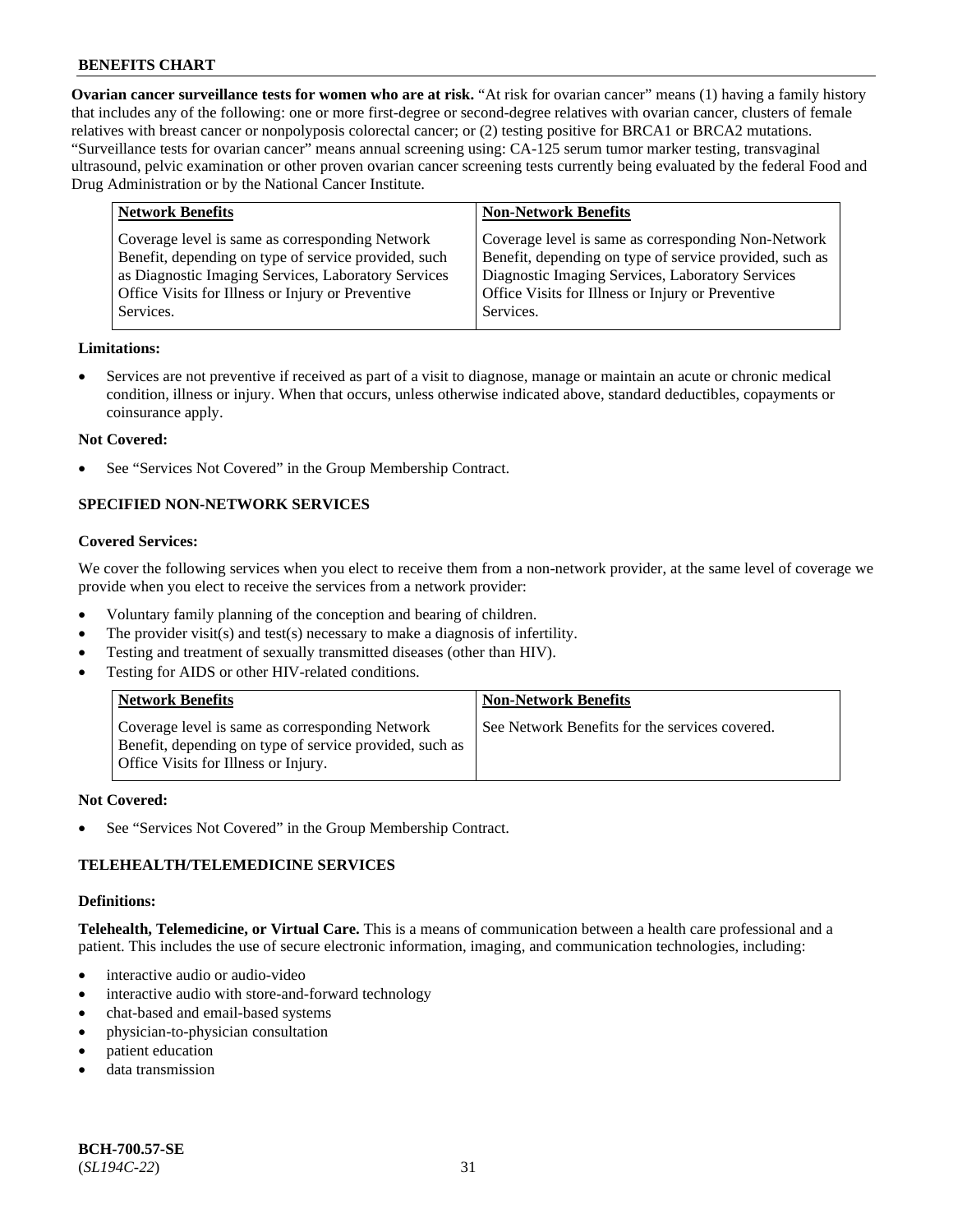**Ovarian cancer surveillance tests for women who are at risk.** "At risk for ovarian cancer" means (1) having a family history that includes any of the following: one or more first-degree or second-degree relatives with ovarian cancer, clusters of female relatives with breast cancer or nonpolyposis colorectal cancer; or (2) testing positive for BRCA1 or BRCA2 mutations. "Surveillance tests for ovarian cancer" means annual screening using: CA-125 serum tumor marker testing, transvaginal ultrasound, pelvic examination or other proven ovarian cancer screening tests currently being evaluated by the federal Food and Drug Administration or by the National Cancer Institute.

| <b>Network Benefits</b>                                                                                                                                                                                                          | <b>Non-Network Benefits</b>                                                                                                                                                                                                          |
|----------------------------------------------------------------------------------------------------------------------------------------------------------------------------------------------------------------------------------|--------------------------------------------------------------------------------------------------------------------------------------------------------------------------------------------------------------------------------------|
| Coverage level is same as corresponding Network<br>Benefit, depending on type of service provided, such<br>as Diagnostic Imaging Services, Laboratory Services<br>Office Visits for Illness or Injury or Preventive<br>Services. | Coverage level is same as corresponding Non-Network<br>Benefit, depending on type of service provided, such as<br>Diagnostic Imaging Services, Laboratory Services<br>Office Visits for Illness or Injury or Preventive<br>Services. |
|                                                                                                                                                                                                                                  |                                                                                                                                                                                                                                      |

#### **Limitations:**

• Services are not preventive if received as part of a visit to diagnose, manage or maintain an acute or chronic medical condition, illness or injury. When that occurs, unless otherwise indicated above, standard deductibles, copayments or coinsurance apply.

#### **Not Covered:**

See "Services Not Covered" in the Group Membership Contract.

# **SPECIFIED NON-NETWORK SERVICES**

#### **Covered Services:**

We cover the following services when you elect to receive them from a non-network provider, at the same level of coverage we provide when you elect to receive the services from a network provider:

- Voluntary family planning of the conception and bearing of children.
- The provider visit(s) and test(s) necessary to make a diagnosis of infertility.
- Testing and treatment of sexually transmitted diseases (other than HIV).
- Testing for AIDS or other HIV-related conditions.

| <b>Network Benefits</b>                                                                                                                            | <b>Non-Network Benefits</b>                    |
|----------------------------------------------------------------------------------------------------------------------------------------------------|------------------------------------------------|
| Coverage level is same as corresponding Network<br>Benefit, depending on type of service provided, such as<br>Office Visits for Illness or Injury. | See Network Benefits for the services covered. |

#### **Not Covered:**

See "Services Not Covered" in the Group Membership Contract.

# **TELEHEALTH/TELEMEDICINE SERVICES**

#### **Definitions:**

**Telehealth, Telemedicine, or Virtual Care.** This is a means of communication between a health care professional and a patient. This includes the use of secure electronic information, imaging, and communication technologies, including:

- interactive audio or audio-video
- interactive audio with store-and-forward technology
- chat-based and email-based systems
- physician-to-physician consultation
- patient education
- data transmission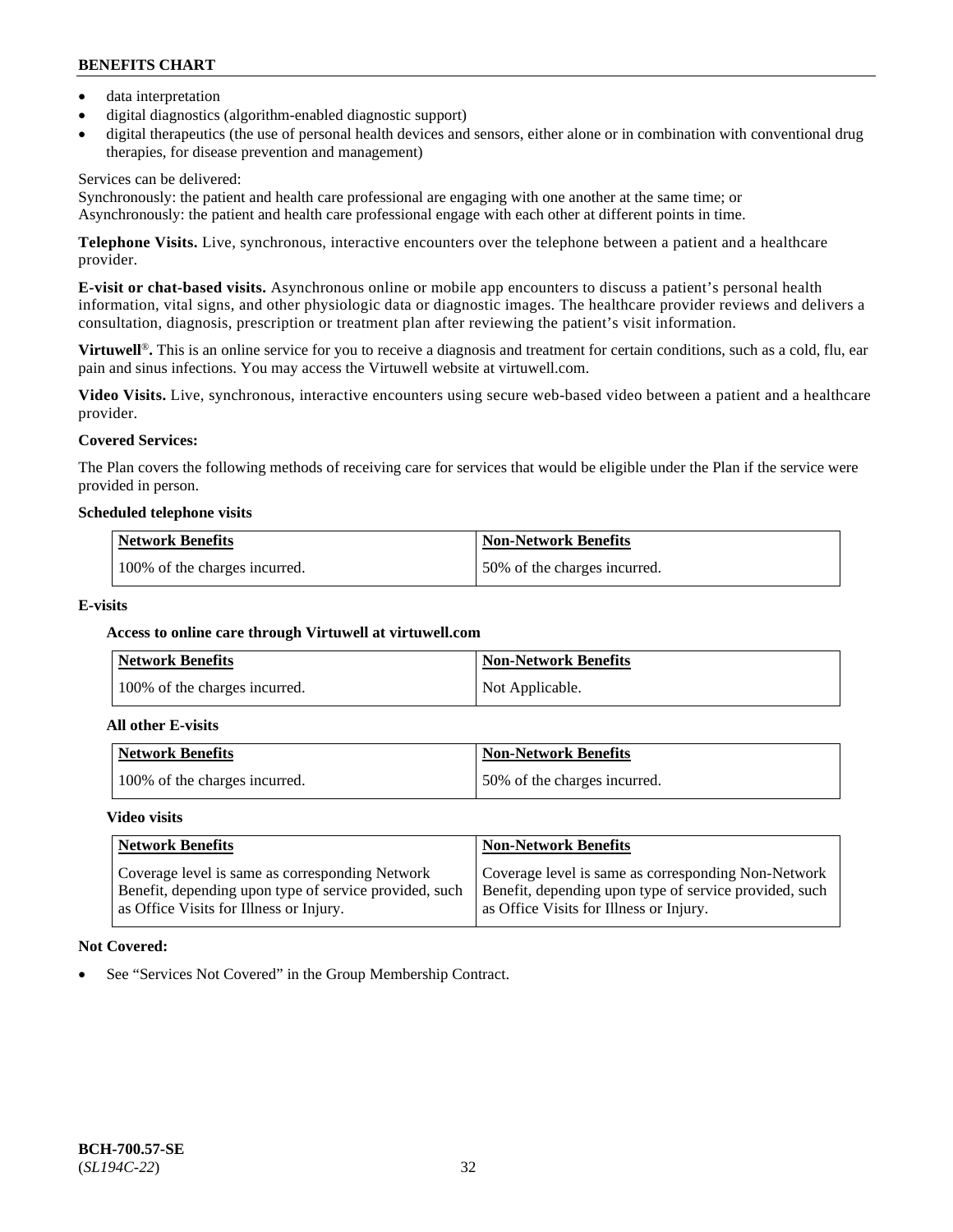- data interpretation
- digital diagnostics (algorithm-enabled diagnostic support)
- digital therapeutics (the use of personal health devices and sensors, either alone or in combination with conventional drug therapies, for disease prevention and management)

# Services can be delivered:

Synchronously: the patient and health care professional are engaging with one another at the same time; or Asynchronously: the patient and health care professional engage with each other at different points in time.

**Telephone Visits.** Live, synchronous, interactive encounters over the telephone between a patient and a healthcare provider.

**E-visit or chat-based visits.** Asynchronous online or mobile app encounters to discuss a patient's personal health information, vital signs, and other physiologic data or diagnostic images. The healthcare provider reviews and delivers a consultation, diagnosis, prescription or treatment plan after reviewing the patient's visit information.

**Virtuwell<sup>®</sup>**. This is an online service for you to receive a diagnosis and treatment for certain conditions, such as a cold, flu, ear pain and sinus infections. You may access the Virtuwell website at [virtuwell.com.](https://www.virtuwell.com/)

**Video Visits.** Live, synchronous, interactive encounters using secure web-based video between a patient and a healthcare provider.

# **Covered Services:**

The Plan covers the following methods of receiving care for services that would be eligible under the Plan if the service were provided in person.

#### **Scheduled telephone visits**

| <b>Network Benefits</b>       | <b>Non-Network Benefits</b>  |
|-------------------------------|------------------------------|
| 100% of the charges incurred. | 50% of the charges incurred. |

# **E-visits**

# **Access to online care through Virtuwell at [virtuwell.com](https://www.virtuwell.com/)**

| <b>Network Benefits</b>       | <b>Non-Network Benefits</b> |
|-------------------------------|-----------------------------|
| 100% of the charges incurred. | Not Applicable.             |

#### **All other E-visits**

| Network Benefits              | <b>Non-Network Benefits</b>  |
|-------------------------------|------------------------------|
| 100% of the charges incurred. | 50% of the charges incurred. |

#### **Video visits**

| <b>Network Benefits</b>                                                                                                                              | <b>Non-Network Benefits</b>                                                                                                                              |
|------------------------------------------------------------------------------------------------------------------------------------------------------|----------------------------------------------------------------------------------------------------------------------------------------------------------|
| Coverage level is same as corresponding Network<br>Benefit, depending upon type of service provided, such<br>as Office Visits for Illness or Injury. | Coverage level is same as corresponding Non-Network<br>Benefit, depending upon type of service provided, such<br>as Office Visits for Illness or Injury. |

# **Not Covered:**

See "Services Not Covered" in the Group Membership Contract.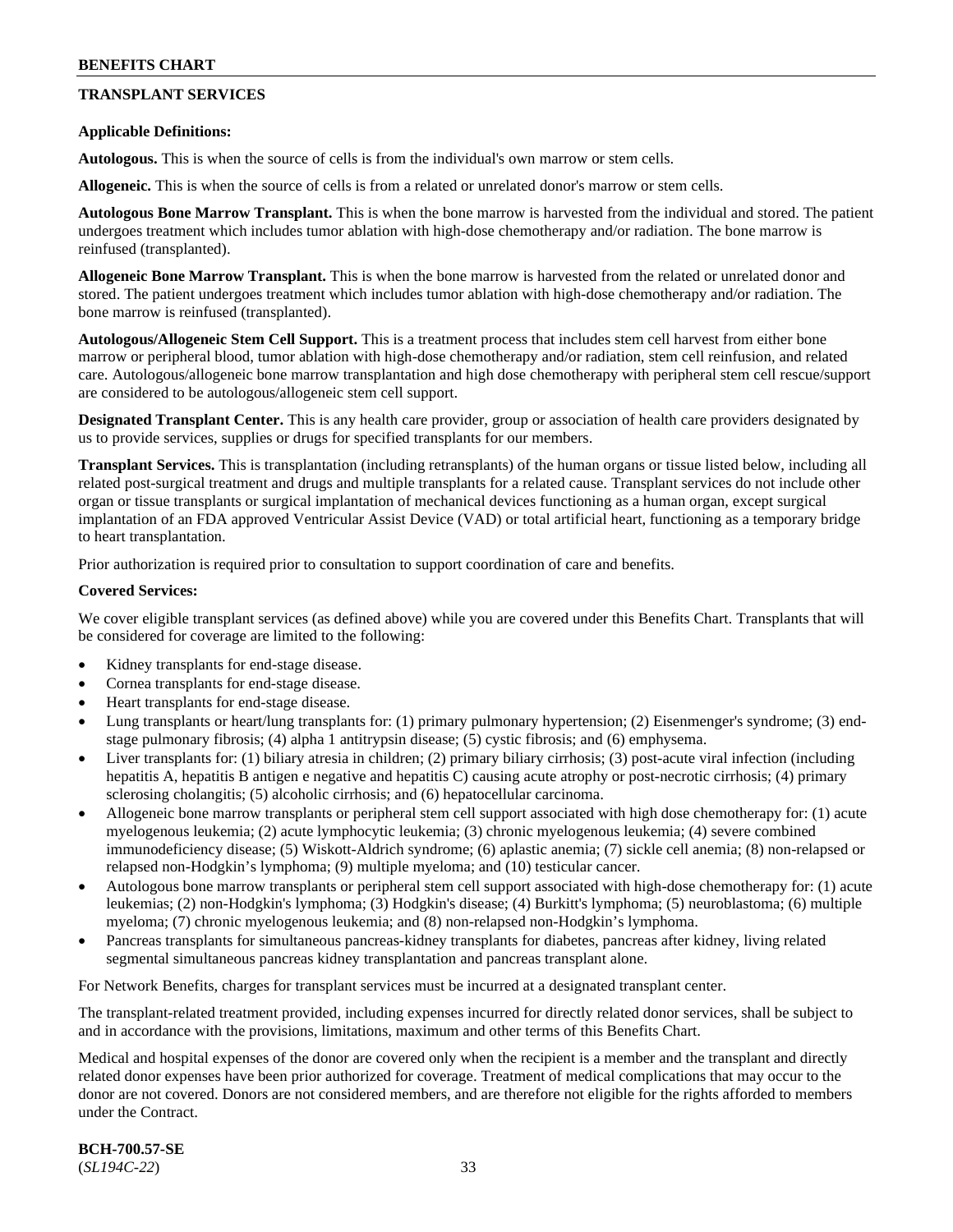# **TRANSPLANT SERVICES**

### **Applicable Definitions:**

**Autologous.** This is when the source of cells is from the individual's own marrow or stem cells.

**Allogeneic.** This is when the source of cells is from a related or unrelated donor's marrow or stem cells.

**Autologous Bone Marrow Transplant.** This is when the bone marrow is harvested from the individual and stored. The patient undergoes treatment which includes tumor ablation with high-dose chemotherapy and/or radiation. The bone marrow is reinfused (transplanted).

**Allogeneic Bone Marrow Transplant.** This is when the bone marrow is harvested from the related or unrelated donor and stored. The patient undergoes treatment which includes tumor ablation with high-dose chemotherapy and/or radiation. The bone marrow is reinfused (transplanted).

**Autologous/Allogeneic Stem Cell Support.** This is a treatment process that includes stem cell harvest from either bone marrow or peripheral blood, tumor ablation with high-dose chemotherapy and/or radiation, stem cell reinfusion, and related care. Autologous/allogeneic bone marrow transplantation and high dose chemotherapy with peripheral stem cell rescue/support are considered to be autologous/allogeneic stem cell support.

**Designated Transplant Center.** This is any health care provider, group or association of health care providers designated by us to provide services, supplies or drugs for specified transplants for our members.

**Transplant Services.** This is transplantation (including retransplants) of the human organs or tissue listed below, including all related post-surgical treatment and drugs and multiple transplants for a related cause. Transplant services do not include other organ or tissue transplants or surgical implantation of mechanical devices functioning as a human organ, except surgical implantation of an FDA approved Ventricular Assist Device (VAD) or total artificial heart, functioning as a temporary bridge to heart transplantation.

Prior authorization is required prior to consultation to support coordination of care and benefits.

#### **Covered Services:**

We cover eligible transplant services (as defined above) while you are covered under this Benefits Chart. Transplants that will be considered for coverage are limited to the following:

- Kidney transplants for end-stage disease.
- Cornea transplants for end-stage disease.
- Heart transplants for end-stage disease.
- Lung transplants or heart/lung transplants for: (1) primary pulmonary hypertension; (2) Eisenmenger's syndrome; (3) endstage pulmonary fibrosis; (4) alpha 1 antitrypsin disease; (5) cystic fibrosis; and (6) emphysema.
- Liver transplants for: (1) biliary atresia in children; (2) primary biliary cirrhosis; (3) post-acute viral infection (including hepatitis A, hepatitis B antigen e negative and hepatitis C) causing acute atrophy or post-necrotic cirrhosis; (4) primary sclerosing cholangitis; (5) alcoholic cirrhosis; and (6) hepatocellular carcinoma.
- Allogeneic bone marrow transplants or peripheral stem cell support associated with high dose chemotherapy for: (1) acute myelogenous leukemia; (2) acute lymphocytic leukemia; (3) chronic myelogenous leukemia; (4) severe combined immunodeficiency disease; (5) Wiskott-Aldrich syndrome; (6) aplastic anemia; (7) sickle cell anemia; (8) non-relapsed or relapsed non-Hodgkin's lymphoma; (9) multiple myeloma; and (10) testicular cancer.
- Autologous bone marrow transplants or peripheral stem cell support associated with high-dose chemotherapy for: (1) acute leukemias; (2) non-Hodgkin's lymphoma; (3) Hodgkin's disease; (4) Burkitt's lymphoma; (5) neuroblastoma; (6) multiple myeloma; (7) chronic myelogenous leukemia; and (8) non-relapsed non-Hodgkin's lymphoma.
- Pancreas transplants for simultaneous pancreas-kidney transplants for diabetes, pancreas after kidney, living related segmental simultaneous pancreas kidney transplantation and pancreas transplant alone.

For Network Benefits, charges for transplant services must be incurred at a designated transplant center.

The transplant-related treatment provided, including expenses incurred for directly related donor services, shall be subject to and in accordance with the provisions, limitations, maximum and other terms of this Benefits Chart.

Medical and hospital expenses of the donor are covered only when the recipient is a member and the transplant and directly related donor expenses have been prior authorized for coverage. Treatment of medical complications that may occur to the donor are not covered. Donors are not considered members, and are therefore not eligible for the rights afforded to members under the Contract.